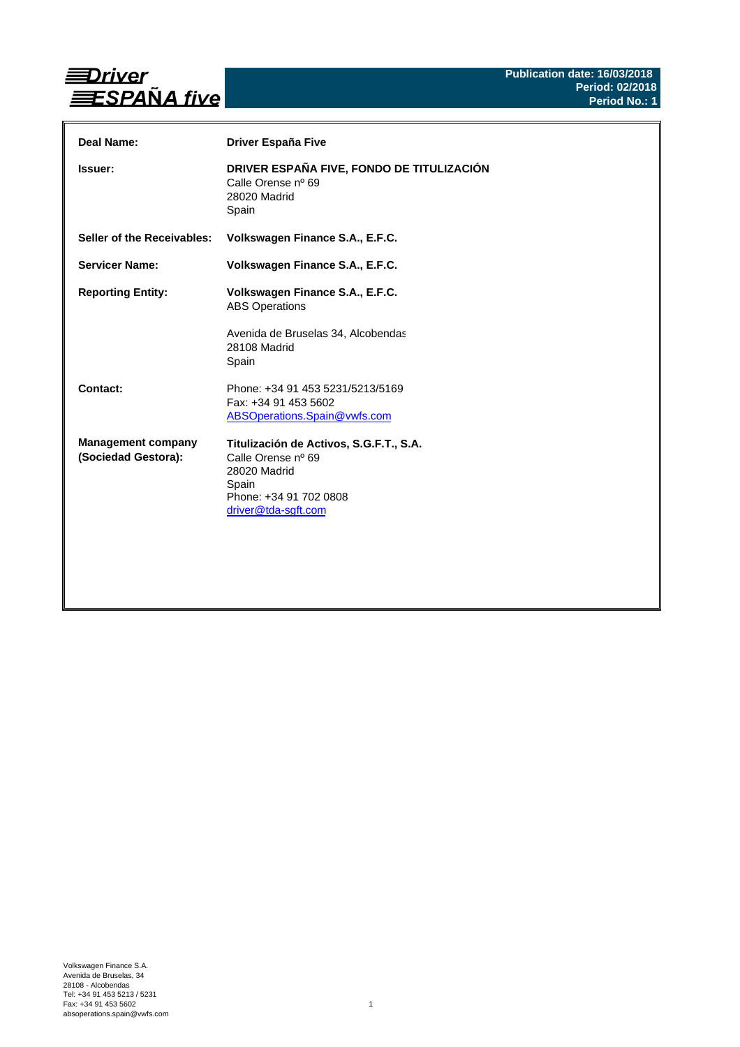

| Deal Name:                                       | <b>Driver España Five</b>                                                                                                               |
|--------------------------------------------------|-----------------------------------------------------------------------------------------------------------------------------------------|
| <b>Issuer:</b>                                   | DRIVER ESPAÑA FIVE, FONDO DE TITULIZACIÓN<br>Calle Orense nº 69<br>28020 Madrid<br>Spain                                                |
| Seller of the Receivables:                       | Volkswagen Finance S.A., E.F.C.                                                                                                         |
| <b>Servicer Name:</b>                            | Volkswagen Finance S.A., E.F.C.                                                                                                         |
| <b>Reporting Entity:</b>                         | Volkswagen Finance S.A., E.F.C.<br><b>ABS Operations</b><br>Avenida de Bruselas 34, Alcobendas<br>28108 Madrid<br>Spain                 |
| Contact:                                         | Phone: +34 91 453 5231/5213/5169<br>Fax: +34 91 453 5602<br>ABSOperations.Spain@vwfs.com                                                |
| <b>Management company</b><br>(Sociedad Gestora): | Titulización de Activos, S.G.F.T., S.A.<br>Calle Orense nº 69<br>28020 Madrid<br>Spain<br>Phone: +34 91 702 0808<br>driver@tda-sgft.com |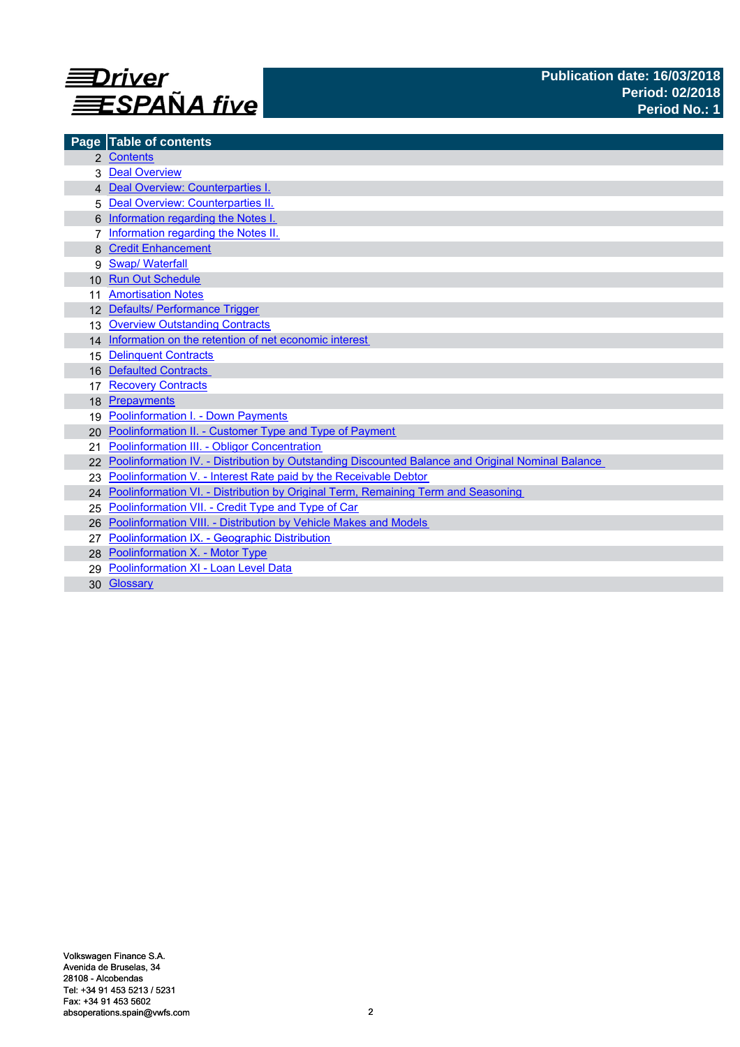

|                 | Page Table of contents                                                                            |
|-----------------|---------------------------------------------------------------------------------------------------|
|                 | 2 Contents                                                                                        |
|                 | <b>Deal Overview</b>                                                                              |
|                 | 4 Deal Overview: Counterparties I.                                                                |
| 5               | Deal Overview: Counterparties II.                                                                 |
|                 | Information regarding the Notes I.                                                                |
|                 | Information regarding the Notes II.                                                               |
|                 | <b>Credit Enhancement</b>                                                                         |
| 9               | <b>Swap/ Waterfall</b>                                                                            |
| 10 <sup>1</sup> | <b>Run Out Schedule</b>                                                                           |
|                 | <b>Amortisation Notes</b>                                                                         |
|                 | 12 Defaults/ Performance Trigger                                                                  |
| 13              | <b>Overview Outstanding Contracts</b>                                                             |
|                 | 14 Information on the retention of net economic interest                                          |
| 15              | <b>Delinquent Contracts</b>                                                                       |
| 16              | <b>Defaulted Contracts</b>                                                                        |
| 17              | <b>Recovery Contracts</b>                                                                         |
| 18              | Prepayments                                                                                       |
| 19              | Poolinformation I. - Down Payments                                                                |
| 20.             | Poolinformation II. - Customer Type and Type of Payment                                           |
| 21              | Poolinformation III. - Obligor Concentration                                                      |
|                 | Poolinformation IV. - Distribution by Outstanding Discounted Balance and Original Nominal Balance |
|                 | Poolinformation V. - Interest Rate paid by the Receivable Debtor                                  |
|                 | 24 Poolinformation VI. - Distribution by Original Term, Remaining Term and Seasoning              |
| 25              | Poolinformation VII. - Credit Type and Type of Car                                                |
| 26              | Poolinformation VIII. - Distribution by Vehicle Makes and Models                                  |
|                 | Poolinformation IX. - Geographic Distribution                                                     |
|                 | 28 Poolinformation X. - Motor Type                                                                |
|                 | Poolinformation XI - Loan Level Data                                                              |
| 30              | Glossary                                                                                          |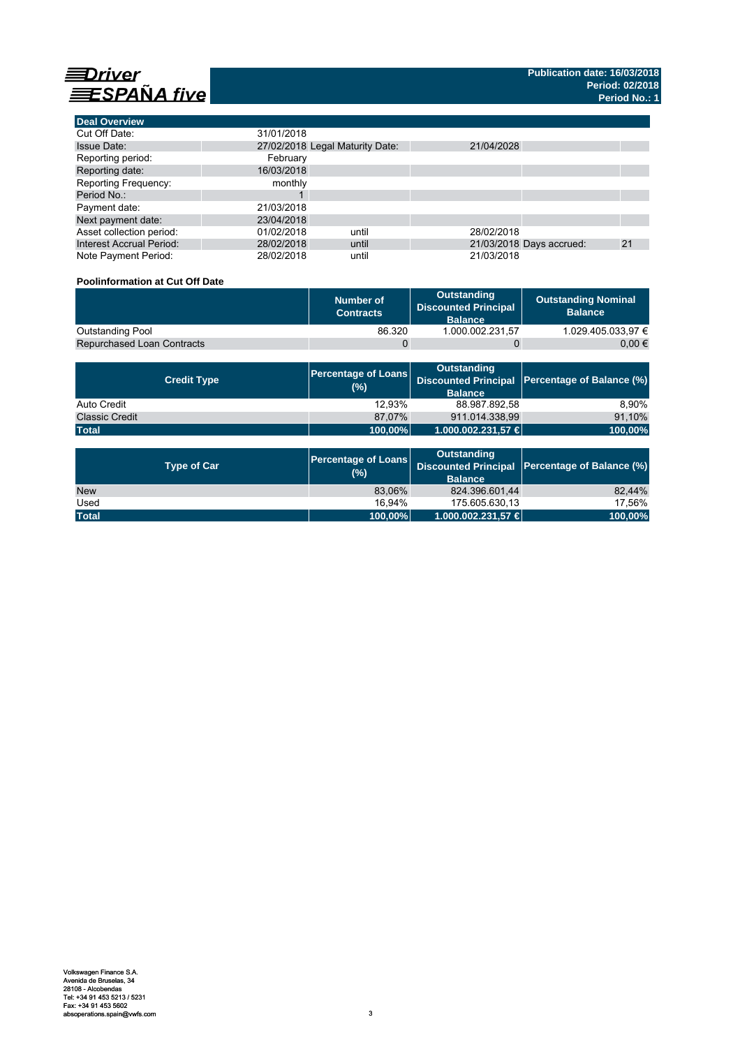

| <b>Deal Overview</b>            |            |                                 |            |                          |    |
|---------------------------------|------------|---------------------------------|------------|--------------------------|----|
| Cut Off Date:                   | 31/01/2018 |                                 |            |                          |    |
| <b>Issue Date:</b>              |            | 27/02/2018 Legal Maturity Date: | 21/04/2028 |                          |    |
| Reporting period:               | February   |                                 |            |                          |    |
| Reporting date:                 | 16/03/2018 |                                 |            |                          |    |
| Reporting Frequency:            | monthly    |                                 |            |                          |    |
| Period No.:                     |            |                                 |            |                          |    |
| Payment date:                   | 21/03/2018 |                                 |            |                          |    |
| Next payment date:              | 23/04/2018 |                                 |            |                          |    |
| Asset collection period:        | 01/02/2018 | until                           | 28/02/2018 |                          |    |
| <b>Interest Accrual Period:</b> | 28/02/2018 | until                           |            | 21/03/2018 Days accrued: | 21 |
| Note Payment Period:            | 28/02/2018 | until                           | 21/03/2018 |                          |    |

# **Poolinformation at Cut Off Date**

|                                   | Number of<br><b>Contracts</b> | Outstanding<br><b>Discounted Principal</b><br><b>Balance</b> | <b>Outstanding Nominal</b><br><b>Balance</b> |
|-----------------------------------|-------------------------------|--------------------------------------------------------------|----------------------------------------------|
| <b>Outstanding Pool</b>           | 86.320                        | 1.000.002.231.57                                             | 1.029.405.033.97 €                           |
| <b>Repurchased Loan Contracts</b> |                               |                                                              | 0.00 €                                       |

| <b>Credit Type</b>    | (%)     | <b>Outstanding</b><br><b>Balance</b> | Percentage of Loans Discounted Principal Percentage of Balance (%) |
|-----------------------|---------|--------------------------------------|--------------------------------------------------------------------|
| Auto Credit           | 12.93%  | 88.987.892,58                        | 8.90%                                                              |
| <b>Classic Credit</b> | 87.07%  | 911.014.338.99                       | 91,10%                                                             |
| <b>Total</b>          | 100,00% | 1.000.002.231,57 €                   | 100,00%                                                            |

| <b>Type of Car</b> | <b>Percentage of Loans</b><br>(%) | <b>Outstanding</b><br><b>Balance</b> | Discounted Principal Percentage of Balance (%) |
|--------------------|-----------------------------------|--------------------------------------|------------------------------------------------|
| <b>New</b>         | 83.06%                            | 824.396.601.44                       | 82.44%                                         |
| Used               | 16.94%                            | 175.605.630.13                       | 17.56%                                         |
| <b>Total</b>       | 100,00%                           | $1.000.002.231.57 \in$               | 100,00%                                        |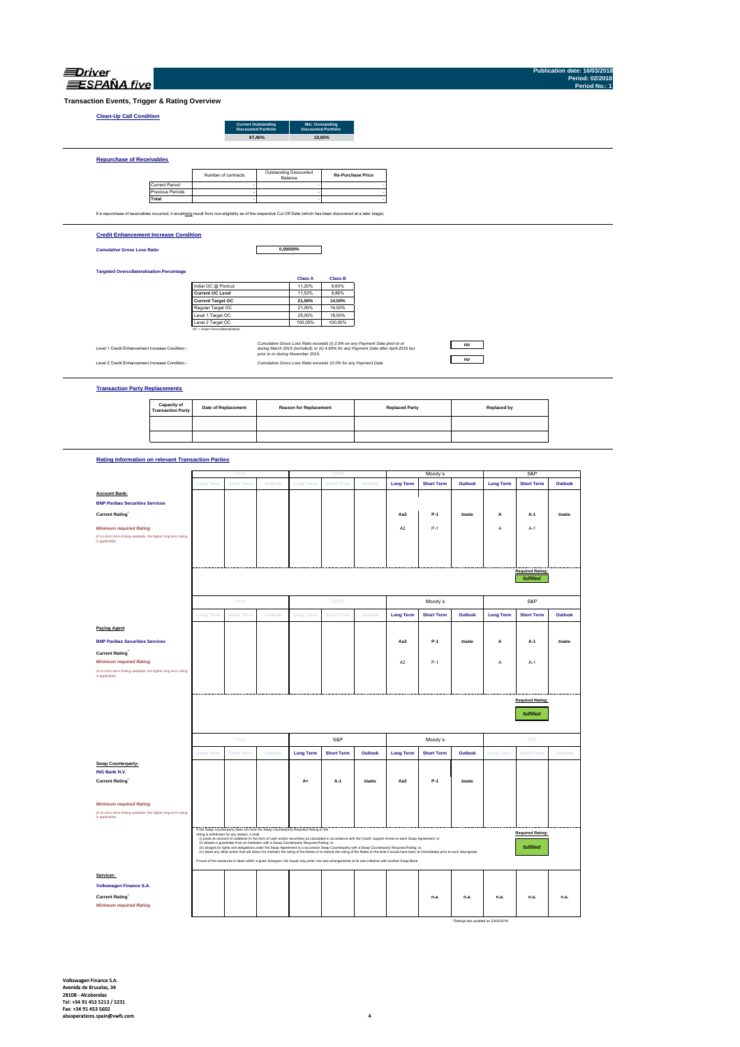| NД |  |
|----|--|

| ⊒Driver<br>ESPAÑA five                                                                                                                                            |                                           |                                                     |                     |         |                                   |                                                                                       |         |                       |                   |                        |                  |                         | Publication date: 16/03/2018<br>Period: 02/2018<br>Period No.: 1 |  |
|-------------------------------------------------------------------------------------------------------------------------------------------------------------------|-------------------------------------------|-----------------------------------------------------|---------------------|---------|-----------------------------------|---------------------------------------------------------------------------------------|---------|-----------------------|-------------------|------------------------|------------------|-------------------------|------------------------------------------------------------------|--|
| Transaction Events, Trigger & Rating Overview                                                                                                                     |                                           |                                                     |                     |         |                                   |                                                                                       |         |                       |                   |                        |                  |                         |                                                                  |  |
| <b>Clean-Up Call Condition</b>                                                                                                                                    |                                           |                                                     |                     |         |                                   |                                                                                       |         |                       |                   |                        |                  |                         |                                                                  |  |
| <b>Current Outstanding</b><br>Discounted Portfolio<br>Min. Outstanding<br>Discounted Portfolio<br>10,00%<br>97,40%                                                |                                           |                                                     |                     |         |                                   |                                                                                       |         |                       |                   |                        |                  |                         |                                                                  |  |
| <b>Repurchase of Receivables</b>                                                                                                                                  |                                           |                                                     |                     |         |                                   |                                                                                       |         |                       |                   |                        |                  |                         |                                                                  |  |
|                                                                                                                                                                   |                                           |                                                     | Number of contracts |         | Outstanding Discounted<br>Balance | <b>Re-Purchase Price</b>                                                              |         |                       |                   |                        |                  |                         |                                                                  |  |
|                                                                                                                                                                   | <b>Current Period</b><br>Previous Periods |                                                     |                     |         |                                   |                                                                                       |         |                       |                   |                        |                  |                         |                                                                  |  |
|                                                                                                                                                                   | Total                                     |                                                     |                     |         |                                   |                                                                                       |         |                       |                   |                        |                  |                         |                                                                  |  |
| If a repurchase of receivables occurred, it wouldonly result from non-eligibility as of the respective Cut Off Date (which has been discovered at a later stage). |                                           |                                                     |                     |         |                                   |                                                                                       |         |                       |                   |                        |                  |                         |                                                                  |  |
| <b>Credit Enhancement Increase Condition</b>                                                                                                                      |                                           |                                                     |                     |         |                                   |                                                                                       |         |                       |                   |                        |                  |                         |                                                                  |  |
| <b>Cumulative Gross Loss Ratio</b>                                                                                                                                |                                           |                                                     |                     |         | 0,00000%                          |                                                                                       |         |                       |                   |                        |                  |                         |                                                                  |  |
|                                                                                                                                                                   |                                           |                                                     |                     |         |                                   |                                                                                       |         |                       |                   |                        |                  |                         |                                                                  |  |
| <b>Targeted Overcollateralisation Percentage</b>                                                                                                                  |                                           |                                                     |                     |         | <b>Class A</b>                    | <b>Class B</b>                                                                        |         |                       |                   |                        |                  |                         |                                                                  |  |
|                                                                                                                                                                   |                                           | Initial OC @ Poolcut                                |                     |         | 11,20%                            | 8,60%                                                                                 |         |                       |                   |                        |                  |                         |                                                                  |  |
|                                                                                                                                                                   |                                           | <b>Current OC Level</b><br><b>Current Target OC</b> |                     |         | 11,53%<br>21,00%                  | 8,86%<br>14,50%                                                                       |         |                       |                   |                        |                  |                         |                                                                  |  |
|                                                                                                                                                                   |                                           | Regular Target OC                                   |                     |         | 21,00%                            | 14,50%                                                                                |         |                       |                   |                        |                  |                         |                                                                  |  |
|                                                                                                                                                                   |                                           | Level 1 Target OC<br>Level 2 Target OC              |                     |         | 25,00%<br>100,00%                 | 18,00%<br>100,00%                                                                     |         |                       |                   |                        |                  |                         |                                                                  |  |
|                                                                                                                                                                   |                                           | OC = Asset Overcollateralisation                    |                     |         |                                   |                                                                                       |         |                       |                   |                        |                  |                         |                                                                  |  |
|                                                                                                                                                                   |                                           |                                                     |                     |         |                                   | Cumulative Gross Loss Ratio exceeds (i) 2.0% on any Payment Date prior to or          |         |                       |                   | $\mathbf{n}\mathbf{o}$ |                  |                         |                                                                  |  |
| Level 1 Credit Enhancement Increase Condition -                                                                                                                   |                                           |                                                     |                     |         | prior to or during November 2015. | during March 2015 (included); or (ii) 4.60% for any Payment Date after April 2015 but |         |                       |                   |                        |                  |                         |                                                                  |  |
| Level 2 Credit Enhancement Increase Condition -                                                                                                                   |                                           |                                                     |                     |         |                                   | Cumulative Gross Loss Ratio exceeds 10.0% for any Payment Date                        |         |                       |                   | n <sub>o</sub>         |                  |                         |                                                                  |  |
| <b>Transaction Party Replacements</b>                                                                                                                             |                                           |                                                     |                     |         |                                   |                                                                                       |         |                       |                   |                        |                  |                         |                                                                  |  |
|                                                                                                                                                                   | Capacity of<br><b>Transaction Party</b>   |                                                     | Date of Replacement |         | <b>Reason for Replacement</b>     |                                                                                       |         | <b>Replaced Party</b> |                   |                        | Replaced by      |                         |                                                                  |  |
|                                                                                                                                                                   |                                           |                                                     |                     |         |                                   |                                                                                       |         |                       |                   |                        |                  |                         |                                                                  |  |
|                                                                                                                                                                   |                                           |                                                     |                     |         |                                   |                                                                                       |         |                       |                   |                        |                  |                         |                                                                  |  |
| <b>Rating Information on relevant Transaction Parties</b>                                                                                                         |                                           |                                                     |                     |         |                                   |                                                                                       |         |                       |                   |                        |                  |                         |                                                                  |  |
|                                                                                                                                                                   |                                           |                                                     |                     |         |                                   |                                                                                       |         |                       | Moody's           |                        |                  | S&P                     |                                                                  |  |
|                                                                                                                                                                   |                                           | <b>Long Terr</b>                                    | <b>Short Terr</b>   | Outloo  | <b>Long Tern</b>                  | <b>Short Term</b>                                                                     | Outlool | <b>Long Term</b>      | <b>Short Term</b> | Outlook                | <b>Long Term</b> | <b>Short Term</b>       | Outlook                                                          |  |
| <b>Account Bank:</b>                                                                                                                                              |                                           |                                                     |                     |         |                                   |                                                                                       |         |                       |                   |                        |                  |                         |                                                                  |  |
| <b>BNP Paribas Securities Services</b>                                                                                                                            |                                           |                                                     |                     |         |                                   |                                                                                       |         |                       |                   |                        |                  |                         |                                                                  |  |
| <b>Current Rating</b>                                                                                                                                             |                                           |                                                     |                     |         |                                   |                                                                                       |         | Aa3                   | $P-1$             | Stable                 | Α                | A-1                     | <b>Stable</b>                                                    |  |
| <b>Minimum required Rating</b>                                                                                                                                    |                                           |                                                     |                     |         |                                   |                                                                                       |         | A <sub>2</sub>        | $P-1$             |                        | Α                | $A-1$                   |                                                                  |  |
| (if no short term Rating available, the higher long term rating<br>is applicable)                                                                                 |                                           |                                                     |                     |         |                                   |                                                                                       |         |                       |                   |                        |                  |                         |                                                                  |  |
|                                                                                                                                                                   |                                           |                                                     |                     |         |                                   |                                                                                       |         |                       |                   |                        |                  |                         |                                                                  |  |
|                                                                                                                                                                   |                                           |                                                     |                     |         |                                   |                                                                                       |         |                       |                   |                        |                  |                         |                                                                  |  |
|                                                                                                                                                                   |                                           |                                                     |                     |         |                                   |                                                                                       |         |                       |                   |                        |                  | <b>Required Rating:</b> |                                                                  |  |
|                                                                                                                                                                   |                                           |                                                     |                     |         |                                   |                                                                                       |         |                       |                   |                        |                  | fulfilled               |                                                                  |  |
|                                                                                                                                                                   |                                           |                                                     |                     |         |                                   |                                                                                       |         |                       |                   |                        |                  |                         |                                                                  |  |
|                                                                                                                                                                   |                                           |                                                     | Fitch               |         |                                   | DBRS                                                                                  |         |                       | Moody's           |                        |                  | S&P                     |                                                                  |  |
|                                                                                                                                                                   |                                           | Long Term                                           | <b>Short Term</b>   | Outlool | Long Term                         | <b>Short Term</b>                                                                     | Outlool | <b>Long Term</b>      | <b>Short Term</b> | Outlook                | <b>Long Term</b> | <b>Short Term</b>       | Outlook                                                          |  |
| <b>Paying Agent</b>                                                                                                                                               |                                           |                                                     |                     |         |                                   |                                                                                       |         |                       |                   |                        |                  |                         |                                                                  |  |
|                                                                                                                                                                   |                                           |                                                     |                     |         |                                   |                                                                                       |         |                       |                   |                        |                  |                         |                                                                  |  |
| <b>BNP Paribas Securities Services</b>                                                                                                                            |                                           |                                                     |                     |         |                                   |                                                                                       |         | Aa3                   | P-1               | <b>Stable</b>          | A                | A-1                     | Stable                                                           |  |
| <b>Current Rating</b><br><b>Minimum required Rating</b>                                                                                                           |                                           |                                                     |                     |         |                                   |                                                                                       |         | A2                    | $P-1$             |                        | A                | $A-1$                   |                                                                  |  |
| (if no short term Rating available, the higher long term rating                                                                                                   |                                           |                                                     |                     |         |                                   |                                                                                       |         |                       |                   |                        |                  |                         |                                                                  |  |
| is applicable)                                                                                                                                                    |                                           |                                                     |                     |         |                                   |                                                                                       |         |                       |                   |                        |                  |                         |                                                                  |  |
|                                                                                                                                                                   |                                           |                                                     |                     |         |                                   |                                                                                       |         |                       |                   |                        |                  |                         |                                                                  |  |
|                                                                                                                                                                   |                                           |                                                     |                     |         |                                   |                                                                                       |         |                       |                   |                        |                  | <b>Required Rating:</b> |                                                                  |  |
|                                                                                                                                                                   |                                           |                                                     |                     |         |                                   |                                                                                       |         |                       |                   |                        |                  | fulfilled               |                                                                  |  |
|                                                                                                                                                                   |                                           |                                                     |                     |         |                                   |                                                                                       |         |                       |                   |                        |                  |                         |                                                                  |  |
|                                                                                                                                                                   |                                           |                                                     |                     |         |                                   |                                                                                       |         |                       |                   |                        |                  |                         |                                                                  |  |

**Swap Counterparty: ING Bank N.V. Current Rating\* A+ A-1** *Stable* **Aa3 P-1** *Stable* AA- A-1+ Negative

*Minimum required Rating (if no short term Rating available, the higher long term rating is applicable)*

**Servicer: Current Rating\* n.a. n.a. n.a. n.a. n.a. n.a.** *Minimum required Rating* **Volkswagen Finance S.A.** 

\*Ratings last updated on 23/02/2016

**Required Rating:** *fulfilled*

**Long Term Short Term Outlook Long Term Short Term Outlook Long Term Short Term Outlook Long Term Short Term Outlook**

if the Sang Counterary does not have the Sang Counterary Register Stating of the Sang Counterparty of the Sang<br>- Michael Sang Counterary of the Sang Counterparty Register Stating or Theoretics with the Credit support Ameri

If none of the measures is taken within a given timespan, the Issuer may enter into new arrangements at its own initiative with another Swap Bank.

Fitch S&P Moody´s S&P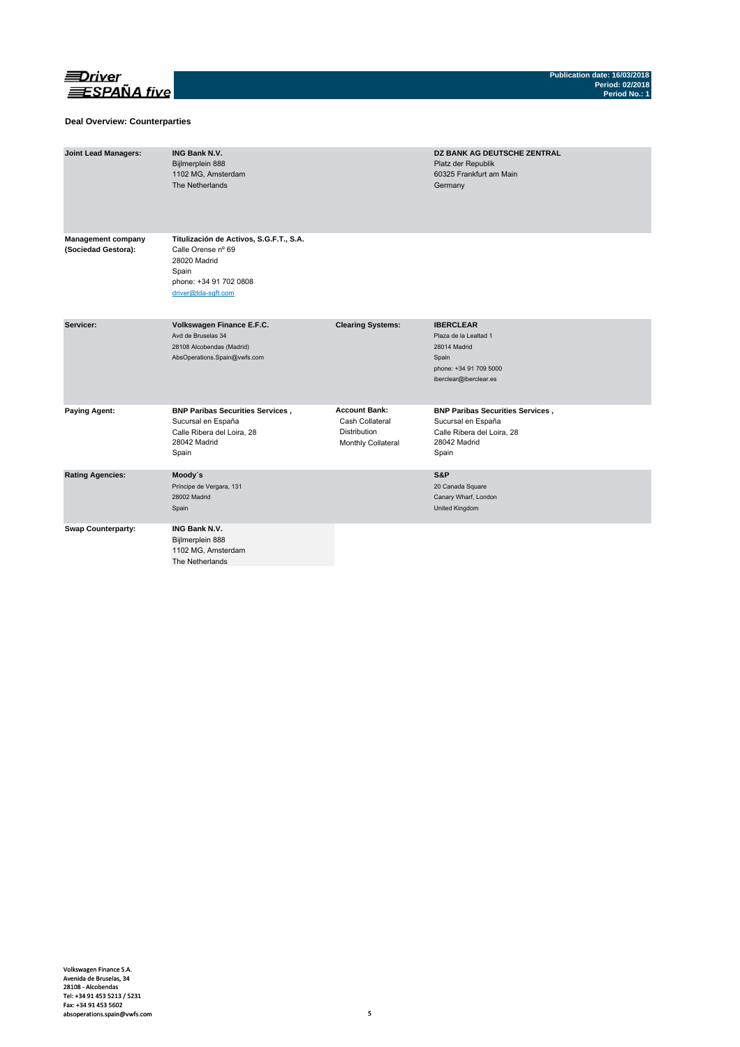

### **Deal Overview: Counterparties**

| <b>Joint Lead Managers:</b>                      | <b>ING Bank N.V.</b><br>Bijlmerplein 888<br>1102 MG, Amsterdam<br>The Netherlands                                                       |                                                                                      | DZ BANK AG DEUTSCHE ZENTRAL<br>Platz der Republik<br>60325 Frankfurt am Main<br>Germany                                |
|--------------------------------------------------|-----------------------------------------------------------------------------------------------------------------------------------------|--------------------------------------------------------------------------------------|------------------------------------------------------------------------------------------------------------------------|
| <b>Management company</b><br>(Sociedad Gestora): | Titulización de Activos, S.G.F.T., S.A.<br>Calle Orense nº 69<br>28020 Madrid<br>Spain<br>phone: +34 91 702 0808<br>driver@tda-sqft.com |                                                                                      |                                                                                                                        |
| Servicer:                                        | Volkswagen Finance E.F.C.<br>Avd de Bruselas 34<br>28108 Alcobendas (Madrid)<br>AbsOperations.Spain@vwfs.com                            | <b>Clearing Systems:</b>                                                             | <b>IBERCLEAR</b><br>Plaza de la Lealtad 1<br>28014 Madrid<br>Spain<br>phone: +34 91 709 5000<br>iberclear@iberclear.es |
| <b>Paying Agent:</b>                             | <b>BNP Paribas Securities Services,</b><br>Sucursal en España<br>Calle Ribera del Loira, 28<br>28042 Madrid<br>Spain                    | <b>Account Bank:</b><br>Cash Collateral<br><b>Distribution</b><br>Monthly Collateral | <b>BNP Paribas Securities Services,</b><br>Sucursal en España<br>Calle Ribera del Loira, 28<br>28042 Madrid<br>Spain   |
| <b>Rating Agencies:</b>                          | Moody's<br>Príncipe de Vergara, 131<br>28002 Madrid<br>Spain                                                                            |                                                                                      | S&P<br>20 Canada Square<br>Canary Wharf, London<br>United Kingdom                                                      |
| <b>Swap Counterparty:</b>                        | <b>ING Bank N.V.</b><br>Bijlmerplein 888<br>1102 MG, Amsterdam<br>The Netherlands                                                       |                                                                                      |                                                                                                                        |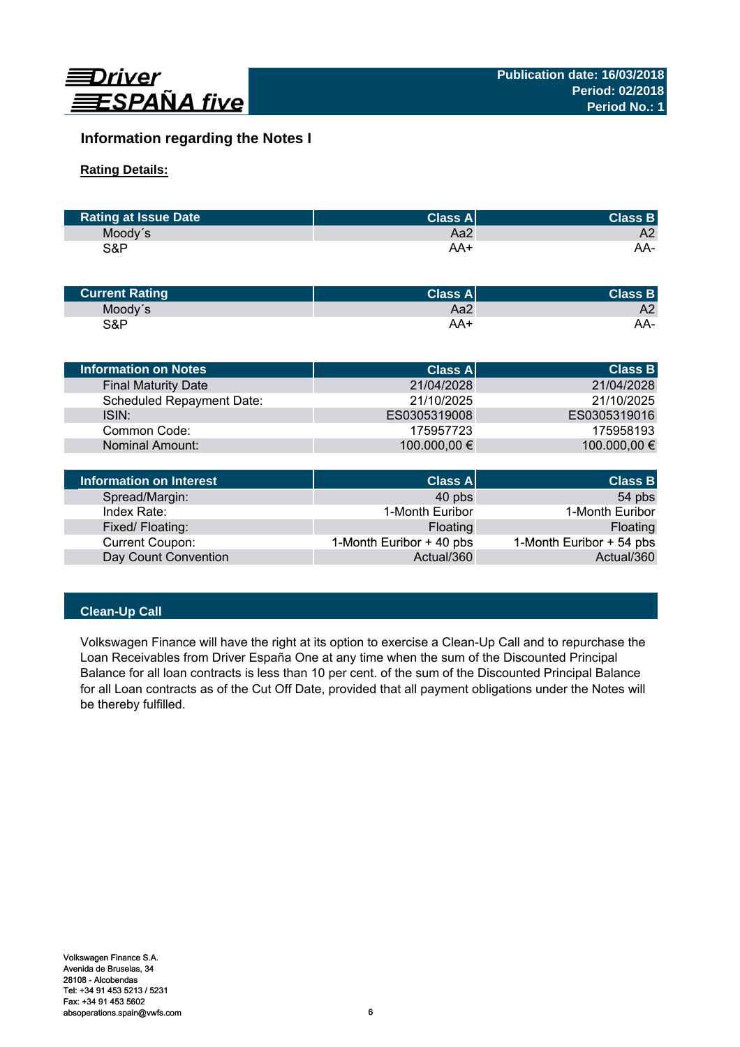

# **Information regarding the Notes I**

# **Rating Details:**

| <b>Rating at Issue Date</b> | <b>Class All</b> | <b>Class B</b> |
|-----------------------------|------------------|----------------|
| Moody's                     | Aa2              | A2             |
| S&P                         | AA+              | AA-            |

| <b>Current Rating</b> | Class Al | <b>Class B</b> |
|-----------------------|----------|----------------|
| Moody's               | Aa2      | A2             |
| S&P                   | AA+      | AA-            |

| <b>Information on Notes</b>    | <b>Class A</b> | <b>Class B</b> |
|--------------------------------|----------------|----------------|
| <b>Final Maturity Date</b>     | 21/04/2028     | 21/04/2028     |
| Scheduled Repayment Date:      | 21/10/2025     | 21/10/2025     |
| ISIN:                          | ES0305319008   | ES0305319016   |
| Common Code:                   | 175957723      | 175958193      |
| <b>Nominal Amount:</b>         | 100.000,00 €   | 100.000,00 €   |
|                                |                |                |
| <b>Information on Interest</b> | <b>Class A</b> | <b>Class B</b> |

| Information on Interest | <b>Class A</b>           | <b>Class B</b>           |
|-------------------------|--------------------------|--------------------------|
| Spread/Margin:          | 40 pbs                   | 54 pbs                   |
| Index Rate:             | 1-Month Euribor          | 1-Month Euribor          |
| Fixed/Floating:         | Floating                 | Floating                 |
| <b>Current Coupon:</b>  | 1-Month Euribor + 40 pbs | 1-Month Euribor + 54 pbs |
| Day Count Convention    | Actual/360               | Actual/360               |

# **Clean-Up Call**

Volkswagen Finance will have the right at its option to exercise a Clean-Up Call and to repurchase the Loan Receivables from Driver España One at any time when the sum of the Discounted Principal Balance for all loan contracts is less than 10 per cent. of the sum of the Discounted Principal Balance for all Loan contracts as of the Cut Off Date, provided that all payment obligations under the Notes will be thereby fulfilled.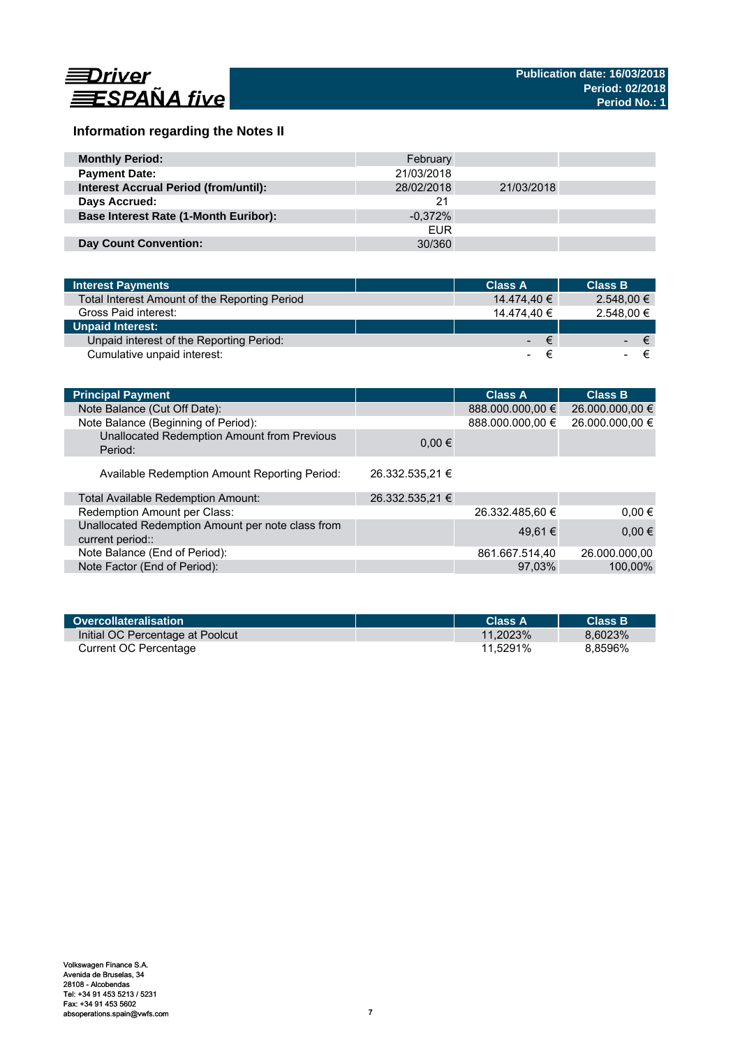

# **Information regarding the Notes II**

| <b>Monthly Period:</b>                       | February   |            |  |
|----------------------------------------------|------------|------------|--|
| <b>Payment Date:</b>                         | 21/03/2018 |            |  |
| <b>Interest Accrual Period (from/until):</b> | 28/02/2018 | 21/03/2018 |  |
| Days Accrued:                                | 21         |            |  |
| <b>Base Interest Rate (1-Month Euribor):</b> | $-0.372\%$ |            |  |
|                                              | <b>EUR</b> |            |  |
| <b>Day Count Convention:</b>                 | 30/360     |            |  |

| <b>Interest Payments</b>                      | <b>Class A</b> | <b>Class B</b>                |  |
|-----------------------------------------------|----------------|-------------------------------|--|
| Total Interest Amount of the Reporting Period |                | $2.548.00 \in$<br>14.474.40 € |  |
| Gross Paid interest:                          |                | 2.548.00 €<br>14.474.40 €     |  |
| <b>Unpaid Interest:</b>                       |                |                               |  |
| Unpaid interest of the Reporting Period:      |                | ∕€7<br>$ \epsilon$            |  |
| Cumulative unpaid interest:                   |                |                               |  |

| <b>Principal Payment</b>                                              |                 | <b>Class A</b>   | <b>Class B</b>  |
|-----------------------------------------------------------------------|-----------------|------------------|-----------------|
| Note Balance (Cut Off Date):                                          |                 | 888.000.000,00 € | 26.000.000,00 € |
| Note Balance (Beginning of Period):                                   |                 | 888.000.000,00 € | 26.000.000,00 € |
| Unallocated Redemption Amount from Previous<br>Period:                | $0.00 \in$      |                  |                 |
| Available Redemption Amount Reporting Period:                         | 26.332.535.21 € |                  |                 |
| Total Available Redemption Amount:                                    | 26.332.535,21 € |                  |                 |
| Redemption Amount per Class:                                          |                 | 26.332.485,60 €  | $0.00 \in$      |
| Unallocated Redemption Amount per note class from<br>current period:: |                 | 49.61 €          | $0.00 \in$      |
| Note Balance (End of Period):                                         |                 | 861.667.514,40   | 26.000.000.00   |
| Note Factor (End of Period):                                          |                 | 97.03%           | 100,00%         |
|                                                                       |                 |                  |                 |

| Overcollateralisation            | Class A     | <b>Class B</b> |
|----------------------------------|-------------|----------------|
| Initial OC Percentage at Poolcut | $11.2023\%$ | 8.6023%        |
| Current OC Percentage            | 11.5291%    | 8.8596%        |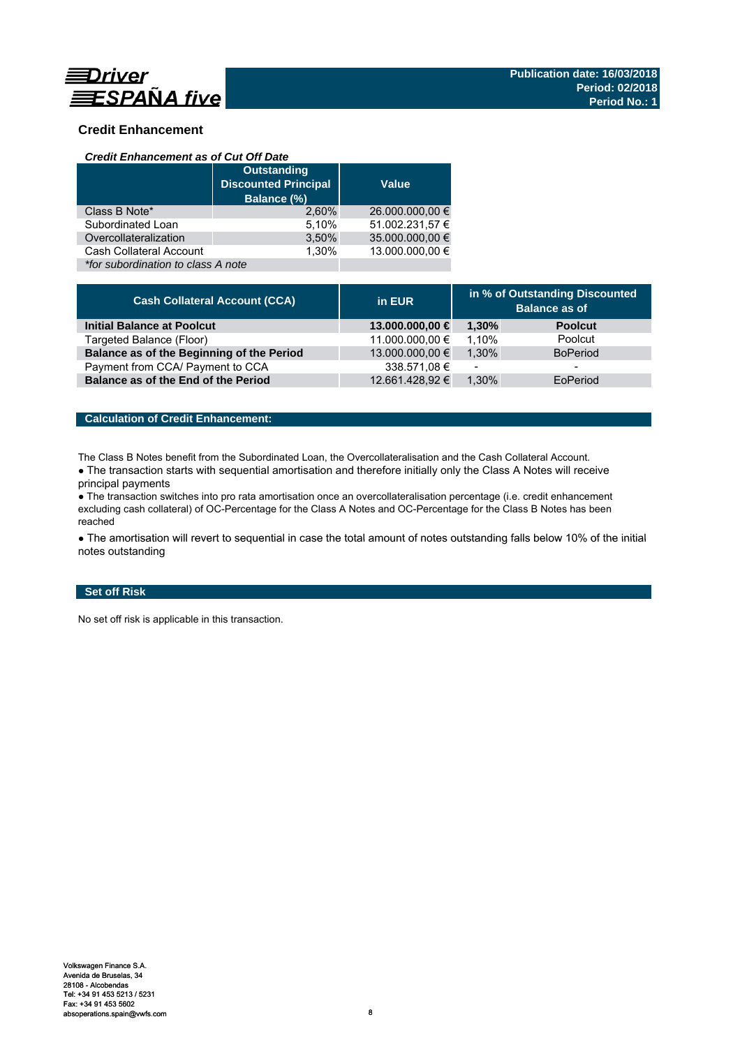

# **Credit Enhancement**

### *Credit Enhancement as of Cut Off Date*

|                                    | <b>Outstanding</b><br><b>Discounted Principal</b><br>Balance (%) | <b>Value</b>    |
|------------------------------------|------------------------------------------------------------------|-----------------|
| Class B Note*                      | 2.60%                                                            | 26.000.000,00 € |
| Subordinated Loan                  | 5,10%                                                            | 51.002.231,57 € |
| Overcollateralization              | 3,50%                                                            | 35.000.000,00 € |
| Cash Collateral Account            | 1.30%                                                            | 13.000.000.00 € |
| *for subordination to class A note |                                                                  |                 |

| <b>Cash Collateral Account (CCA)</b>      | in EUR          | in % of Outstanding Discounted<br><b>Balance as of</b> |                 |
|-------------------------------------------|-----------------|--------------------------------------------------------|-----------------|
| <b>Initial Balance at Poolcut</b>         | 13.000.000,00 € | 1.30%                                                  | <b>Poolcut</b>  |
| Targeted Balance (Floor)                  | 11.000.000,00 € | 1.10%                                                  | Poolcut         |
| Balance as of the Beginning of the Period | 13.000.000,00 € | 1.30%                                                  | <b>BoPeriod</b> |
| Payment from CCA/ Payment to CCA          | 338.571,08 €    | $\overline{\phantom{0}}$                               | -               |
| Balance as of the End of the Period       | 12.661.428.92 € | 1.30%                                                  | EoPeriod        |

# **Calculation of Credit Enhancement:**

The Class B Notes benefit from the Subordinated Loan, the Overcollateralisation and the Cash Collateral Account.

• The transaction starts with sequential amortisation and therefore initially only the Class A Notes will receive principal payments

● The transaction switches into pro rata amortisation once an overcollateralisation percentage (i.e. credit enhancement excluding cash collateral) of OC-Percentage for the Class A Notes and OC-Percentage for the Class B Notes has been reached

• The amortisation will revert to sequential in case the total amount of notes outstanding falls below 10% of the initial notes outstanding

# **Set off Risk**

No set off risk is applicable in this transaction.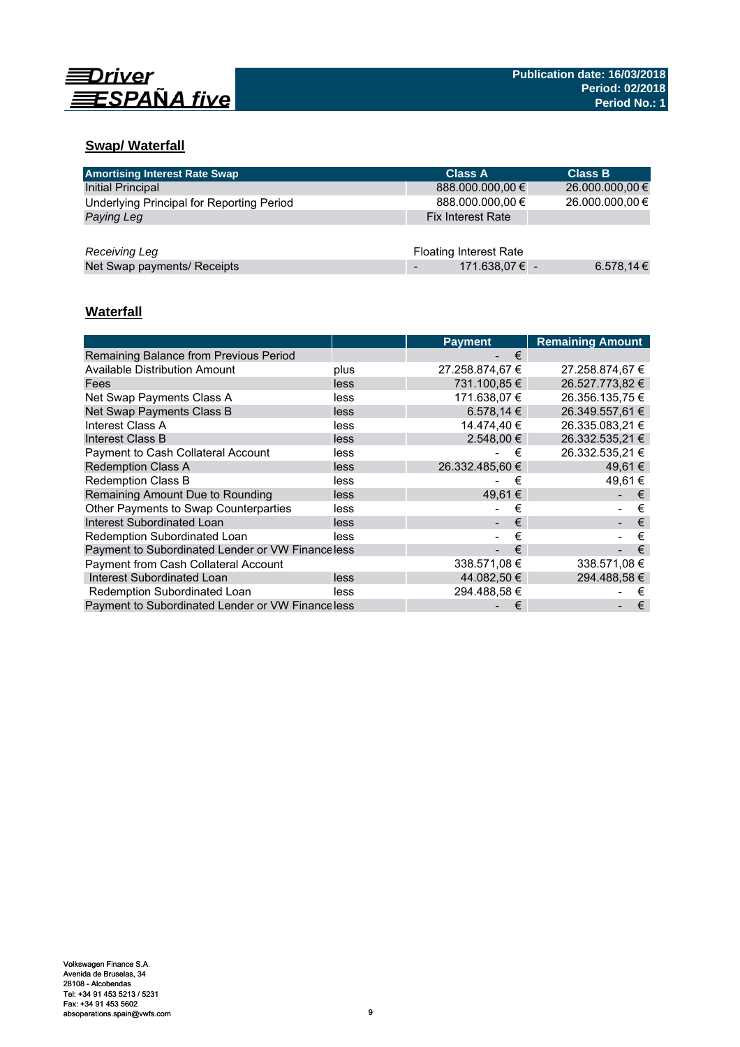

# **Swap/ Waterfall**

| <b>Amortising Interest Rate Swap</b>      | <b>Class A</b>                | <b>Class B</b>  |
|-------------------------------------------|-------------------------------|-----------------|
| <b>Initial Principal</b>                  | 888.000.000,00 €              | 26.000.000,00 € |
| Underlying Principal for Reporting Period | 888.000.000,00 €              | 26.000.000,00 € |
| Paying Leg                                | <b>Fix Interest Rate</b>      |                 |
|                                           |                               |                 |
| Receiving Leg                             | <b>Floating Interest Rate</b> |                 |
| Net Swap payments/ Receipts               | 171.638,07 € -                | 6.578,14 €      |

# **Waterfall**

|                                                   |      | <b>Payment</b>  | <b>Remaining Amount</b> |
|---------------------------------------------------|------|-----------------|-------------------------|
| Remaining Balance from Previous Period            |      | €               |                         |
| <b>Available Distribution Amount</b>              | plus | 27.258.874,67 € | 27.258.874,67 €         |
| Fees                                              | less | 731.100.85 €    | 26.527.773.82 €         |
| Net Swap Payments Class A                         | less | 171.638.07 €    | 26.356.135.75 €         |
| Net Swap Payments Class B                         | less | 6.578.14 €      | 26.349.557,61 €         |
| Interest Class A                                  | less | 14.474.40 €     | 26.335.083.21 €         |
| Interest Class B                                  | less | 2.548.00 €      | 26.332.535.21 €         |
| <b>Payment to Cash Collateral Account</b>         | less | €               | 26.332.535.21 €         |
| <b>Redemption Class A</b>                         | less | 26.332.485.60 € | 49.61 €                 |
| <b>Redemption Class B</b>                         | less | €               | 49.61 €                 |
| Remaining Amount Due to Rounding                  | less | 49.61 €         | €                       |
| Other Payments to Swap Counterparties             | less | €               | €                       |
| Interest Subordinated Loan                        | less | €               | €                       |
| Redemption Subordinated Loan                      | less | €               | €                       |
| Payment to Subordinated Lender or VW Finance less |      | €               | €                       |
| <b>Payment from Cash Collateral Account</b>       |      | 338.571.08 €    | 338.571.08 €            |
| Interest Subordinated Loan                        | less | 44.082,50 €     | 294.488.58 €            |
| Redemption Subordinated Loan                      | less | 294.488.58 €    | €                       |
| Payment to Subordinated Lender or VW Financeless  |      | €               | €                       |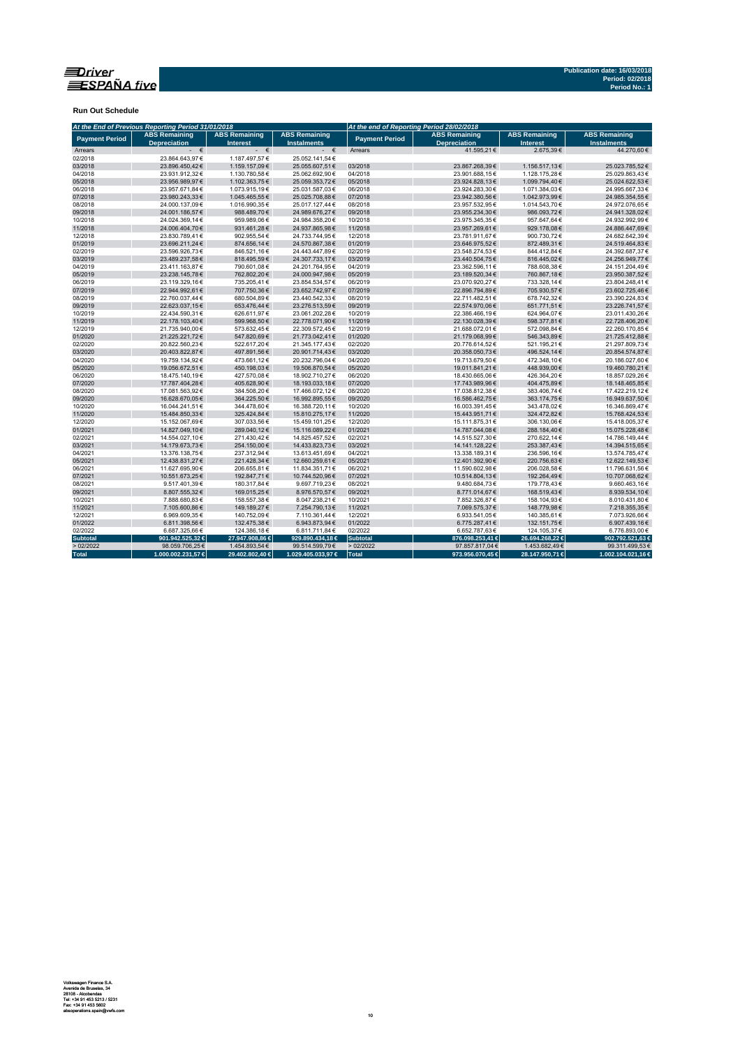

**Run Out Schedule**

| At the End of Previous Reporting Period 31/01/2018 |                                             |                                         | At the end of Reporting Period 28/02/2018  |                       |                                             |                                         |                                            |
|----------------------------------------------------|---------------------------------------------|-----------------------------------------|--------------------------------------------|-----------------------|---------------------------------------------|-----------------------------------------|--------------------------------------------|
| <b>Payment Period</b>                              | <b>ABS Remaining</b><br><b>Depreciation</b> | <b>ABS Remaining</b><br><b>Interest</b> | <b>ABS Remaining</b><br><b>Instalments</b> | <b>Payment Period</b> | <b>ABS Remaining</b><br><b>Depreciation</b> | <b>ABS Remaining</b><br><b>Interest</b> | <b>ABS Remaining</b><br><b>Instalments</b> |
| Arrears                                            | - €                                         | $ \in$                                  | $ \in$                                     | Arrears               | 41.595.21€                                  | 2.675.39€                               | 44.270.60 €                                |
| 02/2018                                            | 23.864.643.97€                              | 1.187.497,57€                           | 25.052.141.54€                             |                       |                                             |                                         |                                            |
| 03/2018                                            | 23.896.450,42€                              | 1.159.157,09€                           | 25.055.607,51€                             | 03/2018               | 23.867.268,39€                              | 1.156.517,13€                           | 25.023.785,52€                             |
| 04/2018                                            | 23.931.912,32€                              | 1.130.780,58€                           | 25.062.692,90€                             | 04/2018               | 23.901.688,15€                              | 1.128.175,28€                           | 25.029.863,43€                             |
| 05/2018                                            | 23.956.989,97€                              | 1.102.363,75€                           | 25.059.353,72€                             | 05/2018               | 23.924.828,13€                              | 1.099.794,40€                           | 25.024.622,53€                             |
| 06/2018                                            | 23.957.671,84€                              | 1.073.915,19€                           | 25.031.587,03€                             | 06/2018               | 23.924.283,30€                              | 1.071.384,03€                           | 24.995.667,33€                             |
| 07/2018                                            | 23.980.243.33€                              | 1.045.465,55€                           | 25.025.708,88€                             | 07/2018               | 23.942.380,56€                              | 1.042.973,99€                           | 24.985.354,55€                             |
| 08/2018                                            | 24.000.137,09€                              | 1.016.990,35€                           | 25.017.127,44€                             | 08/2018               | 23.957.532,95€                              | 1.014.543,70 €                          | 24.972.076,65€                             |
| 09/2018                                            | 24.001.186,57€                              | 988.489,70€                             | 24.989.676,27€                             | 09/2018               | 23.955.234,30€                              | 986.093,72€                             | 24.941.328,02€                             |
| 10/2018                                            | 24.024.369,14€                              | 959.989,06€                             | 24.984.358,20€                             | 10/2018               | 23.975.345,35€                              | 957.647,64€                             | 24.932.992,99€                             |
| 11/2018                                            | 24.006.404,70€                              | 931.461,28€                             | 24.937.865,98€                             | 11/2018               | 23.957.269,61€                              | 929.178,08€                             | 24.886.447,69€                             |
| 12/2018                                            | 23.830.789.41€                              | 902.955.54€                             | 24.733.744,95€                             | 12/2018               | 23.781.911.67€                              | 900.730.72€                             | 24.682.642.39€                             |
| 01/2019                                            | 23.696.211,24€                              | 874.656,14€                             | 24.570.867,38€                             | 01/2019               | 23.646.975,52€                              | 872.489,31€                             | 24.519.464,83€                             |
| 02/2019                                            | 23.596.926,73€                              | 846.521,16€                             | 24.443.447,89€                             | 02/2019               | 23.548.274,53€                              | 844.412,84€                             | 24.392.687,37€                             |
| 03/2019                                            | 23.489.237.58€                              | 818.495,59€                             | 24.307.733,17€                             | 03/2019               | 23.440.504,75€                              | 816.445.02€                             | 24.256.949,77€                             |
| 04/2019                                            | 23.411.163,87€                              | 790.601,08€                             | 24.201.764,95€                             | 04/2019               | 23.362.596,11€                              | 788.608,38€                             | 24.151.204,49€                             |
| 05/2019                                            | 23.238.145,78€                              | 762.802,20€                             | 24.000.947,98€                             | 05/2019               | 23.189.520,34€                              | 760.867,18€                             | 23.950.387,52€                             |
| 06/2019                                            | 23.119.329,16€                              | 735.205,41€                             | 23.854.534,57€                             | 06/2019               | 23.070.920,27€                              | 733.328,14 €                            | 23.804.248,41€                             |
| 07/2019                                            | 22.944.992,61€                              | 707.750,36€                             | 23.652.742,97€                             | 07/2019               | 22.896.794,89€                              | 705.930,57€                             | 23.602.725,46€                             |
| 08/2019                                            | 22.760.037.44€                              | 680.504,89€                             | 23.440.542,33€                             | 08/2019               | 22.711.482,51€                              | 678.742,32€                             | 23.390.224,83€                             |
| 09/2019                                            | 22.623.037.15€                              | 653.476,44€                             | 23.276.513,59€                             | 09/2019               | 22.574.970.06€                              | 651.771,51€                             | 23.226.741,57€                             |
| 10/2019                                            | 22.434.590,31€                              | 626.611,97€                             | 23.061.202,28€                             | 10/2019               | 22.386.466,19€                              | 624.964,07€                             | 23.011.430,26€                             |
| 11/2019                                            | 22.178.103,40€                              | 599.968,50€                             | 22.778.071,90€                             | 11/2019               | 22.130.028,39€                              | 598.377,81€                             | 22.728.406,20€                             |
| 12/2019                                            | 21.735.940.00€                              | 573.632,45€                             | 22.309.572,45€                             | 12/2019               | 21.688.072,01€                              | 572.098,84 €                            | 22.260.170.85€                             |
| 01/2020                                            | 21.225.221,72€                              | 547.820,69€                             | 21.773.042,41€                             | 01/2020               | 21.179.068,99€                              | 546.343,89€                             | 21.725.412,88€                             |
| 02/2020                                            | 20.822.560.23€                              | 522.617.20€                             | 21.345.177.43€                             | 02/2020               | 20.776.614.52€                              | 521.195.21€                             | 21.297.809,73€                             |
| 03/2020                                            | 20.403.822,87€                              | 497.891,56€                             | 20.901.714,43€                             | 03/2020               | 20.358.050,73€                              | 496.524,14€                             | 20.854.574,87€                             |
| 04/2020                                            | 19.759.134,92€                              | 473.661,12€                             | 20.232.796,04€                             | 04/2020               | 19.713.679,50€                              | 472.348,10€                             | 20.186.027,60€                             |
| 05/2020                                            | 19.056.672.51€                              | 450.198,03€                             | 19.506.870,54€                             | 05/2020               | 19.011.841,21€                              | 448.939.00 €                            | 19.460.780,21€                             |
| 06/2020                                            | 18.475.140.19€                              | 427.570.08€                             | 18.902.710.27€                             | 06/2020               | 18.430.665.06€                              | 426.364.20€                             | 18.857.029,26€                             |
| 07/2020                                            | 17.787.404,28€                              | 405.628,90€                             | 18.193.033,18€                             | 07/2020               | 17.743.989,96€                              | 404.475,89€                             | 18.148.465,85€                             |
| 08/2020                                            | 17.081.563,92€                              | 384.508,20€                             | 17.466.072,12€                             | 08/2020               | 17.038.812,38€                              | 383.406,74€                             | 17.422.219,12€                             |
| 09/2020                                            | 16.628.670,05€                              | 364.225,50€                             | 16.992.895,55€                             | 09/2020               | 16.586.462,75€                              | 363.174,75€                             | 16.949.637,50€                             |
| 10/2020                                            | 16.044.241,51€                              | 344.478,60€                             | 16.388.720,11€                             | 10/2020               | 16.003.391,45€                              | 343.478,02€                             | 16.346.869,47€                             |
| 11/2020                                            | 15.484.850.33€                              | 325.424,84 €                            | 15.810.275,17€                             | 11/2020               | 15.443.951.71€                              | 324.472.82€                             | 15.768.424,53€                             |
| 12/2020                                            | 15.152.067,69€                              | 307.033,56€                             | 15.459.101,25€                             | 12/2020               | 15.111.875,31€                              | 306.130,06€                             | 15.418.005,37€                             |
| 01/2021                                            | 14.827.049,10€                              | 289.040,12€                             | 15.116.089,22€                             | 01/2021               | 14.787.044,08€                              | 288.184,40€                             | 15.075.228,48€                             |
| 02/2021                                            | 14.554.027,10€                              | 271.430,42€                             | 14.825.457,52€                             | 02/2021               | 14.515.527,30€                              | 270.622,14€                             | 14.786.149,44€                             |
| 03/2021                                            | 14.179.673,73€                              | 254.150,00€                             | 14.433.823,73€                             | 03/2021               | 14.141.128,22€                              | 253.387,43€                             | 14.394.515,65€                             |
| 04/2021                                            | 13.376.138.75€                              | 237.312.94€                             | 13.613.451,69€                             | 04/2021               | 13.338.189.31 €                             | 236.596.16€                             | 13.574.785.47€                             |
| 05/2021                                            | 12.438.831,27€                              | 221.428,34€                             | 12.660.259,61€                             | 05/2021               | 12.401.392,90€                              | 220.756,63€                             | 12.622.149,53€                             |
| 06/2021                                            | 11.627.695,90€                              | 206.655,81€                             | 11.834.351,71€                             | 06/2021               | 11.590.602,98€                              | 206.028,58€                             | 11.796.631,56€                             |
| 07/2021                                            | 10.551.673,25€                              | 192.847,71€                             | 10.744.520,96€                             | 07/2021               | 10.514.804,13€                              | 192.264,49€                             | 10.707.068,62€                             |
| 08/2021                                            | 9.517.401,39€                               | 180.317,84 €                            | 9.697.719,23€                              | 08/2021               | 9.480.684,73€                               | 179.778,43€                             | 9.660.463,16€                              |
| 09/2021                                            | 8.807.555,32€                               | 169.015,25€                             | 8.976.570,57€                              | 09/2021               | 8.771.014,67€                               | 168.519,43€                             | 8.939.534,10€                              |
|                                                    |                                             |                                         |                                            | 10/2021               |                                             |                                         |                                            |
| 10/2021<br>11/2021                                 | 7.888.680,83€<br>7.105.600,86€              | 158.557,38€<br>149.189,27€              | 8.047.238,21€<br>7.254.790,13€             | 11/2021               | 7.852.326,87€                               | 158.104,93€<br>148.779,98€              | 8.010.431,80€<br>7.218.355,35€             |
|                                                    |                                             |                                         |                                            |                       | 7.069.575,37€                               |                                         |                                            |
| 12/2021                                            | 6.969.609,35€                               | 140.752,09€                             | 7.110.361,44 €                             | 12/2021               | 6.933.541,05€                               | 140.385,61€                             | 7.073.926,66€                              |
| 01/2022                                            | 6.811.398.56€                               | 132.475.38€                             | 6.943.873,94 €                             | 01/2022               | 6.775.287.41€                               | 132.151.75€                             | 6.907.439,16€                              |
| 02/2022                                            | 6.687.325,66€                               | 124.386,18€                             | 6.811.711,84€                              | 02/2022               | 6.652.787,63€                               | 124.105,37€                             | 6.776.893,00€                              |
| <b>Subtotal</b>                                    | 901.942.525,32 €                            | 27.947.908,86 €                         | 929.890.434,18€                            | <b>Subtotal</b>       | 876.098.253,41 €                            | 26.694.268,22 €                         | 902.792.521,63 €                           |
| >02/2022                                           | 98.059.706,25€                              | 1.454.893,54 €                          | 99.514.599,79€                             | >02/2022              | 97.857.817,04€                              | 1.453.682,49€                           | 99.311.499,53€                             |
| <b>Total</b>                                       | 1.000.002.231,57 €                          | 29.402.802,40 €                         | 1.029.405.033,97 €                         | Total                 | 973.956.070,45 €                            | 28.147.950,71 €                         | 1.002.104.021,16€                          |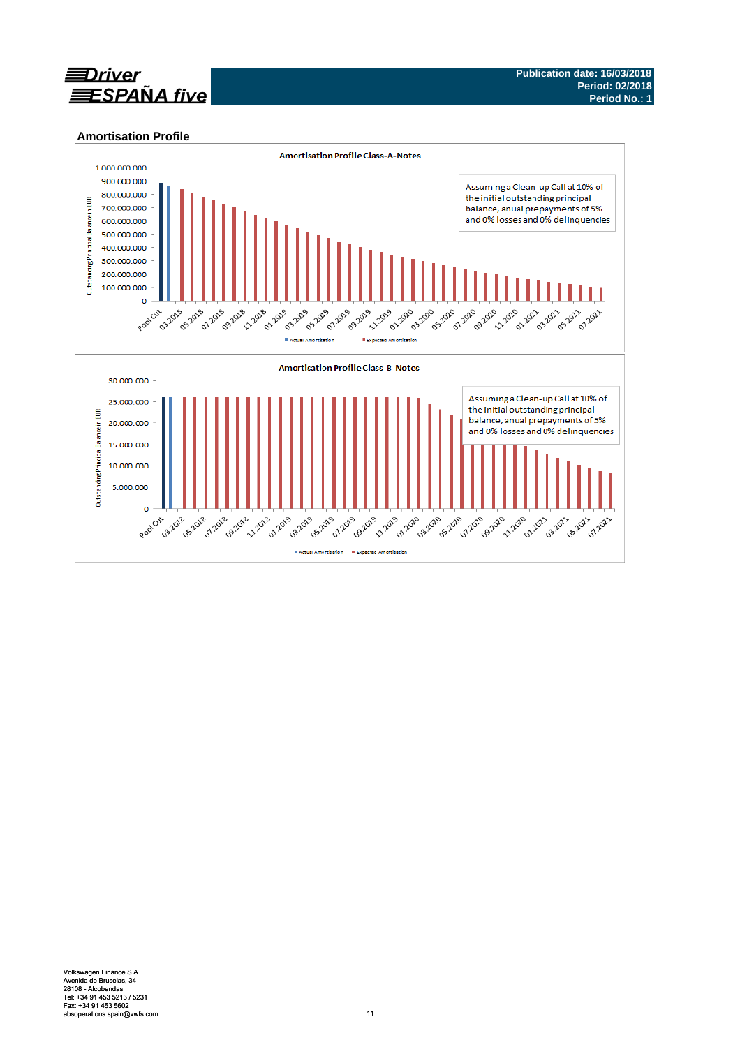

## **Amortisation Profile**

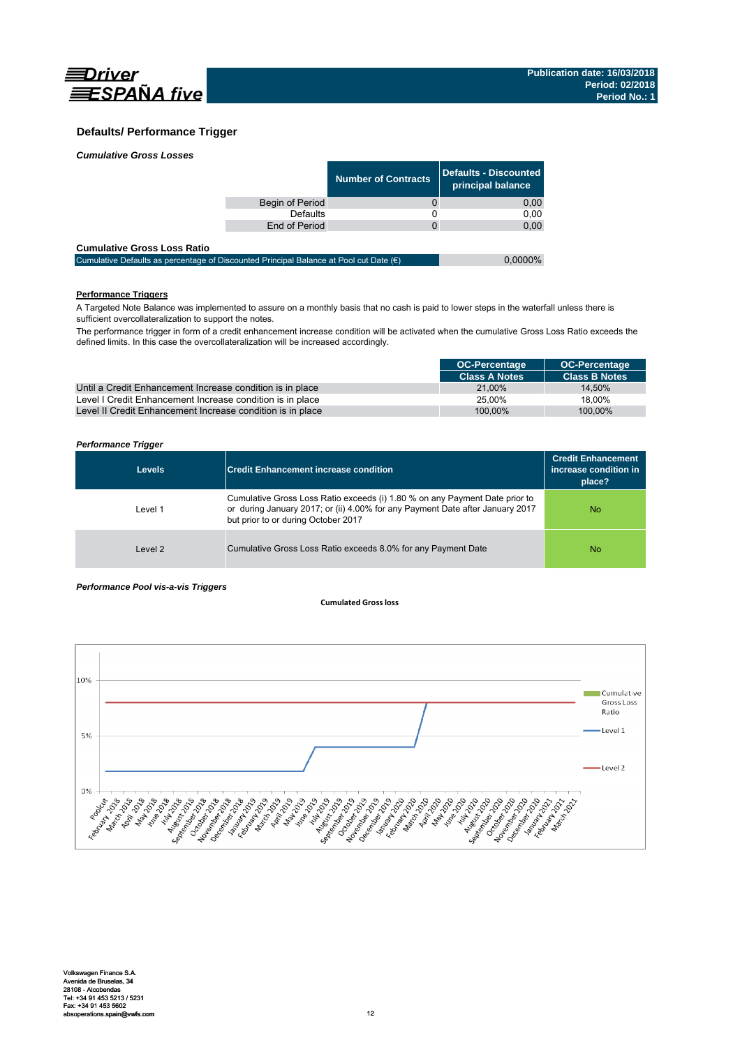

# **Defaults/ Performance Trigger**

|                 | <b>Number of Contracts</b> | Defaults - Discounted<br>principal balance |
|-----------------|----------------------------|--------------------------------------------|
| Begin of Period |                            | 0,00                                       |
| <b>Defaults</b> |                            | 0.00                                       |
| End of Period   |                            | 0,00                                       |
|                 |                            |                                            |

#### **Cumulative Gross Loss Ratio**

| -------------------------------                                                                 |            |
|-------------------------------------------------------------------------------------------------|------------|
| Cumulative Defaults as percentage of Discounted Principal Balance at Pool cut Date $(\epsilon)$ | $0.0000\%$ |
|                                                                                                 |            |

# **Performance Triggers**

A Targeted Note Balance was implemented to assure on a monthly basis that no cash is paid to lower steps in the waterfall unless there is sufficient overcollateralization to support the notes.

The performance trigger in form of a credit enhancement increase condition will be activated when the cumulative Gross Loss Ratio exceeds the defined limits. In this case the overcollateralization will be increased accordingly.

|                                                            | <b>OC-Percentage</b> | <b>OC-Percentage</b> |
|------------------------------------------------------------|----------------------|----------------------|
|                                                            | <b>Class A Notes</b> | <b>Class B Notes</b> |
| Until a Credit Enhancement Increase condition is in place  | 21.00%               | 14.50%               |
| Level I Credit Enhancement Increase condition is in place  | 25.00%               | 18.00%               |
| Level II Credit Enhancement Increase condition is in place | 100.00%              | 100.00%              |

### *Performance Trigger*

| <b>Levels</b> | <b>Credit Enhancement increase condition</b>                                                                                                                                                        | <b>Credit Enhancement</b><br>increase condition in<br>place? |
|---------------|-----------------------------------------------------------------------------------------------------------------------------------------------------------------------------------------------------|--------------------------------------------------------------|
| Level 1       | Cumulative Gross Loss Ratio exceeds (i) 1.80 % on any Payment Date prior to<br>or during January 2017; or (ii) 4.00% for any Payment Date after January 2017<br>but prior to or during October 2017 | <b>No</b>                                                    |
| Level 2       | Cumulative Gross Loss Ratio exceeds 8.0% for any Payment Date                                                                                                                                       | <b>No</b>                                                    |

#### *Performance Pool vis-a-vis Triggers*

#### **Cumulated Grossloss**

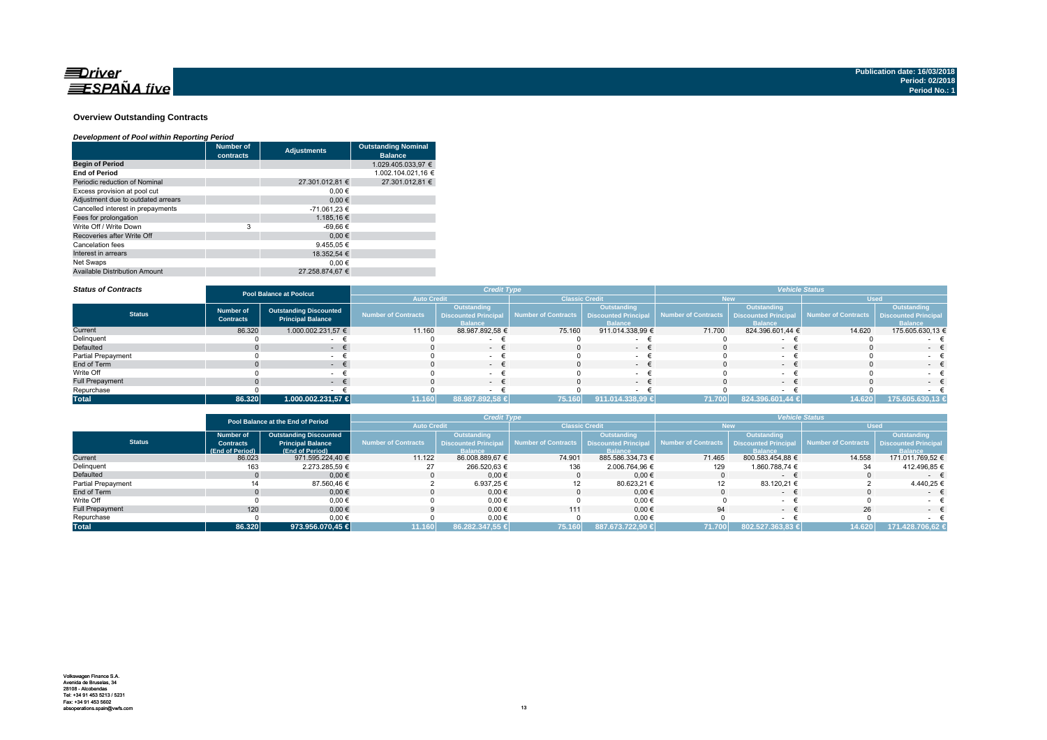

#### **Overview Outstanding Contracts**

#### *Development of Pool within Reporting Period*

|                                      | <b>Number of</b><br>contracts | <b>Adjustments</b> | <b>Outstanding Nominal</b><br><b>Balance</b> |
|--------------------------------------|-------------------------------|--------------------|----------------------------------------------|
| <b>Begin of Period</b>               |                               |                    | 1.029.405.033.97 €                           |
| <b>End of Period</b>                 |                               |                    | 1.002.104.021.16 €                           |
| Periodic reduction of Nominal        |                               | 27.301.012.81 €    | 27.301.012.81 €                              |
| Excess provision at pool cut         |                               | $0.00 \in$         |                                              |
| Adjustment due to outdated arrears   |                               | 0.00€              |                                              |
| Cancelled interest in prepayments    |                               | -71.061.23 €       |                                              |
| Fees for prolongation                |                               | 1.185.16 €         |                                              |
| Write Off / Write Down               | 3                             | -69.66 €           |                                              |
| Recoveries after Write Off           |                               | 0.00€              |                                              |
| Cancelation fees                     |                               | 9.455.05 €         |                                              |
| Interest in arrears                  |                               | 18.352.54 €        |                                              |
| Net Swaps                            |                               | 0.00€              |                                              |
| <b>Available Distribution Amount</b> |                               | 27.258.874.67 €    |                                              |

#### *Status of Contracts*

| <b>Status of Contracts</b> | <b>Pool Balance at Poolcut</b>       |                                                           |                     | <b>Credit Type</b>                                                  |                       |                                                                    | <b>Vehicle Status</b> |                                                              |                                          |                               |
|----------------------------|--------------------------------------|-----------------------------------------------------------|---------------------|---------------------------------------------------------------------|-----------------------|--------------------------------------------------------------------|-----------------------|--------------------------------------------------------------|------------------------------------------|-------------------------------|
|                            |                                      |                                                           | <b>Auto Credit</b>  |                                                                     | <b>Classic Credit</b> |                                                                    |                       |                                                              | <b>Used</b>                              |                               |
| <b>Status</b>              | <b>Number of</b><br><b>Contracts</b> | <b>Outstanding Discounted</b><br><b>Principal Balance</b> | Number of Contracts | <b>Outstanding</b><br><b>Discounted Principal</b><br><b>Balance</b> | Number of Contracts   | <b>Outstanding</b><br><b>Discounted Principa</b><br><b>Balance</b> | Number of Contracts   | Outstanding<br><b>Discounted Principal</b><br><b>Ralance</b> | Number of Contracts Discounted Principal | Outstanding<br><b>Balance</b> |
| Current                    | 86.320                               | 1.000.002.231,57 €                                        | 11.160              | 88.987.892,58 €                                                     | 75.160                | 911.014.338,99 €                                                   | 71.700                | 824.396.601.44 €                                             | 14.620                                   | 175.605.630,13 €              |
| Delinquent                 |                                      |                                                           |                     |                                                                     |                       |                                                                    |                       |                                                              |                                          |                               |
| <b>Defaulted</b>           |                                      |                                                           |                     | $\sim$                                                              |                       | $\sim$                                                             |                       | $-$                                                          |                                          | $\sim$                        |
| Partial Prepayment         |                                      |                                                           |                     |                                                                     |                       |                                                                    |                       |                                                              |                                          |                               |
| End of Term                |                                      | $\sim$                                                    |                     | $-1$                                                                |                       | $\sim$                                                             |                       | $\sim$                                                       |                                          | $-1$                          |
| Write Off                  |                                      |                                                           |                     | $\sim$                                                              |                       |                                                                    |                       |                                                              |                                          | $-$                           |
| <b>Full Prepayment</b>     |                                      |                                                           |                     | $ +$                                                                |                       | $\sim$                                                             |                       |                                                              |                                          | $-$                           |
| Repurchase                 |                                      |                                                           |                     |                                                                     |                       |                                                                    |                       |                                                              |                                          |                               |
| <b>Total</b>               | 86.320                               | 1.000.002.231,57 €                                        | 11.160              | 88.987.892,58 €                                                     | 75.160                | 911.014.338,99 €                                                   | 71.700                | 824.396.601,44 €                                             | 14.620                                   | 175.605.630,13 €              |

|                    | Pool Balance at the End of Period |                               |                     | <b>Credit Type</b>          |                                            |                  | <b>Vehicle Status</b> |                    |                                                 |                             |  |
|--------------------|-----------------------------------|-------------------------------|---------------------|-----------------------------|--------------------------------------------|------------------|-----------------------|--------------------|-------------------------------------------------|-----------------------------|--|
|                    |                                   |                               | <b>Auto Credit</b>  |                             | <b>Classic Credit</b>                      |                  |                       | New                | <b>Used</b>                                     |                             |  |
|                    | <b>Number of</b>                  | <b>Outstanding Discounted</b> |                     | <b>Outstanding</b>          |                                            | Outstanding      |                       | <b>Outstanding</b> |                                                 | Outstanding                 |  |
| <b>Status</b>      | <b>Contracts</b>                  | <b>Principal Balance</b>      | Number of Contracts | <b>Discounted Principal</b> | Number of Contracts   Discounted Principal |                  | Number of Contracts   |                    | <b>Discounted Principal Number of Contracts</b> | <b>Discounted Principal</b> |  |
|                    | (End of Period)                   | (End of Period)               |                     | <b>Balance</b>              |                                            | <b>Balance</b>   |                       | <b>Ralance</b>     |                                                 | <b>Balance</b>              |  |
| Current            | 86.023                            | 971.595.224.40 €              | 11.122              | 86.008.889.67 €             | 74.901                                     | 885.586.334.73 € | 71.465                | 800.583.454.88 €   | 14.558                                          | 171.011.769,52 €            |  |
| Delinquent         |                                   | 2.273.285.59 €                |                     | 266.520.63 €                | 136                                        | 2.006.764,96 €   | 129                   | 1.860.788.74 €     | 34                                              | 412.496,85 €                |  |
| Defaulted          |                                   | $0.00 \in$                    |                     | $0.00 \in$                  |                                            | 0.00€            |                       | $\sim$             |                                                 | $ \pm$                      |  |
| Partial Prepayment |                                   | 87.560,46 €                   |                     | 6.937.25 €                  |                                            | 80.623,21 €      |                       | 83.120.21 €        |                                                 | 4.440.25 €                  |  |
| End of Term        |                                   | $0.00 \in$                    |                     | $0.00 \in$                  |                                            | $0.00 \in$       |                       | $\sim$             |                                                 | $ \epsilon$                 |  |
| Write Off          |                                   | $0,00 \in$                    |                     | 0,00€                       |                                            | $0,00$ €         |                       |                    |                                                 |                             |  |
| Full Prepayment    | 120                               | $0.00 \in$                    |                     | $0.00 \in$                  | 111                                        | 0.00€            | 94                    | $\sim$             | 26                                              |                             |  |
| Repurchase         |                                   | $0,00 \in$                    |                     | 0,00€                       |                                            | $0,00 \in$       |                       |                    |                                                 |                             |  |
| <b>Total</b>       | 86.320                            | 973.956.070,45 €              | 11.160              | 86.282.347.55 €             | 75.160                                     | 887.673.722.90 € | 71.700                | 802.527.363.83 €   | 14.620                                          | 171.428.706.62 €            |  |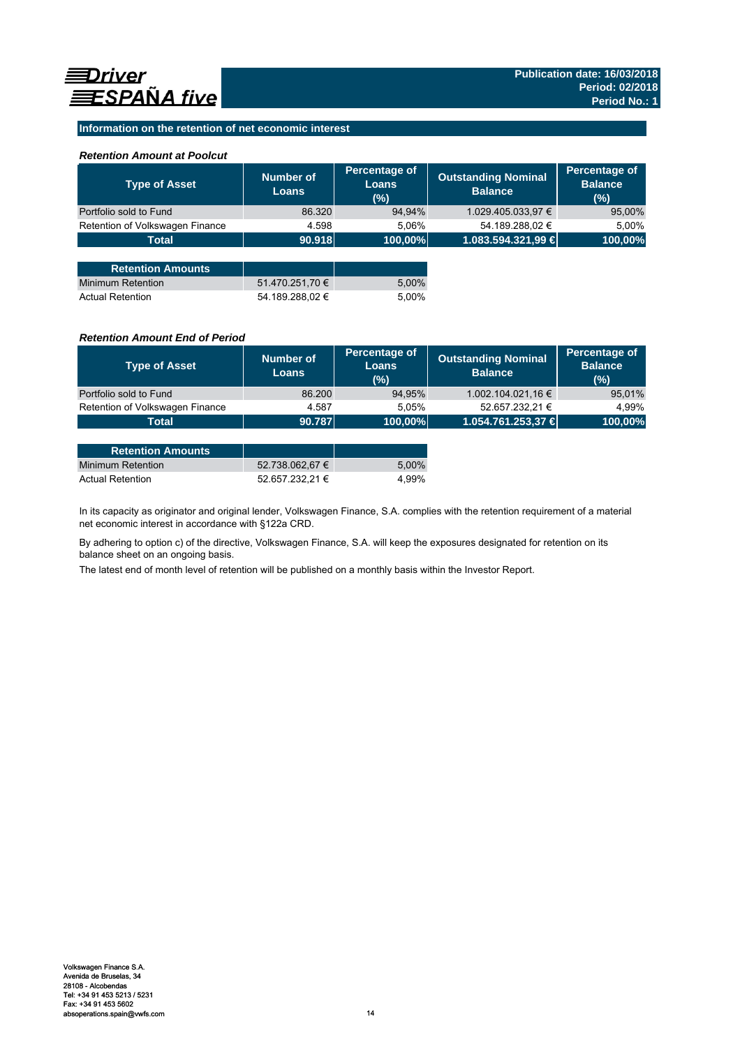## **Information on the retention of net economic interest**

## *Retention Amount at Poolcut*

| <b>Type of Asset</b>            | Number of<br><b>Loans</b> | Percentage of<br><b>Loans</b><br>(%) | <b>Outstanding Nominal</b><br><b>Balance</b> | Percentage of<br><b>Balance</b><br>(%) |
|---------------------------------|---------------------------|--------------------------------------|----------------------------------------------|----------------------------------------|
| Portfolio sold to Fund          | 86.320                    | 94,94%                               | 1.029.405.033,97 €                           | 95,00%                                 |
| Retention of Volkswagen Finance | 4.598                     | 5.06%                                | 54.189.288,02 €                              | 5,00%                                  |
| <b>Total</b>                    | 90.918                    | 100,00%                              | 1.083.594.321,99 €                           | 100,00%                                |
|                                 |                           |                                      |                                              |                                        |
| <b>Retention Amounts</b>        |                           |                                      |                                              |                                        |
| <b>Minimum Retention</b>        | 51.470.251,70 €           | 5,00%                                |                                              |                                        |
| <b>Actual Retention</b>         | 54.189.288.02 €           | 5.00%                                |                                              |                                        |

## *Retention Amount End of Period*

| <b>Type of Asset</b>            | Number of<br><b>Loans</b> | Percentage of<br>Loans<br>(%) | <b>Outstanding Nominal</b><br><b>Balance</b> | Percentage of<br><b>Balance</b><br>(%) |
|---------------------------------|---------------------------|-------------------------------|----------------------------------------------|----------------------------------------|
| Portfolio sold to Fund          | 86.200                    | 94,95%                        | 1.002.104.021,16 €                           | 95,01%                                 |
| Retention of Volkswagen Finance | 4.587                     | 5.05%                         | 52.657.232,21 €                              | 4.99%                                  |
| Total                           | 90.787                    | 100,00%                       | 1.054.761.253,37 €                           | 100,00%                                |

| <b>Retention Amounts</b> |                 |       |
|--------------------------|-----------------|-------|
| Minimum Retention        | 52.738.062.67 € | 5.00% |
| <b>Actual Retention</b>  | 52.657.232.21 € | 4.99% |

In its capacity as originator and original lender, Volkswagen Finance, S.A. complies with the retention requirement of a material net economic interest in accordance with §122a CRD.

By adhering to option c) of the directive, Volkswagen Finance, S.A. will keep the exposures designated for retention on its balance sheet on an ongoing basis.

The latest end of month level of retention will be published on a monthly basis within the Investor Report.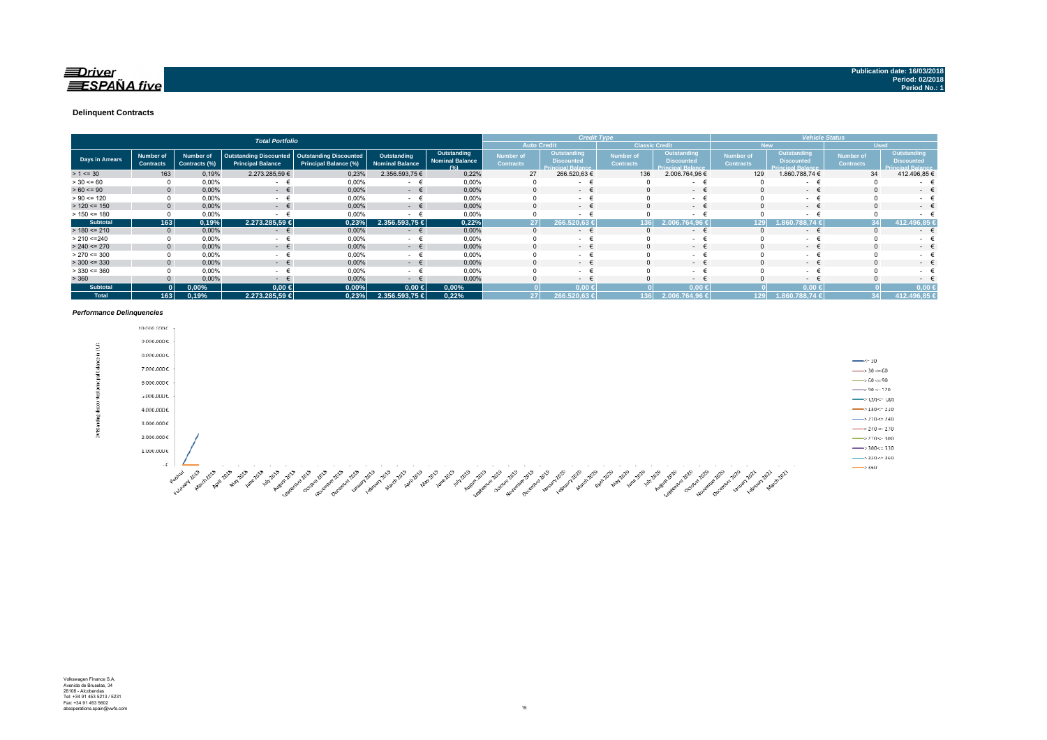#### **Delinquent Contracts**

|                 | <b>Total Portfolio</b>                      |                                   |                                                           |                                                               |                                       |                                               | <b>Credit Type</b>                   |                                                              |                                      |                                                              | <b>Vehicle Status</b>         |                                                              |                                      |                                                              |
|-----------------|---------------------------------------------|-----------------------------------|-----------------------------------------------------------|---------------------------------------------------------------|---------------------------------------|-----------------------------------------------|--------------------------------------|--------------------------------------------------------------|--------------------------------------|--------------------------------------------------------------|-------------------------------|--------------------------------------------------------------|--------------------------------------|--------------------------------------------------------------|
|                 | <b>Auto Credit</b><br><b>Classic Credit</b> |                                   |                                                           |                                                               |                                       |                                               |                                      |                                                              | <b>New</b>                           | <b>Used</b>                                                  |                               |                                                              |                                      |                                                              |
| Days in Arrears | <b>Number of</b><br><b>Contracts</b>        | <b>Number of</b><br>Contracts (%) | <b>Outstanding Discounted</b><br><b>Principal Balance</b> | <b>Outstanding Discounted</b><br><b>Principal Balance (%)</b> | Outstanding<br><b>Nominal Balance</b> | Outstanding<br><b>Nominal Balance</b><br>10/1 | <b>Number of</b><br><b>Contracts</b> | Outstanding<br><b>Discounted</b><br><b>Principal Balance</b> | <b>Number of</b><br><b>Contracts</b> | Outstanding<br><b>Discounted</b><br><b>Princinal Ralance</b> | Number of<br><b>Contracts</b> | Outstanding<br><b>Discounted</b><br><b>Princinal Ralance</b> | <b>Number of</b><br><b>Contracts</b> | Outstanding<br><b>Discounted</b><br><b>Principal Balance</b> |
| $> 1 \le 30$    | 163                                         | 0,19%                             | 2.273.285,59 €                                            | 0,23%                                                         | 2.356.593,75 €                        | 0,22%                                         | 27                                   | 266.520,63 €                                                 | 136                                  | 2.006.764,96 €                                               | 129                           | 1.860.788,74 €                                               | 34                                   | 412.496,85 €                                                 |
| $> 30 \le 60$   |                                             | 0,00%                             | $\sim$                                                    | 0,00%                                                         | $\sim$                                | 0,00%                                         |                                      | $\sim$                                                       |                                      | $\sim$                                                       |                               | $\sim$                                                       |                                      | ۰                                                            |
| $> 60 \le 90$   | $\mathbf{0}$                                | 0,00%                             | $ \epsilon$                                               | 0,00%                                                         | $ \epsilon$                           | 0,00%                                         |                                      | <b>Contract Contract</b>                                     |                                      | . .                                                          |                               | $ \epsilon$                                                  | $\Omega$                             | $\sim$                                                       |
| $> 90 \le 120$  |                                             | 0,00%                             | $\sim$                                                    | 0,00%                                                         | $\sim$                                | 0,00%                                         |                                      | $\sim$                                                       |                                      | $\sim$                                                       |                               | $\sim$                                                       |                                      | . .                                                          |
| $> 120 \le 150$ | $\Omega$                                    | 0,00%                             | $ \epsilon$                                               | 0,00%                                                         | $ \epsilon$                           | 0,00%                                         |                                      | $\sim$ 100 $\mu$                                             |                                      | $-1$                                                         |                               | $ \epsilon$                                                  | $\Omega$                             | $\sim$                                                       |
| $> 150 \le 180$ |                                             | 0,00%                             |                                                           | 0,00%                                                         | $\sim$                                | 0,00%                                         |                                      | $\sim$                                                       |                                      | $\sim$                                                       |                               | ۰                                                            | $\Omega$                             |                                                              |
| <b>Subtotal</b> | 163                                         | 0,19%                             | 2.273.285,59 €                                            | 0,23%                                                         | 2.356.593,75 €                        | 0,22%                                         | 27 <sup>1</sup>                      | 266.520.63                                                   | 36                                   | 2.006.764.96                                                 | 129                           | 60.788,74 €                                                  | 34                                   | 412.496,85                                                   |
| $> 180 \le 210$ | $\mathbf{0}$                                | 0,00%                             | €<br><b>Service</b>                                       | 0,00%                                                         | €<br>$\sim$                           | 0,00%                                         | $\Omega$                             | $\sim$                                                       |                                      | $\sim$ 100 $\mu$                                             |                               | $ \epsilon$                                                  | $\Omega$                             | $\sim$                                                       |
| > 210 < 240     |                                             | 0,00%                             | $\sim$                                                    | 0,00%                                                         | $\sim$                                | 0,00%                                         |                                      | $\sim$                                                       |                                      | $\sim$                                                       |                               | $\sim$                                                       |                                      | ۰                                                            |
| $> 240 \le 270$ |                                             | 0,00%                             | $ \epsilon$                                               | 0,00%                                                         | $ \epsilon$                           | 0,00%                                         |                                      | $\sim$                                                       |                                      | $ \epsilon$                                                  |                               | $ \epsilon$                                                  | $\Omega$                             | ۰                                                            |
| $> 270 \le 300$ |                                             | 0,00%                             | <b>Service</b>                                            | 0,00%                                                         | $\sim$                                | 0,00%                                         |                                      | $\sim$                                                       |                                      | $\sim$                                                       |                               | $\sim$                                                       |                                      | $\sim$                                                       |
| $>$ 300 <= 330  | $\Omega$                                    | 0,00%                             | $ \epsilon$                                               | 0,00%                                                         | $ \epsilon$                           | 0,00%                                         | 0                                    | $\sim$ 100 $\mu$                                             |                                      | $ \epsilon$                                                  |                               | $ \epsilon$                                                  | $\Omega$                             | $\sim$ 100 $\mu$                                             |
| $> 330 \le 360$ |                                             | 0,00%                             | $\sim$                                                    | 0,00%                                                         | $\sim$                                | 0,00%                                         |                                      | <b>Service</b>                                               |                                      | $\sim$                                                       |                               | $ +$                                                         |                                      | ۰.                                                           |
| > 360           |                                             | 0,00%                             | $\sim$                                                    | 0,00%                                                         | $\sim$                                | 0,00%                                         |                                      | $\sim$                                                       |                                      | $-1$                                                         |                               | $ \epsilon$                                                  |                                      | $\sim$                                                       |
| <b>Subtotal</b> |                                             | 0,00%                             | $0,00$ €                                                  | 0,00%                                                         | $0,00$ ∈                              | 0,00%                                         |                                      | $0.00 \le$                                                   |                                      | 0,00<                                                        |                               | $0.00*$                                                      |                                      | 0.00                                                         |
| <b>Total</b>    | 163                                         | 0.19%                             | 2.273.285.59 €                                            | 0,23%                                                         | 2.356.593,75 €                        | 0.22%                                         | 27                                   | , 266.520,63 €                                               | 136                                  | 2.006.764.96 €                                               | 129                           | 1.860.788.74 €                                               | 34                                   | 412.496,85 €                                                 |

#### *Performance Delinquencies*

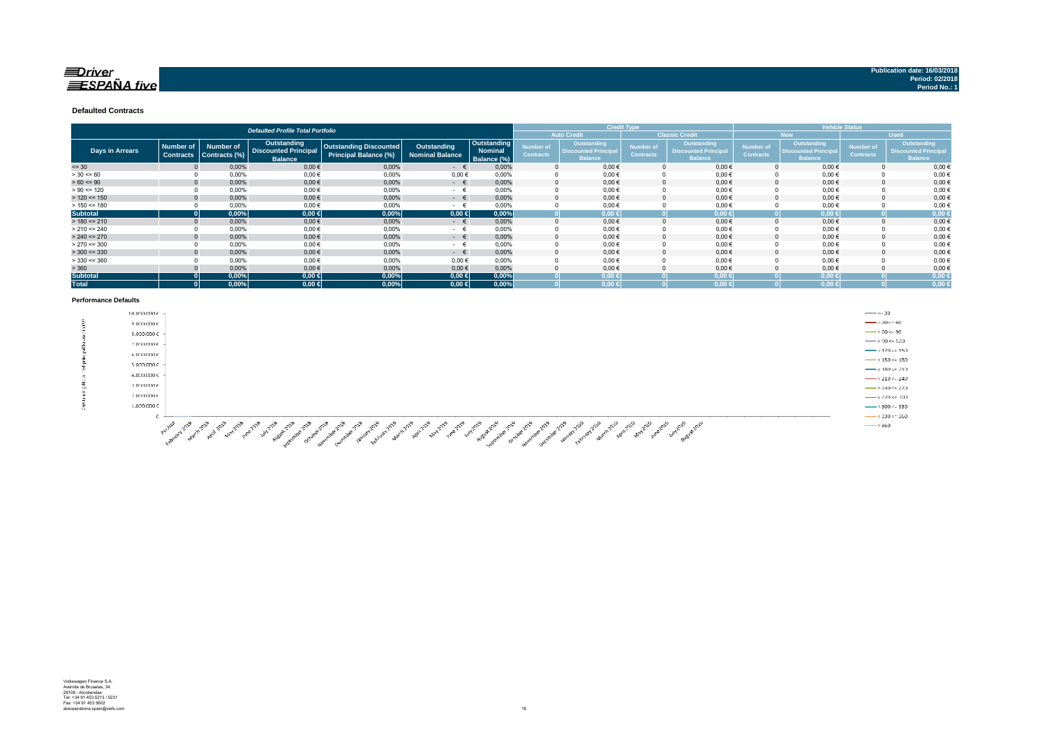### $\equiv$ Driver  $\equiv$ SPAÑA five

#### **Defaulted Contracts**

|                        | <b>Defaulted Profile Total Portfolio</b> |                                   |                                                                     |                                                               |                                       |                                              |                                             | <b>Credit Type</b>                                           |                               |                                                              |                                      | <b>Vehicle Status</b>                                       |                                      |                                                                    |  |
|------------------------|------------------------------------------|-----------------------------------|---------------------------------------------------------------------|---------------------------------------------------------------|---------------------------------------|----------------------------------------------|---------------------------------------------|--------------------------------------------------------------|-------------------------------|--------------------------------------------------------------|--------------------------------------|-------------------------------------------------------------|--------------------------------------|--------------------------------------------------------------------|--|
|                        |                                          |                                   |                                                                     |                                                               |                                       |                                              | <b>Classic Credit</b><br><b>Auto Credit</b> |                                                              |                               |                                                              | <b>New</b>                           |                                                             | <b>Used</b>                          |                                                                    |  |
| <b>Days in Arrears</b> | <b>Number of</b><br><b>Contracts</b>     | <b>Number of</b><br>Contracts (%) | <b>Outstanding</b><br><b>Discounted Principal</b><br><b>Balance</b> | <b>Outstanding Discounted</b><br><b>Principal Balance (%)</b> | Outstanding<br><b>Nominal Balance</b> | Outstanding<br><b>Nominal</b><br>Balance (%) | Number of<br><b>Contracts</b>               | Outstanding<br><b>Discounted Principal</b><br><b>Balance</b> | Number of<br><b>Contracts</b> | Outstanding<br><b>Discounted Principal</b><br><b>Balance</b> | <b>Number of</b><br><b>Contracts</b> | Outstanding<br><b>Discounted Principa</b><br><b>Balance</b> | <b>Number of</b><br><b>Contracts</b> | <b>Outstanding</b><br><b>Discounted Principa</b><br><b>Balance</b> |  |
| $= 30$                 |                                          | 0,00%                             | $0,00$ €                                                            | 0,00%                                                         | $ \epsilon$                           | 0,00%                                        |                                             | $0,00 \in$                                                   |                               | $0.00 \in$                                                   |                                      | $0.00 \in$                                                  |                                      | $0,00$ €                                                           |  |
| $> 30 \le 60$          |                                          | 0,00%                             | $0,00$ €                                                            | 0,00%                                                         | $0,00 \in$                            | 0.00%                                        |                                             | $0,00 \in$                                                   |                               | $0,00$ €                                                     |                                      | $0,00 \in$                                                  |                                      | $0,00 \in$                                                         |  |
| $> 60 \le 90$          |                                          | 0,00%                             | $0,00$ €                                                            | 0,00%                                                         | $ \epsilon$                           | 0.00%                                        |                                             | $0.00 \in$                                                   |                               | $0.00 \in$                                                   |                                      | 0.00€                                                       |                                      | $0,00 \in$                                                         |  |
| $> 90 \le 120$         |                                          | 0,00%                             | $0,00$ €                                                            | 0,00%                                                         | $ \epsilon$                           | 0.00%                                        |                                             | $0,00 \in$                                                   |                               | $0,00 \in$                                                   |                                      | $0,00 \in$                                                  |                                      | $0,00$ €                                                           |  |
| $> 120 \le 150$        |                                          | 0,00%                             | $0,00$ €                                                            | 0,00%                                                         | $ \in$                                | 0,00%                                        |                                             | $0,00 \in$                                                   |                               | $0,00 \in$                                                   |                                      | $0,00 \in$                                                  |                                      | $0,00 \in$                                                         |  |
| $> 150 \le 180$        |                                          | 0,00%                             | $0,00$ €                                                            | 0,00%                                                         | $ \epsilon$                           | 0,00%                                        |                                             | $0,00 \in$                                                   |                               | $0,00 \in$                                                   |                                      | $0,00 \in$                                                  |                                      | $0,00 \in$                                                         |  |
| <b>Subtotal</b>        |                                          | 0,00%                             | $0,00 \in$                                                          | 0,00%                                                         | $0,00 \in$                            | 0,00%                                        |                                             | $0,00 \in$                                                   |                               | $0,00 \in$                                                   |                                      | $0.00 \in$                                                  |                                      | $0,00 \in$                                                         |  |
| $> 180 \le 210$        |                                          | 0.00%                             | 0,00€                                                               | 0.00%                                                         | $ \in$                                | 0.00%                                        |                                             | $0,00 \in$                                                   |                               | $0,00 \in$                                                   |                                      | $0,00 \in$                                                  |                                      | $0,00 \in$                                                         |  |
| $> 210 \le 240$        |                                          | 0,00%                             | $0,00$ €                                                            | 0,00%                                                         | $ \epsilon$                           | 0.00%                                        |                                             | $0,00 \in$                                                   |                               | $0,00 \in$                                                   |                                      | $0,00 \in$                                                  |                                      | $0,00 \in$                                                         |  |
| $> 240 \le 270$        |                                          | 0,00%                             | $0,00$ €                                                            | 0,00%                                                         | $ \in$                                | 0.00%                                        | n                                           | $0,00 \in$                                                   |                               | $0,00 \in$                                                   |                                      | $0,00 \in$                                                  |                                      | $0,00 \in$                                                         |  |
| $> 270 \le 300$        |                                          | 0,00%                             | $0,00$ €                                                            | 0,00%                                                         | $ \epsilon$                           | 0.00%                                        |                                             | $0,00 \in$                                                   |                               | $0,00 \in$                                                   |                                      | $0,00 \in$                                                  |                                      | $0,00 \in$                                                         |  |
| $>$ 300 <= 330         |                                          | 0,00%                             | $0,00$ €                                                            | 0,00%                                                         | $ \epsilon$                           | 0.00%                                        |                                             | $0,00 \in$                                                   |                               | $0.00 \in$                                                   |                                      | $0,00 \in$                                                  |                                      | $0,00 \in$                                                         |  |
| $>$ 330 <= 360         |                                          | 0,00%                             | $0,00$ €                                                            | 0,00%                                                         | $0,00 \in$                            | 0.00%                                        |                                             | $0,00 \in$                                                   |                               | $0,00 \in$                                                   |                                      | $0,00 \in$                                                  |                                      | $0,00 \in$                                                         |  |
| > 360                  |                                          | 0,00%                             | $0,00$ €                                                            | 0,00%                                                         | $0,00 \in$                            | 0,00%                                        |                                             | $0,00 \in$                                                   |                               | $0,00 \in$                                                   |                                      | $0,00 \in$                                                  |                                      | $0,00 \in$                                                         |  |
| <b>Subtotal</b>        |                                          | 0,00%                             | $0,00 \in$                                                          | 0,00%                                                         | $0,00 \in$                            | 0,00%                                        |                                             | $0,00 \in$                                                   |                               | $0,00 \in$                                                   |                                      | $0,00 \in$                                                  |                                      | 0,00                                                               |  |
| <b>Total</b>           |                                          | 0,00%                             | $0,00 \in$                                                          | 0,00%                                                         | $0,00 \in$                            | 0,00%                                        |                                             | $0,00 \in$                                                   |                               | $0,00 \in$                                                   |                                      | $0,00 \in$                                                  |                                      | 0,00                                                               |  |

#### **Performance Defaults**

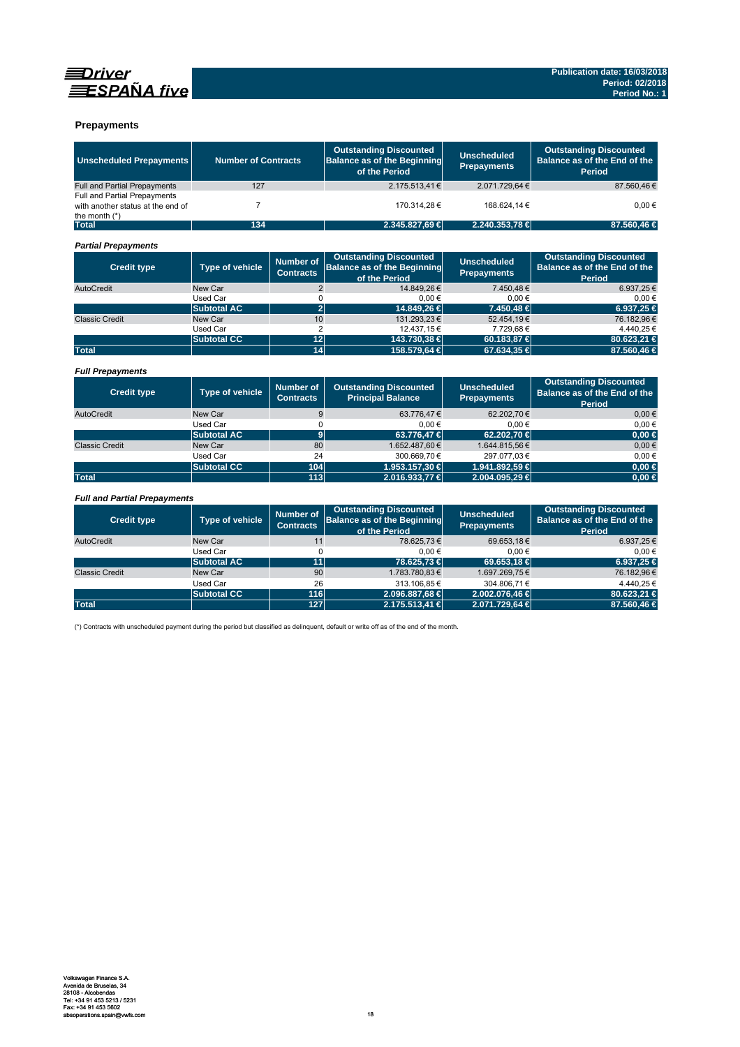



### **Prepayments**

| <b>Unscheduled Prepayments</b>                                                              | <b>Number of Contracts</b> |                                      | <b>Outstanding Discounted</b><br><b>Balance as of the Beginning</b><br>of the Period | <b>Unscheduled</b><br><b>Prepayments</b> | <b>Outstanding Discounted</b><br>Balance as of the End of the<br>Period        |
|---------------------------------------------------------------------------------------------|----------------------------|--------------------------------------|--------------------------------------------------------------------------------------|------------------------------------------|--------------------------------------------------------------------------------|
| <b>Full and Partial Prepayments</b>                                                         | 127                        |                                      | 2.175.513.41€                                                                        | 2.071.729.64€                            | 87.560.46€                                                                     |
| <b>Full and Partial Prepayments</b><br>with another status at the end of<br>the month $(*)$ | $\overline{7}$             |                                      | 170.314.28€                                                                          | 168.624.14€                              | $0.00 \in$                                                                     |
| <b>Total</b>                                                                                | 134                        |                                      | 2.345.827,69 €                                                                       | 2.240.353,78 €                           | 87.560,46 €                                                                    |
| <b>Partial Prepayments</b>                                                                  |                            |                                      |                                                                                      |                                          |                                                                                |
| <b>Credit type</b>                                                                          | <b>Type of vehicle</b>     | <b>Number of</b><br><b>Contracts</b> | <b>Outstanding Discounted</b><br><b>Balance as of the Beginning</b><br>of the Period | <b>Unscheduled</b><br><b>Prepayments</b> | <b>Outstanding Discounted</b><br>Balance as of the End of the<br>Period        |
| AutoCredit                                                                                  | New Car                    | $\overline{2}$                       | 14.849.26€                                                                           | 7.450.48€                                | 6.937,25€                                                                      |
|                                                                                             | Used Car                   | 0                                    | $0,00 \in$                                                                           | 0,00€                                    | $0,00 \in$                                                                     |
|                                                                                             | <b>Subtotal AC</b>         | $\overline{2}$                       | 14.849.26 €                                                                          | 7.450.48 €                               | 6.937.25 €                                                                     |
| <b>Classic Credit</b>                                                                       | New Car                    | 10                                   | 131.293.23€                                                                          | 52.454.19€                               | 76.182.96€                                                                     |
|                                                                                             | Used Car                   | $\overline{2}$                       | 12.437,15€                                                                           | 7.729.68€                                | 4.440.25€                                                                      |
|                                                                                             | <b>Subtotal CC</b>         | 12                                   | 143.730,38 €                                                                         | 60.183,87 €                              | 80.623,21 €                                                                    |
| <b>Total</b>                                                                                |                            | 14                                   | 158.579,64 €                                                                         | 67.634,35 €                              | 87.560.46 €                                                                    |
| <b>Full Prepayments</b>                                                                     |                            |                                      |                                                                                      |                                          |                                                                                |
| <b>Credit type</b>                                                                          | Type of vehicle            | <b>Number of</b><br><b>Contracts</b> | <b>Outstanding Discounted</b><br><b>Principal Balance</b>                            | <b>Unscheduled</b><br><b>Prepayments</b> | <b>Outstanding Discounted</b><br>Balance as of the End of the<br><b>Period</b> |
| AutoCredit                                                                                  | New Car                    | 9                                    | 63.776.47€                                                                           | 62.202,70€                               | $0.00 \in$                                                                     |
|                                                                                             | Used Car                   | 0                                    | $0,00 \in$                                                                           | 0.00€                                    | 0.00€                                                                          |
|                                                                                             | <b>Subtotal AC</b>         | $\overline{9}$                       | 63,776,47 €                                                                          | 62.202.70 €                              | $0,00 \in$                                                                     |
| <b>Classic Credit</b>                                                                       | New Car                    | 80                                   | 1.652.487,60€                                                                        | 1.644.815,56€                            | $0,00 \in$                                                                     |
|                                                                                             | Used Car                   | 24                                   | 300.669,70€                                                                          | 297.077,03€                              | $0,00 \in$                                                                     |
|                                                                                             | <b>Subtotal CC</b>         | 104                                  | 1.953.157,30 €                                                                       | 1.941.892,59 €                           | $0.00 \in$                                                                     |
| <b>Total</b>                                                                                |                            | 113                                  | 2.016.933,77 €                                                                       | 2.004.095.29 €                           | $0,00 \in$                                                                     |
|                                                                                             |                            |                                      |                                                                                      |                                          |                                                                                |
| <b>Full and Partial Prepayments</b>                                                         |                            |                                      |                                                                                      |                                          |                                                                                |
| <b>Credit type</b>                                                                          | Type of vehicle            | <b>Number of</b><br><b>Contracts</b> | <b>Outstanding Discounted</b><br><b>Balance as of the Beginning</b><br>of the Period | <b>Unscheduled</b><br><b>Prepayments</b> | <b>Outstanding Discounted</b><br>Balance as of the End of the<br><b>Period</b> |
| AutoCredit                                                                                  | New Car                    | 11                                   | 78.625,73€                                                                           | 69.653,18€                               | 6.937,25€                                                                      |
|                                                                                             | <b>Used Car</b>            | $\mathbf 0$                          | $0,00 \in$                                                                           | $0.00 \in$                               | 0.00€                                                                          |
|                                                                                             | <b>Subtotal AC</b>         | 11                                   | 78.625.73 €                                                                          | 69,653,18 €                              | 6.937.25 €                                                                     |
| <b>Classic Credit</b>                                                                       | New Car                    | 90                                   | 1.783.780,83€                                                                        | 1.697.269,75€                            | 76.182,96€                                                                     |
|                                                                                             | Used Car                   | 26                                   | 313.106.85€                                                                          | 304.806.71€                              | 4.440.25€                                                                      |
|                                                                                             | <b>Subtotal CC</b>         | 116                                  | 2.096.887,68 €                                                                       | 2.002.076.46 €                           | 80.623.21 €                                                                    |
| <b>Total</b>                                                                                |                            | 127                                  | 2.175.513,41 €                                                                       | 2.071.729,64 €                           | 87.560,46 €                                                                    |

(\*) Contracts with unscheduled payment during the period but classified as delinquent, default or write off as of the end of the month.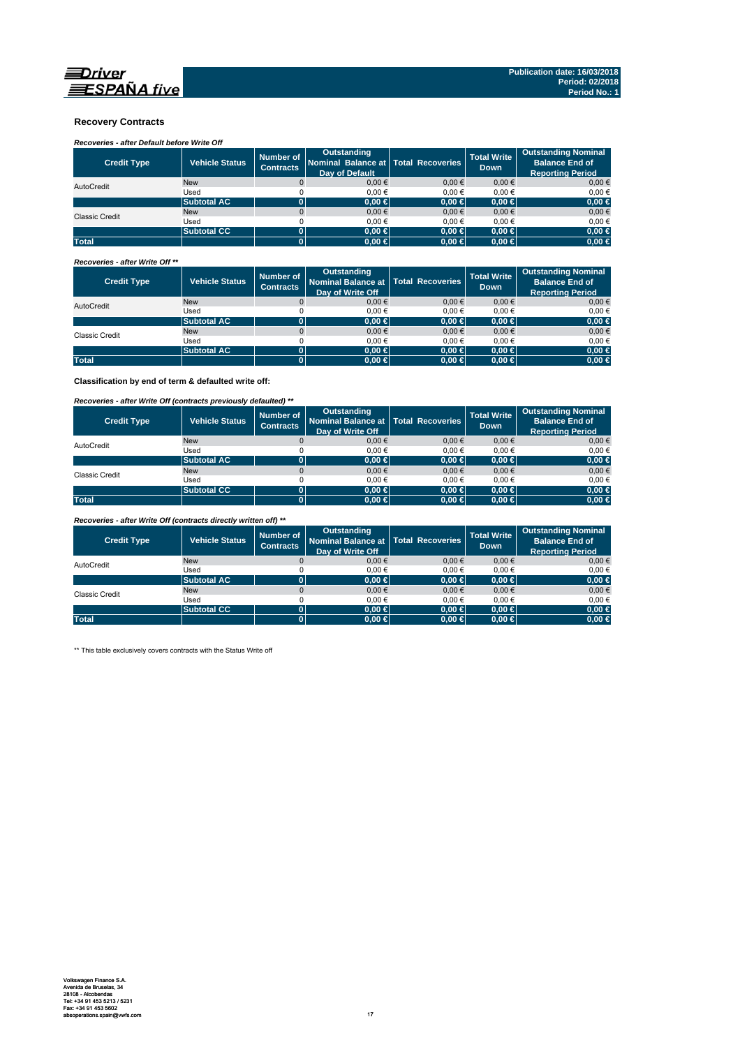

### **Recovery Contracts**

# *Recoveries - after Default before Write Off*

| <b>Credit Type</b>    | <b>Vehicle Status</b> | Number of<br><b>Contracts</b> | Outstanding<br>Nominal Balance at   Total Recoveries<br><b>Dav of Default</b> |            | <b>Total Write</b><br><b>Down</b> | <b>Outstanding Nominal</b><br><b>Balance End of</b><br><b>Reporting Period</b> |
|-----------------------|-----------------------|-------------------------------|-------------------------------------------------------------------------------|------------|-----------------------------------|--------------------------------------------------------------------------------|
| AutoCredit            | <b>New</b>            |                               | $0.00 \in$                                                                    | $0.00 \in$ | $0.00 \in$                        | 0.00€                                                                          |
|                       | Used                  |                               | 0.00€                                                                         | 0.00€      | 0.00€                             | $0.00 \in$                                                                     |
|                       | <b>Subtotal AC</b>    |                               | $0.00 \in$                                                                    | $0.00 \in$ | $0.00 \in$                        | $0,00 \in$                                                                     |
| <b>Classic Credit</b> | <b>New</b>            |                               | $0.00 \in$                                                                    | $0.00 \in$ | $0.00 \in$                        | $0,00 \in$                                                                     |
|                       | Used                  |                               | 0.00€                                                                         | 0.00€      | 0.00€                             | $0.00 \in$                                                                     |
|                       | <b>Subtotal CC</b>    |                               | $0.00 \in$                                                                    | $0.00 \in$ | $0.00 \in$                        | $0,00 \in$                                                                     |
| <b>Total</b>          |                       |                               | $0.00 \in$                                                                    | $0,00 \in$ | $0.00 \in$                        | $0,00 \in$                                                                     |

#### *Recoveries - after Write Off \*\**

| <b>Credit Type</b> | <b>Vehicle Status</b> | Number of<br><b>Contracts</b> | <b>Outstanding</b><br>Nominal Balance at   Total Recoveries<br>Day of Write Off |            | <b>Total Write</b><br><b>Down</b> | <b>Outstanding Nominal</b><br><b>Balance End of</b><br><b>Reporting Period</b> |
|--------------------|-----------------------|-------------------------------|---------------------------------------------------------------------------------|------------|-----------------------------------|--------------------------------------------------------------------------------|
| AutoCredit         | <b>New</b>            | $\Omega$                      | $0,00 \in$                                                                      | 0.00€      | $0,00 \in$                        | $0,00 \in$                                                                     |
|                    | Used                  |                               | 0.00€                                                                           | 0.00€      | 0.00€                             | $0.00 \in$                                                                     |
|                    | <b>Subtotal AC</b>    |                               | $0.00 \in$                                                                      | $0.00 \in$ | $0.00 \in$                        | $0,00 \in$                                                                     |
| Classic Credit     | <b>New</b>            |                               | $0.00 \in$                                                                      | $0.00 \in$ | $0,00 \in$                        | $0,00 \in$                                                                     |
|                    | Used                  |                               | 0.00€                                                                           | 0.00€      | 0.00€                             | 0,00€                                                                          |
|                    | <b>Subtotal AC</b>    |                               | $0.00 \in$                                                                      | $0.00 \in$ | $0.00 \in$                        | $0,00 \in$                                                                     |
| <b>Total</b>       |                       |                               | $0.00 \in$                                                                      | $0,00 \in$ | $0.00 \in$                        | $0,00 \in$                                                                     |

**Classification by end of term & defaulted write off:**

### *Recoveries - after Write Off (contracts previously defaulted) \*\**

| <b>Credit Type</b>    | Vehicle Status     | Number of<br><b>Contracts</b> | Outstanding<br>Nominal Balance at   Total Recoveries<br>Day of Write Off |            | <b>Total Write</b><br><b>Down</b> | <b>Outstanding Nominal</b><br><b>Balance End of</b><br><b>Reporting Period</b> |
|-----------------------|--------------------|-------------------------------|--------------------------------------------------------------------------|------------|-----------------------------------|--------------------------------------------------------------------------------|
| AutoCredit            | <b>New</b>         |                               | 0.00€                                                                    | 0.00€      | $0,00 \in$                        | $0,00 \in$                                                                     |
|                       | Used               |                               | 0.00€                                                                    | 0.00€      | 0.00€                             | 0,00€                                                                          |
|                       | <b>Subtotal AC</b> | 0                             | $0.00 \in$                                                               | $0,00 \in$ | $0.00 \in$                        | $0,00 \in$                                                                     |
| <b>Classic Credit</b> | <b>New</b>         |                               | 0.00€                                                                    | 0.00€      | 0.00€                             | $0,00 \in$                                                                     |
|                       | Used               |                               | 0.00€                                                                    | $0.00 \in$ | 0.00€                             | 0,00€                                                                          |
|                       | <b>Subtotal CC</b> | 0                             | 0.00 ∈                                                                   | $0,00$ ∈   | $0.00 \in$                        | $0,00 \in$                                                                     |
| <b>Total</b>          |                    | 0                             | $0.00 \in$                                                               | $0,00 \in$ | $0.00 \in$                        | $0,00 \in$                                                                     |

*Recoveries - after Write Off (contracts directly written off) \*\**

| <b>Credit Type</b>    | <b>Vehicle Status</b> | Number of<br><b>Contracts</b> | <b>Outstanding</b><br>Nominal Balance at   Total Recoveries<br>Day of Write Off |            | <b>Total Write</b><br><b>Down</b> | <b>Outstanding Nominal</b><br><b>Balance End of</b><br><b>Reporting Period</b> |
|-----------------------|-----------------------|-------------------------------|---------------------------------------------------------------------------------|------------|-----------------------------------|--------------------------------------------------------------------------------|
| AutoCredit            | <b>New</b>            |                               | 0.00€                                                                           | 0.00€      | 0.00€                             | $0.00 \in$                                                                     |
|                       | Used                  |                               | 0.00€                                                                           | 0.00€      | 0.00€                             | 0,00€                                                                          |
|                       | <b>Subtotal AC</b>    |                               | $0.00 \in$                                                                      | $0,00 \in$ | $0.00 \in$                        | $0,00 \in$                                                                     |
| <b>Classic Credit</b> | <b>New</b>            |                               | 0.00€                                                                           | $0.00 \in$ | 0.00€                             | $0,00 \in$                                                                     |
|                       | Used                  |                               | 0.00€                                                                           | 0.00€      | 0.00€                             | 0,00€                                                                          |
|                       | <b>Subtotal CC</b>    | 01                            | $0.00 \in$                                                                      | $0.00 \in$ | $0.00 \in$                        | $0,00 \in$                                                                     |
| <b>Total</b>          |                       |                               | $0.00 \in$                                                                      | $0,00 \in$ | $0.00 \in$                        | $0,00 \in$                                                                     |

\*\* This table exclusively covers contracts with the Status Write off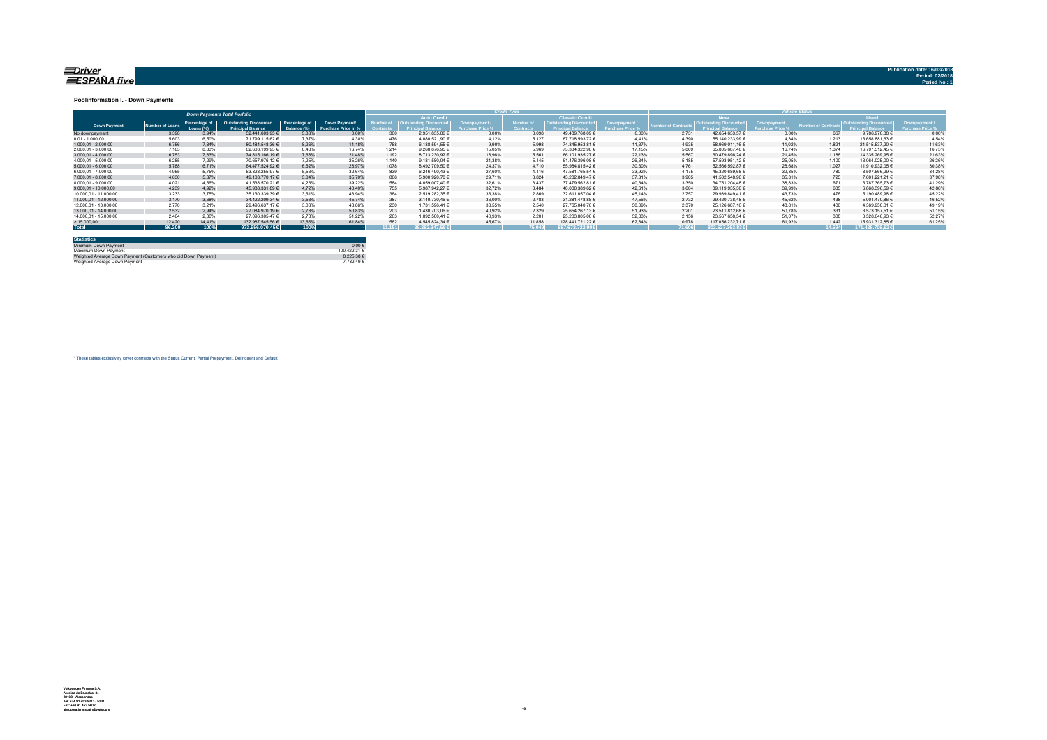#### <u>=Driver</u> ESPAÑA five

#### **Poolinformation I. - Down Payments**

|                       |               |                            | <b>Down Payments Total Porfolio</b>                       |                              |                                             |        |                                   |        |                  |                        | ______ |                 |                        |        |             |                  |        |
|-----------------------|---------------|----------------------------|-----------------------------------------------------------|------------------------------|---------------------------------------------|--------|-----------------------------------|--------|------------------|------------------------|--------|-----------------|------------------------|--------|-------------|------------------|--------|
|                       |               |                            |                                                           |                              |                                             |        | <b>Auto Credit</b>                |        |                  | <b>Classic Credita</b> |        |                 | <b>RW</b>              |        | <b>Head</b> |                  |        |
| <b>Down Payment</b>   | umber of Loan | Percentage of<br>Loang (%) | <b>Outstanding Discounted</b><br><b>Princingl Relance</b> | Percentage of<br>Ralanca (%) | Down Payment/<br><b>Purchase Price in %</b> |        | umber of   Outstanding Discounted |        | <b>Jumber of</b> | Outstanding Discounted |        | mber of Contrac | Outstanding Discounted |        |             |                  |        |
| No downpayment        | 3.398         | 3.94%                      | 52.441.603.95 €                                           | 5.38%                        | 0.00%                                       | 300    | 2.951.835.86 €                    | 0.00%  | 3.098            | 49.489.768.09 €        | 0.00%  | 2.731           | 42.654.633.57 €        | 0.00%  | 667         | 9.786.970.38 €   | 0.00%  |
| $0.01 - 1.000.00$     | 5.603         | 6.50%                      | 71.799.115.62 €                                           | 7.37%                        | 4.38%                                       | 476    | 4.080.521,90 €                    | 4.12%  | 5.127            | 67.718.593,72 €        | 4 4 1% | 4.390           | 55.140.233.99 €        | 4.34%  | 1.213       | 16.658.881.63 €  | 4.54%  |
| $1.000.01 - 2.000.00$ | 6.756         | 7.84%                      | 80.484.548.36 €                                           | 8.26%                        | 11.18%                                      | 758    | 6.138.594.55 €                    | 9.90%  | 5.998            | 74.345.953.81 €        | 11.37% | 4.935           | 58.969.011.16 €        | 11.02% | 1.821       | 21.515.537.20 €  | 11.63% |
| 2.000.01 - 3.000.00   | 7.183         | 8.33%                      | 82.603.199.93 €                                           | 8.48%                        | 16.74%                                      | 1.214  | 9.268.876.95 €                    | 15.05% | 5.969            | 73.334.322.98 €        | 17.15% | 5.809           | 65.805.687.48 €        | 16.74% | 1.374       | 16.797.512.45 €  | 16,73% |
| $3.000.01 - 4.000.00$ | 6.753         | 7.83%                      | 74.815.166.19 €                                           | 7.68%                        | 21,48%                                      | 1.192  | 8.713.230.92 €                    | 18.96% | 5.561            | 66.101.935.27 €        | 22.13% | 5.567           | 60.479.896.24 €        | 21.45% | 1.186       | 14.335.269.95 €  | 21,63% |
| 4.000.01 - 5.000.00   | 6.285         | 7.29%                      | 70.657.976.12 €                                           | 7.25%                        | 25.26%                                      | 1.140  | 9.181.580.04 €                    | 21.38% | 5.145            | 61.476.396.08 €        | 26.34% | 5.185           | 57.593.951.12 €        | 25.05% | 1.100       | 13.064.025.00 €  | 26,26% |
| $5.000.01 - 6.000.00$ | 5.788         | 6.71%                      | 64.477.524.92 €                                           | 6.62%                        | 28.97%                                      | 1.078  | 8.492.709.50 €                    | 24.37% | 4.710            | 55.984.815.42 €        | 30.30% | 4.761           | 52.566.592.87 €        | 28.68% | 1.027       | 11.910.932.05 €  | 30,38% |
| 6.000.01 - 7.000.00   | 4.955         | 5.75%                      | 53.828.255.97 €                                           | 5.53%                        | 32.64%                                      | 839    | 6.246.490.43 €                    | 27.60% | 4.116            | 47.581.765.54 €        | 33.92% | 4.175           | 45.320.689.68 €        | 32.35% | 780         | 8.507.566.29 €   | 34,28% |
| 7.000.01 - 8.000.00   | 4.630         | 5.37%                      | 49.103.770.17 €                                           | 5.04%                        | 35.70%                                      | 806    | 5.900.920.70 €                    | 29.71% | 3.824            | 43.202.849.47 €        | 37.31% | 3.905           | 41.502.548.96 €        | 35.31% | 725         | 7.601.221.21 €   | 37,98% |
| 8.000.01 - 9.000.00   | 4.021         | 4.66%                      | 41.538.570.21 €                                           | 4.26%                        | 39.22%                                      | 584    | 4.059.007.40 €                    | 32.61% | 3.437            | 37.479.562.81 €        | 40.64% | 3.350           | 34.751.204.48 €        | 38.83% | 671         | 6.787.365.73 €   | 41.29% |
| 9.000.01 - 10.000.00  | 4.239         | 4.92%                      | 45.988.331.89 €                                           | 4.72%                        | 40.40%                                      | 755    | 5.987.942.27 €                    | 32.72% | 3.484            | 40.000.389.62 €        | 42.61% | 3.604           | 39.119.935.30 €        | 39.99% | 635         | 6.868.396.59 €   | 42.86% |
| 10.000.01 - 11.000.00 | 3.233         | 3.75%                      | 35.130.339.39 €                                           | 3.61%                        | 43.94%                                      | 364    | 2.519.282.35 €                    | 36.38% | 2.869            | 32.611.057.04 €        | 45.14% | 2.757           | 29.939.849.41 €        | 43.73% | 476         | 5.190.489.98 €   | 45.22% |
| 11.000.01 - 12.000.00 | 3.170         | 3.68%                      | 34.422.209.34 €                                           | 3.53%                        | 45.74%                                      | 387    | 3.140.730.46 €                    | 36.00% | 2.783            | 31.281.478.88 €        | 47.56% | 2.732           | 29.420.738.48 €        | 45.62% | 438         | 5.001.470.86 €   | 46.52% |
| 12.000.01 - 13.000.00 | 2.770         | 3.21%                      | 29.496.637.17 €                                           | 3.03%                        | 48.86%                                      | 230    | 1.731.596.41 €                    | 38.55% | 2.540            | 27.765.040.76 €        | 50.09% | 2.370           | 25.126.687.16 €        | 48.81% | 400         | 4.369.950.01 €   | 49.19% |
| 13.000.01 - 14.000.00 | 2.532         | 2.94%                      | 27.084.970.19 €                                           | 2,78%                        | 50.83%                                      | 203    | 1.430.703.06 €                    | 40.92% | 2.329            | 25.654.267.13 €        | 51.93% | 2.201           | 23.511.812.68 €        | 50.78% | 331         | 3.573.157.51 €   | 51,15% |
| 14.000.01 - 15.000.00 | 2.464         | 2.86%                      | 27.096.305.47 €                                           | 2.78%                        | 51.22%                                      | 263    | 1.892.500.41 €                    | 40.93% | 2.201            | 25.203.805.06 €        | 52.83% | 2.156           | 23.567.658.54 €        | 51.07% | 308         | 3.528.646.93 €   | 52.279 |
| >15.000,00            | 12,420        | 14,41%                     | 132.987.545.56 €                                          | 13.65%                       | 61.84%                                      | 562    | 4.545.824.34 €                    | 45.67% | 11.858           | 128.441.721.22 €       | 62.84% | 10.978          | 117.056.232.71 €       | 61.92% | 1.442       | 15.931.312.85 €  | 61.25% |
| <b>Total</b>          | 86.200        | 100%                       | 973.956.070.45 €                                          | 100%                         |                                             | 11.151 | 86.282.347.55€                    |        | 75,049           | 887.673.722.90€        |        | 71.606          | 802.527.363.83 €       |        |             | 171.428.706.62 € |        |

| <b>Statistics</b>                                              |              |
|----------------------------------------------------------------|--------------|
| Minimum Down Payment                                           | $0.00 \in$   |
| Maximum Down Payment                                           | 100 422 31 6 |
| Weighted Average Down Payment (Customers who did Down Payment) | 8 225 38 €   |
| Weighted Average Down Payment                                  | 7 782 49 €   |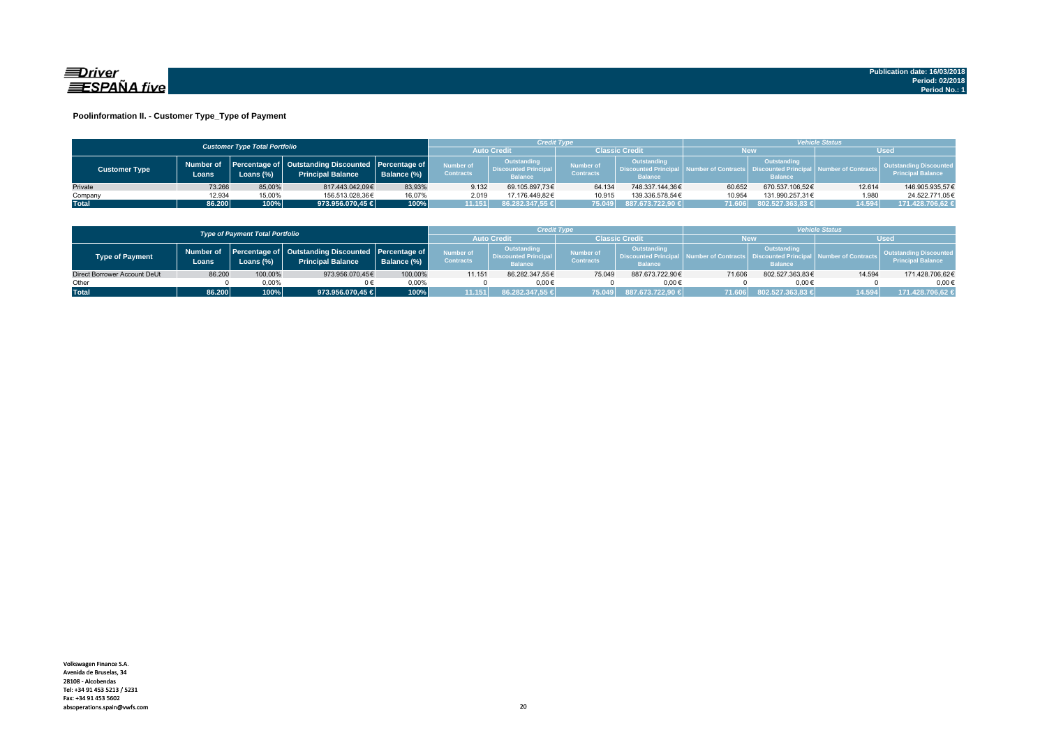

### **Poolinformation II. - Customer Type\_Type of Payment**

|                      |                                      |           |                                                                                    |             |                               | Credit Type                                                  |                               |                                                                    | <b>Vehicle Status</b> |                                                                          |                                |                                                           |  |
|----------------------|--------------------------------------|-----------|------------------------------------------------------------------------------------|-------------|-------------------------------|--------------------------------------------------------------|-------------------------------|--------------------------------------------------------------------|-----------------------|--------------------------------------------------------------------------|--------------------------------|-----------------------------------------------------------|--|
|                      | <b>Customer Type Total Portfolio</b> |           |                                                                                    |             |                               | <b>Auto Credi</b>                                            |                               | Classic Credit                                                     |                       | <b>New</b>                                                               |                                | <b>Used</b>                                               |  |
| <b>Customer Type</b> | Number of<br>Loans.                  | Loans (%) | Percentage of   Outstanding Discounted   Percentage of<br><b>Principal Balance</b> | Balance (%) | Number of<br><b>Contracts</b> | Outstanding<br><b>Discounted Principal</b><br><b>Balance</b> | Number of<br><b>Contracts</b> | <b>Outstanding</b><br><b>Discounted Principa</b><br><b>Balance</b> |                       | Outstanding<br>umber of Contracts丨 Discounted Principa<br><b>Balance</b> | <b>All Number of Contracts</b> | <b>Outstanding Discounted</b><br><b>Principal Balance</b> |  |
| Private              | 73.266                               | 85.00%    | 817.443.042.09€                                                                    | 83.93%      | 9.132                         | 69.105.897.73€                                               | 64.134                        | 748.337.144.36€                                                    | 60.652                | 670.537.106.52€                                                          | 12.614                         | 146.905.935.57€                                           |  |
| Company              | 12.934                               | 15,00%    | 156.513.028.36€                                                                    | 16,07%      | 2.019                         | 17.176.449.82€                                               | 10.915                        | 139.336.578.54€                                                    | 10.954                | 131.990.257.31€                                                          | 1.980                          | 24.522.771,05€                                            |  |
| <b>Total</b>         | 86.200                               | 100%      | 973.956.070,45 €                                                                   | 100%        | 11.151                        | 86.282.347,55 €                                              | 75.049                        | 887.673.722.90 €                                                   |                       | 71.606 802.527.363,83 €                                                  | 14.594                         | 171.428.706,62 €                                          |  |

|                              |                                        |           |                                                                                          |             |                                      | <b>Credit Type</b>                                          |                               |                                                                 | <b>Vehicle Status</b> |                                                            |                              |                                                           |
|------------------------------|----------------------------------------|-----------|------------------------------------------------------------------------------------------|-------------|--------------------------------------|-------------------------------------------------------------|-------------------------------|-----------------------------------------------------------------|-----------------------|------------------------------------------------------------|------------------------------|-----------------------------------------------------------|
|                              | <b>Type of Payment Total Portfolio</b> |           |                                                                                          |             |                                      | <b>Auto Credi</b>                                           |                               | Classic Credit                                                  | New                   |                                                            | <b>Used</b>                  |                                                           |
| <b>Type of Payment</b>       | Loans                                  | Loans (%) | Number of Percentage of Outstanding Discounted Percentage of<br><b>Principal Balance</b> | Balance (%) | <b>Number of</b><br><b>Contracts</b> | Outstanding<br><b>Discounted Principa</b><br><b>Balance</b> | Number of<br><b>Contracts</b> | Outstanding<br><b>N. Discounted Principal</b><br><b>Balance</b> | A Number of Contracts | Outstanding<br><b>Discounted Princip</b><br><b>Balance</b> | <b>I</b> Number of Contracts | <b>Outstanding Discounted</b><br><b>Principal Balance</b> |
| Direct Borrower Account DeUt | 86.200                                 | 100,00%   | 973.956.070.45€                                                                          | 100,00%     | 11.151                               | 86.282.347.55€                                              | 75.049                        | 887.673.722.90€                                                 | 71.606                | 802.527.363,83€                                            | 14.594                       | 171.428.706,62€                                           |
| Other                        |                                        | $0.00\%$  |                                                                                          | 0.00%       |                                      | $0.00 \in$                                                  |                               | 0.006                                                           |                       | $0.00 \in$                                                 |                              | $0.00 \in$                                                |
| <b>Total</b>                 | 86.200                                 | 100%      | 973.956.070.45 €                                                                         | 100%        |                                      | 86.282.347.55 €                                             | 75.049                        | 887.673.722.90 €                                                | 71.606                | $802.527.363,83 \in$                                       | 14.594                       | 171.428.706.62 €                                          |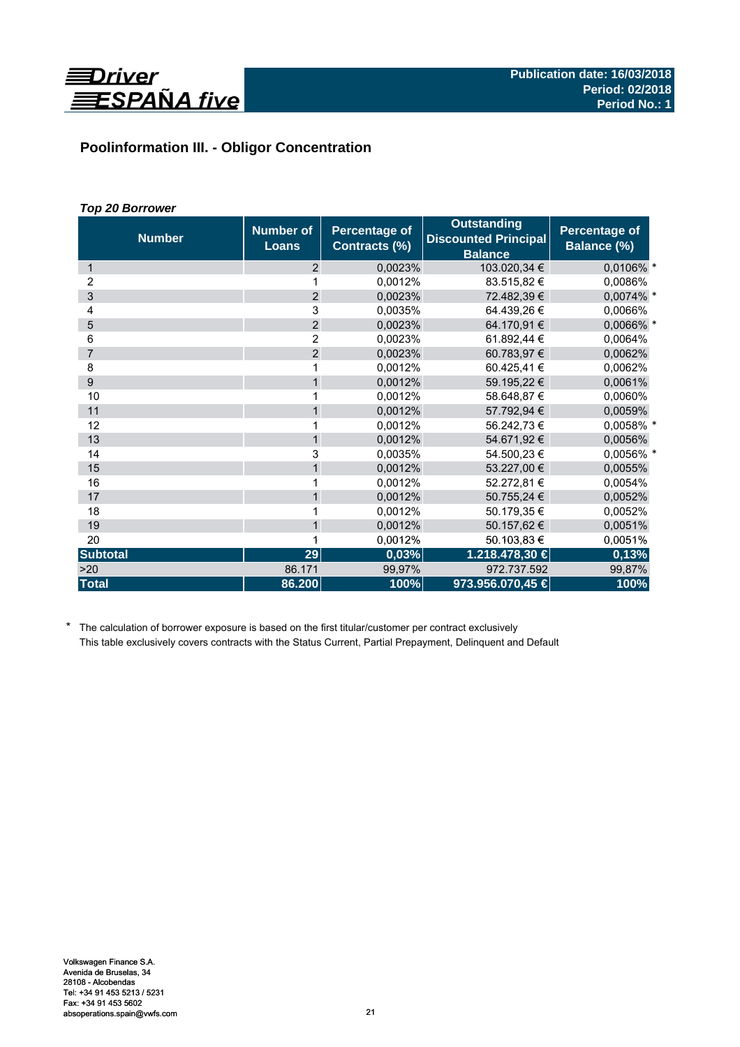

# **Poolinformation III. - Obligor Concentration**

# *Top 20 Borrower*

| <b>Number</b>   | <b>Number of</b><br><b>Loans</b> | <b>Percentage of</b><br>Contracts (%) | <b>Outstanding</b><br><b>Discounted Principal</b><br><b>Balance</b> | <b>Percentage of</b><br>Balance (%) |
|-----------------|----------------------------------|---------------------------------------|---------------------------------------------------------------------|-------------------------------------|
| 1               | 2                                | 0,0023%                               | 103.020,34 €                                                        | 0,0106% *                           |
| 2               | 1                                | 0,0012%                               | 83.515,82 €                                                         | 0,0086%                             |
| 3               | $\overline{2}$                   | 0,0023%                               | 72.482,39 €                                                         | 0,0074% *                           |
| 4               | 3                                | 0,0035%                               | 64.439,26€                                                          | 0,0066%                             |
| 5               | $\overline{2}$                   | 0,0023%                               | 64.170,91 €                                                         | 0,0066% *                           |
| 6               | 2                                | 0,0023%                               | 61.892,44 €                                                         | 0,0064%                             |
| $\overline{7}$  | $\overline{2}$                   | 0,0023%                               | 60.783,97 €                                                         | 0,0062%                             |
| 8               | 1                                | 0,0012%                               | 60.425,41 €                                                         | 0,0062%                             |
| 9               | $\mathbf{1}$                     | 0,0012%                               | 59.195,22 €                                                         | 0,0061%                             |
| 10              | 1                                | 0,0012%                               | 58.648,87 €                                                         | 0,0060%                             |
| 11              | $\mathbf{1}$                     | 0,0012%                               | 57.792,94 €                                                         | 0,0059%                             |
| 12              | 1                                | 0,0012%                               | 56.242,73 €                                                         | 0,0058% *                           |
| 13              | $\mathbf{1}$                     | 0,0012%                               | 54.671,92 €                                                         | 0,0056%                             |
| 14              | 3                                | 0,0035%                               | 54.500,23 €                                                         | 0,0056% *                           |
| 15              | $\mathbf{1}$                     | 0,0012%                               | 53.227,00 €                                                         | 0,0055%                             |
| 16              | 1                                | 0,0012%                               | 52.272,81 €                                                         | 0,0054%                             |
| 17              | $\mathbf{1}$                     | 0,0012%                               | 50.755,24 €                                                         | 0,0052%                             |
| 18              | 1                                | 0,0012%                               | 50.179,35 €                                                         | 0,0052%                             |
| 19              | $\mathbf{1}$                     | 0,0012%                               | 50.157,62 €                                                         | 0,0051%                             |
| 20              | 1                                | 0,0012%                               | 50.103,83 €                                                         | 0,0051%                             |
| <b>Subtotal</b> | 29                               | 0,03%                                 | 1.218.478,30 €                                                      | 0,13%                               |
| >20             | 86.171                           | 99,97%                                | 972.737.592                                                         | 99,87%                              |
| <b>Total</b>    | 86.200                           | 100%                                  | 973.956.070,45 €                                                    | 100%                                |

\* The calculation of borrower exposure is based on the first titular/customer per contract exclusively This table exclusively covers contracts with the Status Current, Partial Prepayment, Delinquent and Default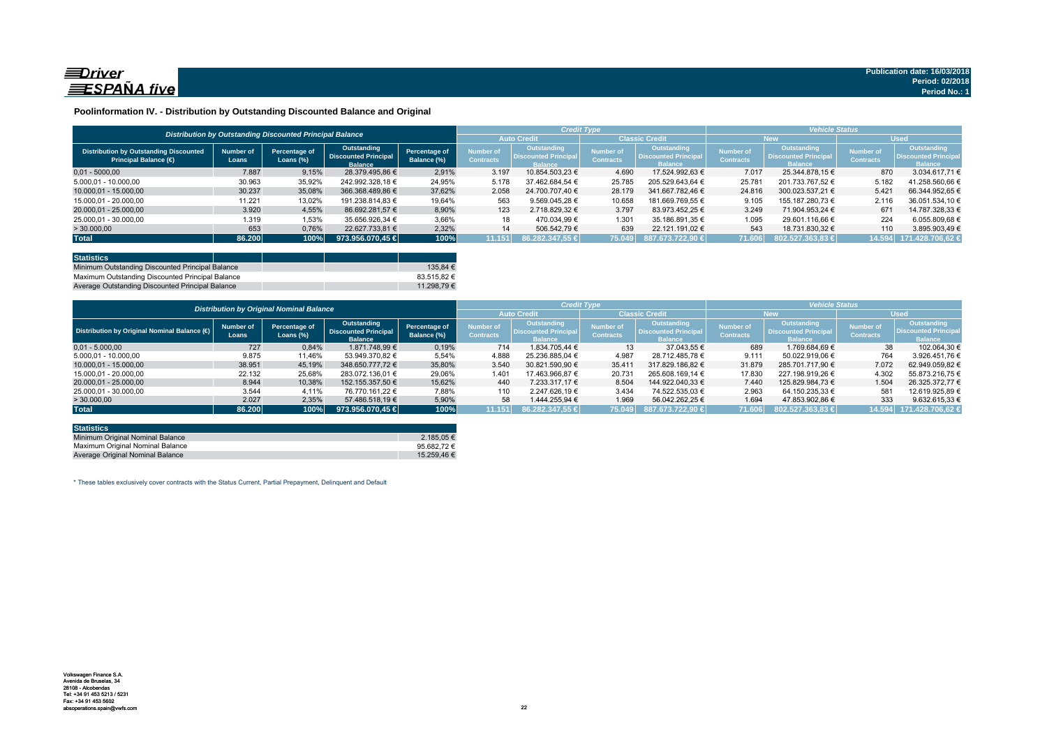

### **Poolinformation IV. - Distribution by Outstanding Discounted Balance and Original**

|                                                                              |                    |                                                          |                                                              |                              |                               |                                                             | <b>Credit Type</b>                   |                                                                     | <b>Vehicle Status</b>                |                                                             |                               |                                                                    |  |
|------------------------------------------------------------------------------|--------------------|----------------------------------------------------------|--------------------------------------------------------------|------------------------------|-------------------------------|-------------------------------------------------------------|--------------------------------------|---------------------------------------------------------------------|--------------------------------------|-------------------------------------------------------------|-------------------------------|--------------------------------------------------------------------|--|
|                                                                              |                    | Distribution by Outstanding Discounted Principal Balance |                                                              |                              | <b>Auto Credit</b>            |                                                             | <b>Classic Credit</b>                |                                                                     | <b>New</b>                           |                                                             | <b>Used</b>                   |                                                                    |  |
| <b>Distribution by Outstanding Discounted</b><br><b>Principal Balance (€</b> | Number of<br>Loans | Percentage of<br>Loans $(\%)$                            | Outstanding<br><b>Discounted Principal</b><br><b>Balance</b> | Percentage of<br>Balance (%) | Number of<br><b>Contracts</b> | Outstanding<br><b>Discounted Principa</b><br><b>Ralance</b> | <b>Number of</b><br><b>Contracts</b> | <b>Outstanding</b><br><b>Discounted Principal</b><br><b>Balance</b> | <b>Number of</b><br><b>Contracts</b> | Outstanding<br><b>Discounted Principa</b><br><b>Ralance</b> | Number of<br><b>Contracts</b> | <b>Outstanding</b><br><b>Discounted Principa</b><br><b>Balance</b> |  |
| $0.01 - 5000.00$                                                             | 7.887              | 9,15%                                                    | 28.379.495.86 €                                              | 2,91%                        | 3.197                         | 10.854.503.23 €                                             | 4.690                                | 17.524.992.63 €                                                     | 7.017                                | 25.344.878.15 €                                             | 870                           | 3.034.617.71 €                                                     |  |
| 5.000.01 - 10.000.00                                                         | 30.963             | 35,92%                                                   | 242.992.328.18 €                                             | 24.95%                       | 5.178                         | 37.462.684.54 €                                             | 25.785                               | 205.529.643.64 €                                                    | 25.781                               | 201.733.767.52 €                                            | 5.182                         | 41.258.560.66 €                                                    |  |
| 10.000.01 - 15.000.00                                                        | 30.237             | 35,08%                                                   | 366.368.489.86 €                                             | 37.62%                       | 2.058                         | 24.700.707.40 €                                             | 28.179                               | 341.667.782.46 €                                                    | 24.816                               | 300.023.537.21 €                                            | 5.421                         | 66.344.952.65 €                                                    |  |
| 15.000.01 - 20.000.00                                                        | 11.221             | 13,02%                                                   | 191.238.814.83 €                                             | 19,64%                       | 563                           | 9.569.045.28 €                                              | 10.658                               | 181.669.769.55 €                                                    | 9.105                                | 155.187.280.73 €                                            | 2.116                         | 36.051.534.10 €                                                    |  |
| 20.000.01 - 25.000.00                                                        | 3.920              | 4,55%                                                    | 86.692.281.57 €                                              | 8.90%                        | 123                           | 2.718.829.32 €                                              | 3.797                                | 83.973.452.25 €                                                     | 3.249                                | 71.904.953.24 €                                             | 671                           | 14.787.328.33 €                                                    |  |
| 25.000,01 - 30.000,00                                                        | 1.319              | 1,53%                                                    | 35.656.926.34 €                                              | 3,66%                        | 18                            | 470.034.99 €                                                | 1.301                                | 35.186.891.35 €                                                     | 1.095                                | 29.601.116.66 €                                             | 224                           | 6.055.809,68 €                                                     |  |
| > 30.000,00                                                                  | 653                | 0,76%                                                    | 22.627.733.81 €                                              | 2,32%                        | 14                            | 506.542.79 €                                                | 639                                  | 22.121.191.02 €                                                     | 543                                  | 18.731.830,32 €                                             | 110                           | 3.895.903.49 €                                                     |  |
| <b>Total</b>                                                                 | 86.200             | 100%                                                     | 973.956.070.45 €                                             | 100%                         | 11.151                        | 86.282.347.55 €                                             | 75.049                               | 887.673.722.90 €                                                    | 71.606                               | 802.527.363.83 €                                            | 14.594                        | 171.428.706.62 €                                                   |  |

| <b>Statistics</b>                                |             |
|--------------------------------------------------|-------------|
| Minimum Outstanding Discounted Principal Balance | 135.84 €    |
| Maximum Outstanding Discounted Principal Balance | 83.515.82 € |
| Average Outstanding Discounted Principal Balance | 11.298.79 € |

|                                             | <b>Distribution by Original Nominal Balance</b> |                                      |                                                              |                              |                                      |                                                              | <b>Credit Type</b>                   |                                                              | <b>Vehicle Status</b>                |                                                              |                               |                                                             |
|---------------------------------------------|-------------------------------------------------|--------------------------------------|--------------------------------------------------------------|------------------------------|--------------------------------------|--------------------------------------------------------------|--------------------------------------|--------------------------------------------------------------|--------------------------------------|--------------------------------------------------------------|-------------------------------|-------------------------------------------------------------|
|                                             |                                                 |                                      |                                                              |                              | <b>Auto Credit</b>                   |                                                              | <b>Classic Credit</b>                |                                                              | <b>New</b>                           |                                                              | <b>Used</b>                   |                                                             |
| Distribution by Original Nominal Balance (O | <b>Number of</b><br>Loans                       | <b>Percentage of</b><br>Loans $(\%)$ | Outstanding<br><b>Discounted Principal</b><br><b>Balance</b> | Percentage of<br>Balance (%) | <b>Number of</b><br><b>Contracts</b> | Outstanding<br><b>Discounted Principal</b><br><b>Balance</b> | <b>Number of</b><br><b>Contracts</b> | Outstanding<br><b>Discounted Principal</b><br><b>Balance</b> | <b>Number of</b><br><b>Contracts</b> | Outstanding<br><b>Discounted Principal</b><br><b>Balance</b> | Number of<br><b>Contracts</b> | Outstanding<br><b>Discounted Principa</b><br><b>Balance</b> |
| $0.01 - 5.000.00$                           | 727                                             | 0,84%                                | 1.871.748.99 €                                               | 0,19%                        | 714                                  | 1.834.705.44 €                                               | 13                                   | 37.043.55 €                                                  | 689                                  | 1.769.684.69 €                                               | 38                            | 102.064.30 €                                                |
| 5.000.01 - 10.000.00                        | 9.875                                           | 11,46%                               | 53.949.370,82 €                                              | 5,54%                        | 4.888                                | 25.236.885.04 €                                              | 4.987                                | 28.712.485.78 €                                              | 9.111                                | 50.022.919.06 €                                              | 764                           | 3.926.451.76 €                                              |
| 10.000.01 - 15.000.00                       | 38.951                                          | 45,19%                               | 348.650.777.72 €                                             | 35,80%                       | 3.540                                | 30.821.590.90 €                                              | 35.411                               | 317.829.186.82 €                                             | 31.879                               | 285.701.717.90 €                                             | 7.072                         | 62.949.059.82 €                                             |
| 15.000.01 - 20.000.00                       | 22.132                                          | 25,68%                               | 283.072.136.01 €                                             | 29,06%                       | 1.401                                | 17.463.966.87 €                                              | 20.731                               | 265.608.169.14 €                                             | 17.830                               | 227.198.919.26 €                                             | 4.302                         | 55.873.216.75 €                                             |
| 20.000,01 - 25.000,00                       | 8.944                                           | 10.38%                               | 152.155.357.50 €                                             | 15.62%                       | 440                                  | 7.233.317.17 €                                               | 8.504                                | 144.922.040.33 €                                             | 7.440                                | 125.829.984.73 €                                             | 1.504                         | 26.325.372.77 €                                             |
| 25.000.01 - 30.000.00                       | 3.544                                           | 4.11%                                | 76.770.161.22 €                                              | 7,88%                        | 110                                  | 2.247.626.19€                                                | 3.434                                | 74.522.535.03 €                                              | 2.963                                | 64.150.235.33 €                                              | 581                           | 12.619.925.89 €                                             |
| >30.000,00                                  | 2.027                                           | 2,35%                                | 57.486.518.19 €                                              | 5,90%                        | 58                                   | 1.444.255.94 €                                               | 1.969                                | 56.042.262.25 €                                              | 1.694                                | 47.853.902.86 €                                              | 333                           | 9.632.615.33 €                                              |
| <b>Total</b>                                | 86.200                                          | 100%                                 | $973.956.070.45 \in$                                         | 100%                         | 11.151                               | 86.282.347.55 €                                              | 75.049                               | 887.673.722.90 €                                             | 71.606                               | 802.527.363.83 €                                             | 14.594                        | 171.428.706,62                                              |

| <b>Statistics</b>                |                 |
|----------------------------------|-----------------|
| Minimum Original Nominal Balance | 2.185.05 €      |
| Maximum Original Nominal Balance | 95.682.72 $\in$ |
| Average Original Nominal Balance | 15.259.46 €     |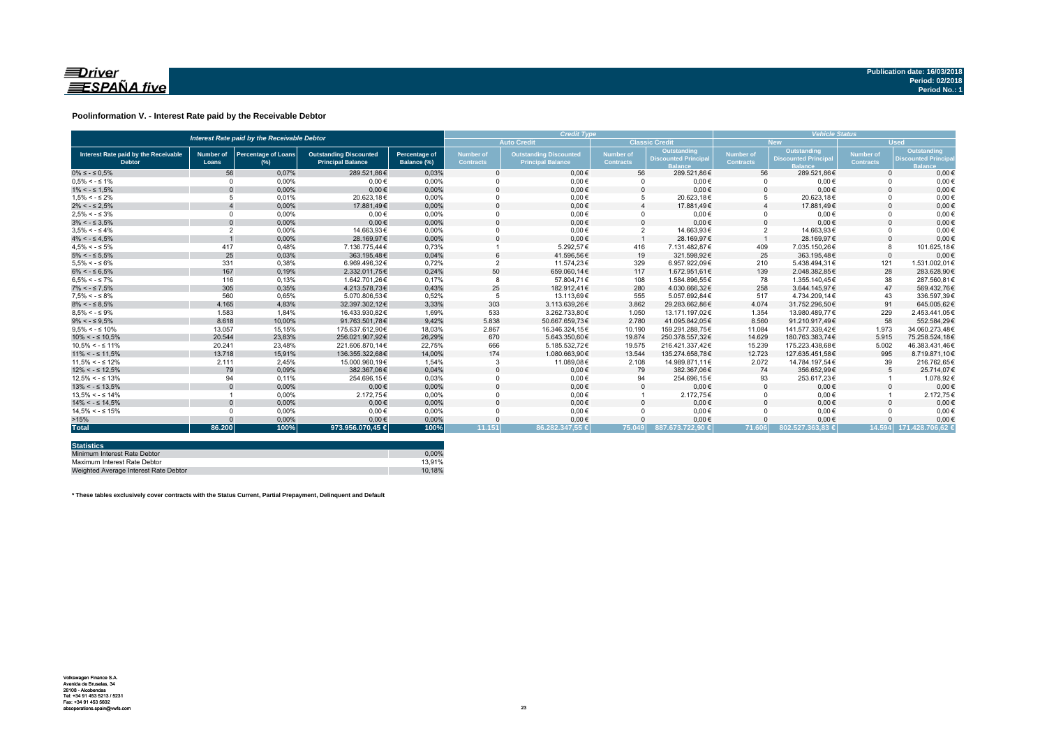

### **Poolinformation V. - Interest Rate paid by the Receivable Debtor**

| Interest Rate paid by the Receivable Debtor           |                           |                                      |                                                           |                                     | <b>Credit Type</b>                   |                                                           |                                      |                                                      | <b>Vehicle Status</b>         |                                           |                               |                                                          |
|-------------------------------------------------------|---------------------------|--------------------------------------|-----------------------------------------------------------|-------------------------------------|--------------------------------------|-----------------------------------------------------------|--------------------------------------|------------------------------------------------------|-------------------------------|-------------------------------------------|-------------------------------|----------------------------------------------------------|
|                                                       |                           |                                      |                                                           |                                     |                                      | <b>Auto Credit</b>                                        |                                      | <b>Classic Credit</b>                                |                               | <b>New</b>                                | <b>Used</b>                   |                                                          |
| Interest Rate paid by the Receivable<br><b>Debtor</b> | <b>Number of</b><br>Loans | <b>Percentage of Loans</b><br>$(\%)$ | <b>Outstanding Discounted</b><br><b>Principal Balance</b> | <b>Percentage of</b><br>Balance (%) | <b>Number of</b><br><b>Contracts</b> | <b>Outstanding Discounted</b><br><b>Principal Balance</b> | <b>Number of</b><br><b>Contracts</b> | Outstanding<br><b>Discounted Principa</b><br>lalance | Number of<br><b>Contracts</b> | Outstanding<br><b>Discounted Principa</b> | Number of<br><b>Contracts</b> | Outstanding<br><b>Discounted Princip</b><br><b>Ralan</b> |
| $0\% \leq -\leq 0.5\%$                                | 56                        | 0.07%                                | 289.521.86€                                               | 0.03%                               |                                      | $0.00 \in$                                                | 56                                   | 289.521.86€                                          | 56                            | 289.521.86€                               | $\Omega$                      | $0.00 \in$                                               |
| $0.5\% < -5.1\%$                                      | $\Omega$                  | 0.00%                                | $0.00 \in$                                                | 0.00%                               |                                      | $0.00 \in$                                                |                                      | $0.00 \in$                                           | $\Omega$                      | $0.00 \in$                                |                               | $0.00 \in$                                               |
| $1\% < - \leq 1.5\%$                                  |                           | 0.00%                                | $0.00 \in$                                                | 0,00%                               |                                      | $0.00 \in$                                                |                                      | $0.00 \in$                                           | $\Omega$                      | $0.00 \in$                                |                               | $0.00 \in$                                               |
| $1.5\% < -5.2\%$                                      |                           | 0.01%                                | 20.623.18€                                                | 0.00%                               |                                      | $0.00 \in$                                                |                                      | 20.623.18€                                           | 5                             | 20.623.18€                                |                               | $0.00 \in$                                               |
| $2\% < - \leq 2.5\%$                                  |                           | 0.00%                                | 17.881.49€                                                | 0,00%                               |                                      | $0.00 \in$                                                |                                      | 17.881.49€                                           |                               | 17.881.49€                                |                               | $0.00 \in$                                               |
| $2.5\% < -5.3\%$                                      | $\Omega$                  | 0.00%                                | $0.00 \in$                                                | 0.00%                               |                                      | $0.00 \in$                                                |                                      | $0.00 \in$                                           | $\Omega$                      | $0.00 \in$                                |                               | $0.00 \in$                                               |
| $3\% < - \leq 3.5\%$                                  |                           | 0,00%                                | $0.00 \in$                                                | 0,00%                               |                                      | $0.00 \in$                                                |                                      | $0.00 \in$                                           | $\Omega$                      | $0.00 \in$                                |                               | $0.00 \in$                                               |
| $3.5\% < -5.4\%$                                      | $\overline{2}$            | 0.00%                                | 14.663.93€                                                | 0.00%                               |                                      | $0.00 \in$                                                |                                      | 14.663.93€                                           | $\overline{2}$                | 14.663,93€                                |                               | $0,00 \in$                                               |
| $4\% < - \leq 4.5\%$                                  |                           | 0,00%                                | 28.169.97€                                                | 0,00%                               |                                      | $0,00 \in$                                                |                                      | 28.169.97€                                           |                               | 28.169,97€                                |                               | $0,00 \in$                                               |
| $4.5\% < -5\%$                                        | 417                       | 0.48%                                | 7.136.775.44€                                             | 0,73%                               |                                      | 5.292.57€                                                 | 416                                  | 7.131.482,87€                                        | 409                           | 7.035.150,26€                             |                               | 101.625,18€                                              |
| $5\% < - \leq 5.5\%$                                  | 25                        | 0,03%                                | 363.195.48€                                               | 0,04%                               |                                      | 41.596,56€                                                | 19                                   | 321.598.92€                                          | 25                            | 363.195.48€                               | $\Omega$                      | $0,00 \in$                                               |
| $5.5\% < -5.6\%$                                      | 331                       | 0,38%                                | 6.969.496.32€                                             | 0,72%                               |                                      | 11.574,23€                                                | 329                                  | 6.957.922,09€                                        | 210                           | 5.438.494,31€                             | 121                           | 1.531.002,01€                                            |
| $6\% < - \leq 6.5\%$                                  | 167                       | 0,19%                                | 2.332.011.75€                                             | 0,24%                               | 50                                   | 659.060,14€                                               | 117                                  | 1.672.951,61€                                        | 139                           | 2.048.382.85€                             | 28                            | 283.628,90€                                              |
| $6.5\% < -5.7\%$                                      | 116                       | 0.13%                                | 1.642.701.26€                                             | 0.17%                               |                                      | 57.804.71€                                                | 108                                  | 1.584.896.55€                                        | 78                            | 1.355.140.45€                             | 38                            | 287.560.81€                                              |
| $7\% < - \leq 7.5\%$                                  | 305                       | 0,35%                                | 4.213.578,73€                                             | 0,43%                               | 25                                   | 182.912,41€                                               | 280                                  | 4.030.666,32€                                        | 258                           | 3.644.145,97€                             | 47                            | 569.432,76€                                              |
| $7.5\% < -5.8\%$                                      | 560                       | 0.65%                                | 5.070.806.53€                                             | 0.52%                               |                                      | 13.113.69€                                                | 555                                  | 5.057.692.84€                                        | 517                           | 4.734.209.14€                             | 43                            | 336.597.39€                                              |
| $8\% < - \leq 8.5\%$                                  | 4.165                     | 4,83%                                | 32.397.302,12€                                            | 3,33%                               | 303                                  | 3.113.639,26€                                             | 3.862                                | 29.283.662,86€                                       | 4.074                         | 31.752.296,50€                            | 91                            | 645.005,62€                                              |
| $8.5\% < -5.9\%$                                      | 1.583                     | 1.84%                                | 16.433.930.82€                                            | 1.69%                               | 533                                  | 3.262.733,80€                                             | 1.050                                | 13.171.197.02€                                       | 1.354                         | 13.980.489.77€                            | 229                           | 2.453.441.05€                                            |
| $9\% < - \leq 9.5\%$                                  | 8.618                     | 10.00%                               | 91.763.501,78€                                            | 9.42%                               | 5.838                                | 50.667.659.73€                                            | 2.780                                | 41.095.842.05€                                       | 8.560                         | 91.210.917.49€                            | 58                            | 552.584.29€                                              |
| $9.5\% < -5.10\%$                                     | 13.057                    | 15,15%                               | 175.637.612,90€                                           | 18,03%                              | 2.867                                | 16.346.324,15€                                            | 10.190                               | 159.291.288,75€                                      | 11.084                        | 141.577.339,42€                           | 1.973                         | 34.060.273.48€                                           |
| $10\% < -\leq 10.5\%$                                 | 20.544                    | 23,83%                               | 256.021.907,92€                                           | 26.29%                              | 670                                  | 5.643.350.60€                                             | 19.874                               | 250.378.557.32€                                      | 14.629                        | 180.763.383.74€                           | 5.915                         | 75.258.524.18€                                           |
| $10.5\% < -5.11\%$                                    | 20.241                    | 23.48%                               | 221.606.870.14€                                           | 22,75%                              | 666                                  | 5.185.532,72€                                             | 19.575                               | 216.421.337.42€                                      | 15.239                        | 175.223.438.68€                           | 5.002                         | 46.383.431,46€                                           |
| $11\% < - \leq 11.5\%$                                | 13,718                    | 15,91%                               | 136.355.322.68€                                           | 14,00%                              | 174                                  | 1.080.663,90€                                             | 13.544                               | 135.274.658.78€                                      | 12.723                        | 127.635.451.58€                           | 995                           | 8.719.871,10€                                            |
| $11.5\% < -5.12\%$                                    | 2.111                     | 2.45%                                | 15.000.960.19€                                            | 1.54%                               |                                      | 11.089.08€                                                | 2.108                                | 14.989.871.11€                                       | 2.072                         | 14.784.197.54€                            | 39                            | 216.762.65€                                              |
| $12\% < -512.5\%$                                     | 79                        | 0,09%                                | 382.367.06€                                               | 0,04%                               |                                      | $0.00 \in$                                                | 79                                   | 382.367,06€                                          | 74                            | 356.652.99€                               |                               | 25.714.07€                                               |
| $12.5\% < -5.13\%$                                    | 94                        | 0.11%                                | 254.696,15€                                               | 0,03%                               |                                      | $0,00 \in$                                                | 94                                   | 254.696,15€                                          | 93                            | 253.617,23€                               |                               | 1.078,92€                                                |
| $13\% < -513.5\%$                                     |                           | 0,00%                                | $0.00 \in$                                                | 0,00%                               |                                      | $0.00 \in$                                                |                                      | $0.00 \in$                                           | $\Omega$                      | $0.00 \in$                                |                               | $0,00 \in$                                               |
| $13.5\% < -5.14\%$                                    |                           | 0,00%                                | 2.172,75€                                                 | 0,00%                               |                                      | $0,00 \in$                                                |                                      | 2.172,75€                                            | $\Omega$                      | $0,00 \in$                                |                               | 2.172,75€                                                |
| $14\% < -5.14.5\%$                                    |                           | 0,00%                                | $0.00 \in$                                                | 0,00%                               |                                      | $0.00 \in$                                                |                                      | $0.00 \in$                                           | $\Omega$                      | $0.00 \in$                                |                               | $0,00 \in$                                               |
| $14.5\% < -5.15\%$                                    |                           | 0,00%                                | $0,00 \in$                                                | 0,00%                               |                                      | $0,00 \in$                                                |                                      | $0,00 \in$                                           | $\Omega$                      | $0,00 \in$                                |                               | $0,00 \in$                                               |
| >15%                                                  |                           | 0,00%                                | $0.00 \in$                                                | 0,00%                               |                                      | $0,00 \in$                                                |                                      | $0,00 \in$                                           | $\Omega$                      | $0.00 \in$                                |                               | $0,00 \in$                                               |
| <b>Total</b>                                          | 86.200                    | 100%                                 | 973.956.070,45 €                                          | 100%                                | 11.151                               | 86.282.347,55 €                                           | 75.049                               | 887.673.722.90 €                                     | 71.606                        | 802.527.363.83 €                          |                               | 14.594 171.428.706.62 €                                  |

| <b>Statistics</b>                     |        |
|---------------------------------------|--------|
| Minimum Interest Rate Debtor          | 0.00%  |
| Maximum Interest Rate Debtor          | 13.91% |
| Weighted Average Interest Rate Debtor | 10.18% |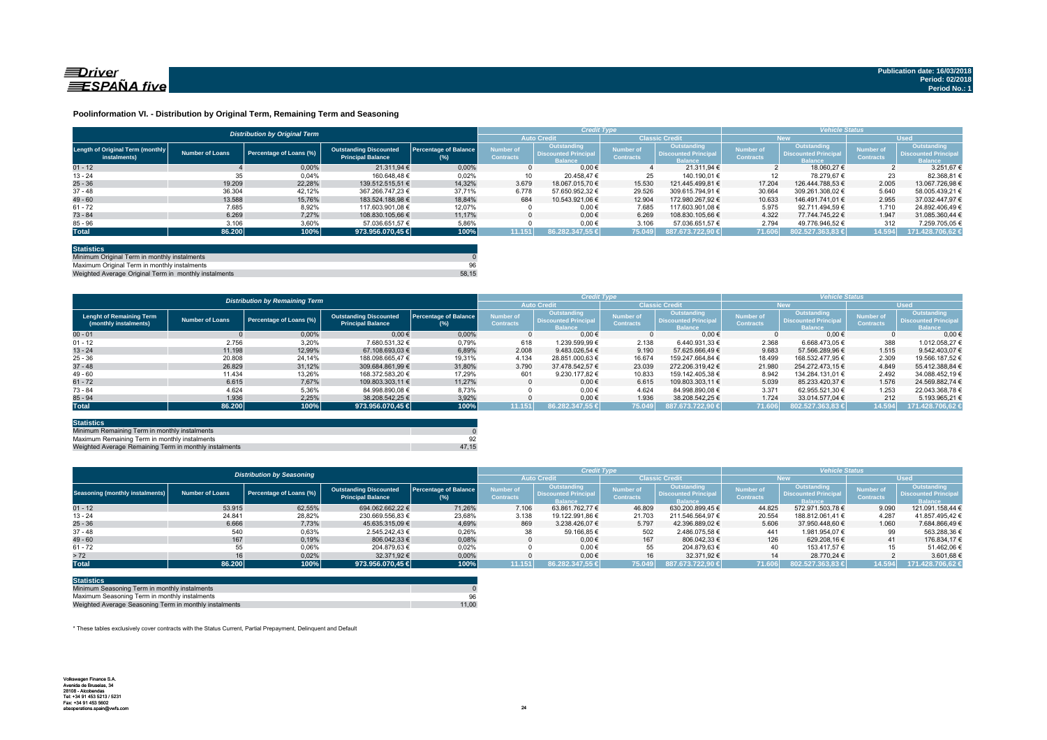

#### **Poolinformation VI. - Distribution by Original Term, Remaining Term and Seasoning**

|                                                  |                        | <b>Distribution by Original Term</b> |                                                           |                                     |                                      | <b>Credit Type</b>                                           |                                      |                                                              |                                      | <b>Vehicle Status</b>                                              |                                      |                                                                     |
|--------------------------------------------------|------------------------|--------------------------------------|-----------------------------------------------------------|-------------------------------------|--------------------------------------|--------------------------------------------------------------|--------------------------------------|--------------------------------------------------------------|--------------------------------------|--------------------------------------------------------------------|--------------------------------------|---------------------------------------------------------------------|
|                                                  |                        |                                      |                                                           |                                     |                                      | <b>Auto Credit</b>                                           |                                      | <b>Classic Credit</b>                                        |                                      | <b>New</b>                                                         | <b>Used</b>                          |                                                                     |
| Length of Original Term (monthly<br>instalments) | <b>Number of Loans</b> | Percentage of Loans (%)              | <b>Outstanding Discounted</b><br><b>Principal Balance</b> | <b>Percentage of Balance</b><br>(%) | <b>Number of</b><br><b>Contracts</b> | Outstanding<br><b>Discounted Principal</b><br><b>Balance</b> | <b>Number of</b><br><b>Contracts</b> | Outstanding<br><b>Discounted Principal</b><br><b>Balance</b> | <b>Number of</b><br><b>Contracts</b> | <b>Outstanding</b><br><b>Discounted Principa</b><br><b>Balance</b> | <b>Number of</b><br><b>Contracts</b> | <b>Outstanding</b><br><b>Discounted Principal</b><br><b>lalance</b> |
| $01 - 12$                                        |                        | 0.00%                                | 21.311.94 €                                               | 0.00%                               |                                      | $0.00 \in$                                                   |                                      | 21.311.94 €                                                  |                                      | 18.060.27 €                                                        |                                      | $3.251.67$ €                                                        |
| $13 - 24$                                        | 35                     | 0,04%                                | 160.648.48 €                                              | 0,02%                               | 10                                   | 20.458.47 €                                                  | 25                                   | 140.190.01 €                                                 |                                      | 78.279.67 €                                                        | 23                                   | 82.368.81                                                           |
| $25 - 36$                                        | 19.209                 | 22.28%                               | 139.512.515.51 €                                          | 14.32%                              | 3.679                                | 18.067.015.70 €                                              | 15.530                               | 121.445.499.81 €                                             | 17.204                               | 126.444.788.53 €                                                   | 2.005                                | 13.067.726.98 6                                                     |
| $37 - 48$                                        | 36.304                 | 42.12%                               | 367.266.747.23 €                                          | 37.71%                              | 6.778                                | 57.650.952.32 €                                              | 29.526                               | 309.615.794.91 €                                             | 30.664                               | 309.261.308.02 €                                                   | 5.640                                | 58.005.439.21 6                                                     |
| $49 - 60$                                        | 13.588                 | 15,76%                               | 183.524.188.98 €                                          | 18.84%                              | 684                                  | 10.543.921.06 €                                              | 12.904                               | 172.980.267.92 €                                             | 10.633                               | 146.491.741.01 €                                                   | 2.955                                | 37.032.447.97 6                                                     |
| $61 - 72$                                        | 7.685                  | 8,92%                                | 117.603.901.08 €                                          | 12,07%                              |                                      | $0.00 \in$                                                   | 7.685                                | 117.603.901.08 €                                             | 5.975                                | 92.711.494.59 €                                                    | 1.710                                | 24.892.406.49 6                                                     |
| $73 - 84$                                        | 6.269                  | 7.27%                                | 108.830.105.66 €                                          | 11.17%                              |                                      | $0.00 \in$                                                   | 6.269                                | 108.830.105.66 €                                             | 4.322                                | 77.744.745.22 €                                                    | 1.947                                | 31.085.360.44 6                                                     |
| $85 - 96$                                        | 3.106                  | 3,60%                                | 57.036.651.57 €                                           | 5,86%                               |                                      | 0,00€                                                        | 3.106                                | 57.036.651.57 €                                              | 2.794                                | 49.776.946,52 €                                                    | 312                                  | 7.259.705,05 €                                                      |
| <b>Total</b>                                     | 86.200                 | 100%                                 | 973.956.070,45 €                                          | 100%                                | 11.151                               | 86.282.347.55 €                                              | 75.049                               | 887.673.722.90 €                                             | 71.606                               | 802.527.363.83 €                                                   | 14.594                               | 171.428.706,62 €                                                    |

| <b>Statistics</b>                                     |       |
|-------------------------------------------------------|-------|
| Minimum Original Term in monthly instalments          |       |
| Maximum Original Term in monthly instalments          | 96    |
| Weighted Average Original Term in monthly instalments | 58.15 |

Weighted Average Original Term in monthly install

|                                                          |                        | <b>Distribution by Remaining Term</b> |                                                           |                                     |                                            | <b>Credit Type</b>                                                 |                                      |                                                              | <b>Vehicle Status</b>         |                                                                    |                                      |                                                                     |
|----------------------------------------------------------|------------------------|---------------------------------------|-----------------------------------------------------------|-------------------------------------|--------------------------------------------|--------------------------------------------------------------------|--------------------------------------|--------------------------------------------------------------|-------------------------------|--------------------------------------------------------------------|--------------------------------------|---------------------------------------------------------------------|
|                                                          |                        |                                       |                                                           |                                     | <b>Auto Credit</b><br><b>Classic Credi</b> |                                                                    | <b>New</b>                           |                                                              | <b>Used</b>                   |                                                                    |                                      |                                                                     |
| <b>Lenght of Remaining Term</b><br>(monthly instalments) | <b>Number of Loans</b> | Percentage of Loans (%)               | <b>Outstanding Discounted</b><br><b>Principal Balance</b> | <b>Percentage of Balance</b><br>(%) | Number of<br><b>Contracts</b>              | <b>Outstanding</b><br><b>Discounted Principa</b><br><b>Balance</b> | <b>lumber</b> of<br><b>Contracts</b> | Outstanding<br><b>Discounted Principal</b><br><b>Balance</b> | Number of<br><b>Contracts</b> | <b>Outstanding</b><br><b>Discounted Principa</b><br><b>Balance</b> | <b>Number of</b><br><b>Contracts</b> | <b>Outstanding</b><br><b>Discounted Principal</b><br><b>Balance</b> |
| $00 - 01$                                                |                        | 0,00%                                 | $0,00 \in$                                                | 0,00%                               |                                            | $0.00 \in$                                                         |                                      | $0.00 \in$                                                   |                               | $0.00 \in$                                                         |                                      | 0.006                                                               |
| $01 - 12$                                                | 2.756                  | 3,20%                                 | 7.680.531.32 €                                            | 0,79%                               | 618                                        | 1.239.599,99 €                                                     | 2.138                                | 6.440.931.33 €                                               | 2.368                         | 6.668.473.05 €                                                     | 388                                  | 1.012.058,27                                                        |
| $13 - 24$                                                | 11.198                 | 12.99%                                | 67.108.693.03 €                                           | 6.89%                               | 2.008                                      | 9.483.026.54 €                                                     | 9.190                                | 57.625.666.49 €                                              | 9.683                         | 57.566.289.96 €                                                    | 1.515                                | 9.542.403.07 €                                                      |
| $25 - 36$                                                | 20.808                 | 24,14%                                | 188.098.665.47 €                                          | 19,31%                              | 4.134                                      | 28.851.000.63 €                                                    | 16.674                               | 159.247.664.84 €                                             | 18.499                        | 168.532.477,95 €                                                   | 2.309                                | 19.566.187,52 €                                                     |
| $37 - 48$                                                | 26.829                 | 31.12%                                | 309.684.861.99 €                                          | 31.80%                              | 3.790                                      | 37.478.542.57 €                                                    | 23.039                               | 272.206.319.42 €                                             | 21,980                        | 254.272.473.15 €                                                   | 4.849                                | 55.412.388.84 6                                                     |
| $49 - 60$                                                | 11.434                 | 13,26%                                | 168.372.583,20 €                                          | 17,29%                              | 601                                        | 9.230.177.82 €                                                     | 10.833                               | 159.142.405.38 €                                             | 8.942                         | 134.284.131.01 €                                                   | 2.492                                | 34.088.452.19 €                                                     |
| $61 - 72$                                                | 6.615                  | 7.67%                                 | 109.803.303.11 €                                          | 11.27%                              |                                            | $0.00 \in$                                                         | 6.615                                | 109.803.303.11 €                                             | 5.039                         | 85.233.420.37 €                                                    | 1.576                                | 24.569.882.74 6                                                     |
| $73 - 84$                                                | 4.624                  | 5.36%                                 | 84.998.890.08 €                                           | 8.73%                               |                                            | $0.00 \in$                                                         | 4.624                                | 84.998.890.08 €                                              | 3.371                         | 62.955.521.30 €                                                    | 1.253                                | 22.043.368.78 6                                                     |
| $85 - 94$                                                | 1.936                  | 2.25%                                 | 38.208.542.25 €                                           | 3,92%                               |                                            | $0.00 \in$                                                         | 1.936                                | 38.208.542.25 €                                              | 1.724                         | 33.014.577.04 €                                                    | 212                                  | 5.193.965.21 6                                                      |
| <b>Total</b>                                             | 86.200                 | 100%                                  | 973.956.070,45 €                                          | 100%                                | 11.151                                     | 86.282.347.55 €                                                    | 75.049                               | 887.673.722.90 €                                             | 71.606                        | 802.527.363.83 €                                                   | 14.594                               | 171.428.706,62                                                      |

| <b>Statistics</b>                                      |       |
|--------------------------------------------------------|-------|
| Minimum Remaining Term in monthly instalments          |       |
| Maximum Remaining Term in monthly instalments          | 92    |
| Weighted Average Remaining Term in monthly instalments | 47.15 |

|                                        |                        | <b>Distribution by Seasoning</b> |                                                           |                                     |                                             | <b>Credit Type</b>                                           |                                      |                                                              | <b>Vehicle Status</b>         |                                                                    |                                      |                                                                     |
|----------------------------------------|------------------------|----------------------------------|-----------------------------------------------------------|-------------------------------------|---------------------------------------------|--------------------------------------------------------------|--------------------------------------|--------------------------------------------------------------|-------------------------------|--------------------------------------------------------------------|--------------------------------------|---------------------------------------------------------------------|
|                                        |                        |                                  |                                                           |                                     | <b>Auto Credit</b><br><b>Classic Credit</b> |                                                              |                                      |                                                              | <b>New</b>                    | <b>Used</b>                                                        |                                      |                                                                     |
| <b>Seasoning (monthly instalments)</b> | <b>Number of Loans</b> | Percentage of Loans (%)          | <b>Outstanding Discounted</b><br><b>Principal Balance</b> | <b>Percentage of Balance</b><br>(%) | Number of<br><b>Contracts</b>               | Outstanding<br><b>Discounted Principal</b><br><b>Ralance</b> | <b>lumber</b> of<br><b>Contracts</b> | Outstanding<br><b>Discounted Principal</b><br><b>Balance</b> | Number of<br><b>Contracts</b> | <b>Outstanding</b><br><b>Discounted Principa</b><br><b>Ralance</b> | <b>Number of</b><br><b>Contracts</b> | <b>Outstanding</b><br><b>Discounted Principal</b><br><b>Balance</b> |
| $01 - 12$                              | 53.915                 | 62.55%                           | 694.062.662.22 €                                          | 71.26%                              | 7.106                                       | 63.861.762.77 €                                              | 46.809                               | 630.200.899.45 €                                             | 44.825                        | 572.971.503.78 €                                                   | 9.090                                | 121.091.158.44 €                                                    |
| $13 - 24$                              | 24.841                 | 28,82%                           | 230.669.556,83 €                                          | 23,68%                              | 3.138                                       | 19.122.991.86 €                                              | 21.703                               | 211.546.564.97 €                                             | 20.554                        | 188.812.061.41 €                                                   | 4.287                                | 41.857.495.42 €                                                     |
| $25 - 36$                              | 6.666                  | 7.73%                            | 45.635.315.09 €                                           | 4,69%                               | 869                                         | 3.238.426.07 €                                               | 5.797                                | 42.396.889.02 €                                              | 5.606                         | 37.950.448.60 €                                                    | 1.060                                | 7.684.866.49 €                                                      |
| $37 - 48$                              | 540                    | 0,63%                            | 2.545.242.43 €                                            | 0,26%                               | 38                                          | 59.166,85€                                                   | 502                                  | 2.486.075.58 €                                               | 441                           | 1.981.954.07 €                                                     | 99                                   | 563.288,36 €                                                        |
| $49 - 60$                              | 167                    | 0,19%                            | 806.042.33 €                                              | 0,08%                               |                                             | $0,00 \in$                                                   | 167                                  | 806.042.33 €                                                 | 126                           | 629.208.16 €                                                       | 41                                   | 176.834.17 €                                                        |
| $61 - 72$                              | 55                     | 0.06%                            | 204.879.63 €                                              | 0.02%                               |                                             | $0.00 \in$                                                   | 55                                   | 204.879.63 €                                                 | 40                            | 153.417.57 €                                                       | 15                                   | 51.462.06 €                                                         |
| > 72                                   | 16                     | 0.02%                            | 32.371,92 €                                               | 0,00%                               |                                             | $0,00 \in$                                                   |                                      | 32.371.92 €                                                  | 14                            | 28.770.24 €                                                        |                                      | 3.601,68 €                                                          |
| <b>Total</b>                           | 86.200                 | 100%                             | 973.956.070.45 €                                          | 100%                                | 11.151                                      | 86.282.347.55 €                                              | 75.049                               | 887.673.722.90 €                                             | 71.606                        | 802.527.363.83 €                                                   | 14.594                               | 171.428.706.62 +                                                    |

| <b>Statistics</b>                                      |       |
|--------------------------------------------------------|-------|
| Minimum Seasoning Term in monthly instalments          |       |
| Maximum Seasoning Term in monthly instalments          | 96    |
| Weighted Average Seasoning Term in monthly instalments | 11.00 |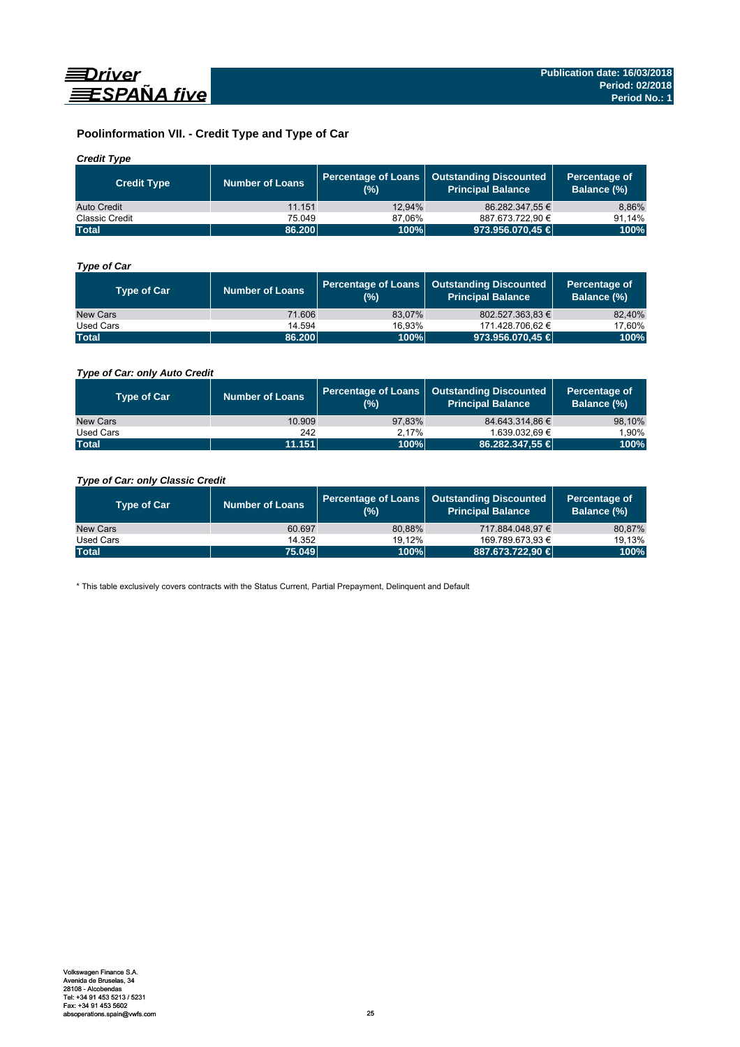

# **Poolinformation VII. - Credit Type and Type of Car**

# *Credit Type*

| <b>Credit Type</b> | Number of Loans | (%)    | Percentage of Loans   Outstanding Discounted<br>l Principal Balance <sup>'</sup> | Percentage of<br>Balance (%) |
|--------------------|-----------------|--------|----------------------------------------------------------------------------------|------------------------------|
| Auto Credit        | 11.151          | 12.94% | 86.282.347.55 €                                                                  | 8,86%                        |
| Classic Credit     | 75.049          | 87.06% | 887.673.722.90 €                                                                 | 91.14%                       |
| <b>Total</b>       | 86.200          | 100%   | 973.956.070,45 €                                                                 | 100%                         |

# *Type of Car*

| <b>Type of Car</b> | <b>Number of Loans</b> | (%)    | Percentage of Loans   Outstanding Discounted<br><b>Principal Balance</b> | Percentage of<br>Balance (%) |
|--------------------|------------------------|--------|--------------------------------------------------------------------------|------------------------------|
| New Cars           | 71.606                 | 83.07% | 802.527.363.83 €                                                         | 82,40%                       |
| Used Cars          | 14.594                 | 16.93% | 171.428.706,62 €                                                         | 17,60%                       |
| <b>Total</b>       | 86.200                 | 100%   | 973.956.070,45 €                                                         | 100%                         |

# *Type of Car: only Auto Credit*

| <b>Type of Car</b> | <b>Number of Loans</b> | (%)    | Percentage of Loans   Outstanding Discounted<br><b>Principal Balance</b> | Percentage of<br>Balance (%) |
|--------------------|------------------------|--------|--------------------------------------------------------------------------|------------------------------|
| New Cars           | 10.909                 | 97.83% | 84.643.314.86 €                                                          | 98,10%                       |
| Used Cars          | 242                    | 2.17%  | 1.639.032.69 €                                                           | 1,90%                        |
| <b>Total</b>       | 11.151                 | 100%   | 86.282.347,55 €                                                          | 100%                         |

# *Type of Car: only Classic Credit*

| <b>Type of Car</b> | <b>Number of Loans</b> | (%)    | Percentage of Loans   Outstanding Discounted<br><b>Principal Balance</b> | Percentage of<br>Balance (%) |
|--------------------|------------------------|--------|--------------------------------------------------------------------------|------------------------------|
| New Cars           | 60.697                 | 80.88% | 717.884.048.97 €                                                         | 80,87%                       |
| Used Cars          | 14.352                 | 19.12% | 169.789.673.93 €                                                         | 19.13%                       |
| <b>Total</b>       | 75.049                 | 100%   | 887.673.722.90 €                                                         | 100%                         |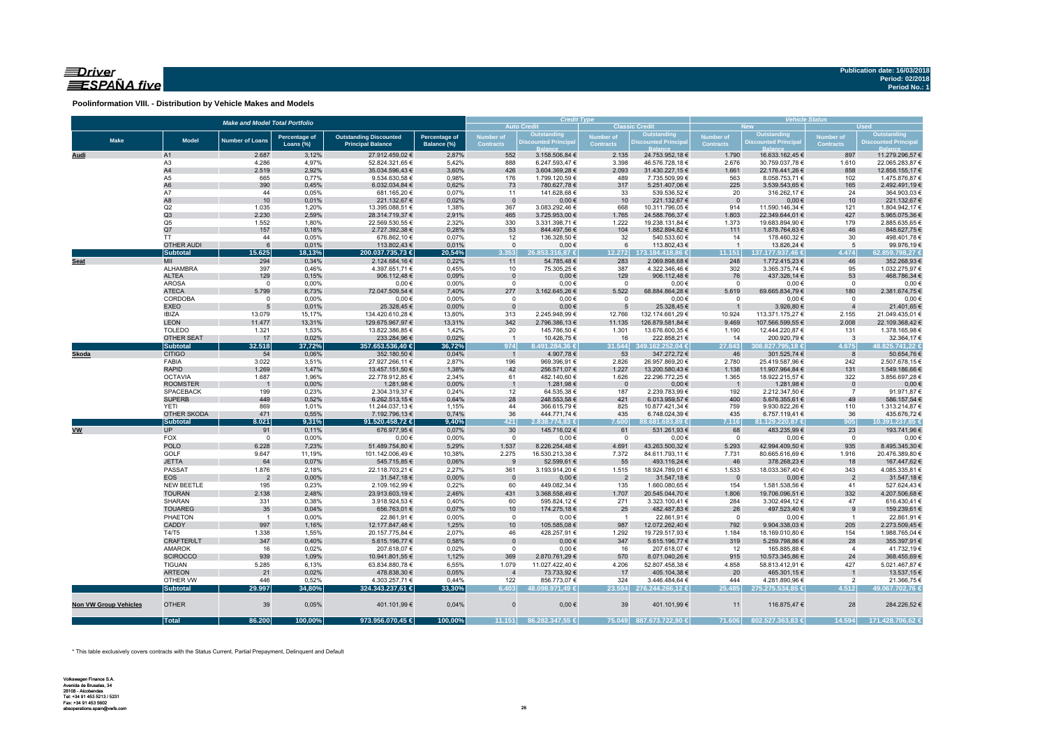# $\equiv$ Driver ESPAÑA five

**Poolinformation VIII. - Distribution by Vehicle Makes and Models**

| <b>Auto Credit</b><br><b>Classic Credit</b><br><b>Outstanding</b><br>Discounted Principa<br>Outstanding<br><b>Outstanding</b><br>Discounted Principal<br><b>Outstanding</b><br><b>Number of</b><br><b>Number of</b><br><b>Percentage of</b><br><b>Outstanding Discounted</b><br>Percentage of<br><b>Number of</b><br>Number of<br><b>Make</b><br><b>Model</b><br><b>Number of Loans</b><br><b>Discounted Principal</b><br><b>Discounted Principa</b><br><b>Contracts</b><br><b>Contracts</b><br>Loans (%)<br><b>Principal Balance</b><br><b>Contracts</b><br><b>Contracts</b><br>Balance (%)<br>2.687<br>3,12%<br>27.912.459,02 €<br>2,87%<br>552<br>3.158.506,84 €<br>2.135<br>24.753.952,18 €<br>1.790<br>16.633.162,45 €<br>897<br>11.279.296,57 €<br>A1<br><u>Audi</u><br>52.824.321,65 €<br>6.247.593,47 €<br>A <sub>3</sub><br>4.286<br>4,97%<br>5,42%<br>888<br>3.398<br>46.576.728,18 €<br>2.676<br>30.759.037,78 €<br>1.610<br>22.065.283,87 €<br>A4<br>2,92%<br>2.519<br>35.034.596,43 €<br>3,60%<br>426<br>2.093<br>1.661<br>858<br>3.604.369,28 €<br>31.430.227,15 €<br>22.176.441,26 €<br>12.858.155,17 €<br>A5<br>665<br>0,77%<br>9.534.630,58 €<br>0,98%<br>176<br>1.799.120,59 €<br>489<br>7.735.509,99 €<br>563<br>8.058.753,71 €<br>102<br>1.475.876,87 €<br>A <sub>6</sub><br>390<br>0,45%<br>6.032.034,84 €<br>0,62%<br>73<br>780.627,78 €<br>317<br>5.251.407,06 €<br>225<br>3.539.543,65 €<br>165<br>2.492.491,19€<br>A7<br>44<br>0,05%<br>681.165,20 €<br>141.628,68 €<br>33<br>539.536,52€<br>316.262,17 €<br>24<br>364.903,03 €<br>0,07%<br>11<br>20<br>A8<br>10<br>0,01%<br>221.132,67 €<br>0,02%<br>$0,00 \in$<br>221.132,67 €<br>$0,00 \in$<br>$\mathbf{0}$<br>10<br>$\overline{\phantom{0}}$<br>10<br>221.132,67 €<br>Q2<br>1.035<br>13.395.088,51 €<br>367<br>3.083.292,46 €<br>668<br>914<br>11.590.146,34 €<br>1,20%<br>1,38%<br>10.311.796,05 €<br>121<br>Q <sub>3</sub><br>465<br>2.230<br>2,59%<br>28.314.719,37 €<br>2,91%<br>3.725.953,00 €<br>1.765<br>24.588.766,37 €<br>1.803<br>22.349.644,01 €<br>427<br>Q <sub>5</sub><br>1.552<br>1,80%<br>22.569.530,55 €<br>2,32%<br>330<br>3.331.398,71 €<br>1.222<br>19.238.131,84 €<br>1.373<br>19.683.894,90 €<br>179<br>Q7<br>157<br>0,18%<br>53<br>104<br>111<br>46<br>2.727.392,38 €<br>0,28%<br>844.497,56 €<br>1.882.894,82 €<br>1.878.764,63 €<br>848.627,75€<br>44<br>0,05%<br>676.862,10 €<br>0,07%<br>12<br>136.328,50 €<br>32<br>540.533,60 €<br>14<br>178.460,32 €<br>30<br>498.401,78 €<br>TT<br><b>OTHER AUDI</b><br>6<br>113.802,43 €<br>$\overline{1}$<br>0,01%<br>0,01%<br>$\mathsf 0$<br>$0,00 \in$<br>6<br>113.802,43 €<br>13.826,24 €<br>5<br>99.976,19€<br>15.625<br><b>Subtotal</b><br>18,13%<br>200.037.735,73 €<br>20,54%<br>3.353<br>26.853.316.87 €<br>12.272<br>173.184.418.86 €<br>11.151<br>137.177.937.46 €<br>4.474<br>62.859.798,27 €<br>MII<br>294<br>248<br>352.268,93 €<br>0,34%<br>2.124.684,16€<br>0,22%<br>11<br>54.785,48€<br>283<br>2.069.898,68 €<br>1.772.415,23 €<br>46<br>Seat<br>ALHAMBRA<br>397<br>0,46%<br>0,45%<br>4.397.651,71 €<br>10<br>75.305,25 €<br>387<br>4.322.346,46 €<br>302<br>3.365.375,74 €<br>95<br>1.032.275,97 €<br><b>ALTEA</b><br>0,15%<br>906.112,48 €<br>437.326,14 €<br>129<br>0,09%<br>$0,00 \in$<br>129<br>906.112,48€<br>76<br>53<br>468.786,34 €<br>$\mathbf 0$<br><b>AROSA</b><br>$0,00 \in$<br>$\mathbf 0$<br>0,00%<br>$0,00 \in$<br>0,00%<br>$\mathsf 0$<br>$0,00 \in$<br>$\overline{0}$<br>$0,00 \in$<br>$0,00 \in$<br>$^{\circ}$<br>$^{\circ}$<br>6,73%<br>5.522<br>180<br><b>ATECA</b><br>5.799<br>72.047.509,54 €<br>277<br>3.162.645,26 €<br>68.884.864,28 €<br>5.619<br>69.665.834,79 €<br>2.381.674,75 €<br>7,40%<br>CORDOBA<br>$0,00 \in$<br>$0,00 \in$<br>$0,00 \in$<br>$\mathbf 0$<br>0,00%<br>0,00%<br>$\mathsf 0$<br>$0,00 \in$<br>$\overline{0}$<br>$\overline{0}$<br>$0,00 \in$<br>$^{\circ}$<br><b>EXEO</b><br>25.328,45 €<br>25.328,45 €<br>3.926,80 €<br>5<br>0,01%<br>0,00%<br>$\overline{0}$<br>$0,00 \in$<br>21.401,65 €<br>5<br><b>IBIZA</b><br>13.079<br>15,17%<br>134.420.610,28 €<br>313<br>2.245.948,99 €<br>12.766<br>132.174.661,29 €<br>10.924<br>113.371.175,27 €<br>2.155<br>13,80%<br><b>LEON</b><br>342<br>11.477<br>13,31%<br>129.675.967,97 €<br>13,31%<br>2.796.386,13 €<br>11.135<br>126.879.581,84 €<br>9.469<br>107.566.599,55 €<br>2.008<br><b>TOLEDO</b><br>1.321<br>1.301<br>1,53%<br>13.822.386,85 €<br>1,42%<br>20<br>145.786,50 €<br>13.676.600,35 €<br>1.190<br>12.444.220,87 €<br>131<br>OTHER SEAT<br>17<br>0,02%<br>233.284,96 €<br>0,02%<br>10.426,75€<br>16<br>222.858,21 €<br>14<br>200.920,79€<br>$\overline{\mathbf{3}}$<br>$\overline{1}$<br>357.653.536,40 €<br><b>Subtotal</b><br>32.518<br>37,72%<br>36,72%<br>974<br>.491.284,36 €<br>31.544<br>349.162.252,04 €<br>27.843<br>308.827.795,18 €<br>4.675<br><b>CITIGO</b><br>0,06%<br>352.180,50 €<br>4.907,78 €<br>53<br>347.272,72 €<br>301.525,74 €<br>Skoda<br>54<br>0,04%<br>$\overline{1}$<br>46<br>8<br>3.022<br>196<br>FABIA<br>3,51%<br>27.927.266,11 €<br>2,87%<br>969.396,91 €<br>2.826<br>26.957.869,20 €<br>2.780<br>25.419.587,96 €<br>242<br>2.507.678,15 €<br><b>RAPID</b><br>1.269<br>1,47%<br>13.457.151,50 €<br>42<br>1.549.186,66 €<br>1,38%<br>256.571,07 €<br>1.227<br>13.200.580,43 €<br>1.138<br>11.907.964,84 €<br>131<br><b>OCTAVIA</b><br>1.687<br>1,96%<br>22.778.912,85 €<br>2,34%<br>61<br>482.140,60 €<br>1.626<br>22.296.772,25 €<br>1.365<br>18.922.215,57 €<br>322<br>3.856.697,28 €<br><b>ROOMSTER</b><br>0,00%<br>1.281,98€<br>0,00%<br>$0,00 \in$<br>1.281,98 €<br>$0,00 \in$<br>1.281,98 €<br>$\overline{\phantom{0}}$<br>$\overline{0}$<br>$\overline{1}$<br>$\overline{1}$<br>$\Omega$<br>2.239.783,99 €<br><b>SPACEBACK</b><br>199<br>0,23%<br>2.304.319,37 €<br>0,24%<br>12<br>64.535,38 €<br>187<br>192<br>2.212.347,50 €<br>$\overline{7}$<br>91.971,87€<br><b>SUPERB</b><br>0,52%<br>6.013.959,57 €<br>5.676.355,61 €<br>449<br>6.262.513,15€<br>0,64%<br>28<br>248.553,58€<br>421<br>400<br>49<br>586.157,54 €<br>869<br>11.244.037,13 €<br>825<br>110<br><b>YETI</b><br>1,01%<br>1,15%<br>44<br>366.615,79€<br>10.877.421,34 €<br>759<br>9.930.822,26 €<br>1.313.214,87 €<br>0,55%<br>471<br>0,74%<br>36<br>435<br>435<br>36<br>OTHER SKODA<br>7.192.796,13 €<br>444.771,74 €<br>6.748.024,39 €<br>6.757.119,41 €<br><b>Subtotal</b><br>8.021<br>9,31%<br>421<br>91.520.458,72 €<br>9,40%<br>2.838.774,83 €<br>7.600<br>88.681.683.89€<br>7.116<br>81.129.220,87 €<br>905<br><b>VW</b><br><b>UP</b><br>676.977,95€<br>30<br>68<br>483.235,99 €<br>91<br>0,11%<br>0,07%<br>145.716,02 €<br>61<br>531.261,93 €<br>23<br>FOX<br>$\mathsf 0$<br>$0,00 \in$<br>$\overline{0}$<br>0,00%<br>$0,00 \in$<br>0,00%<br>$0,00 \in$<br>$\overline{0}$<br>$0,00 \in$<br>$\overline{0}$<br>$\overline{0}$<br><b>POLO</b><br>6.228<br>1.537<br>7,23%<br>51.489.754,80 €<br>8.226.254,48 €<br>4.691<br>43.263.500,32 €<br>5.293<br>42.994.409,50 €<br>935<br>5,29%<br>GOLF<br>9.647<br>11,19%<br>101.142.006,49€<br>10,38%<br>2.275<br>16.530.213,38 €<br>7.372<br>84.611.793,11 €<br>7.731<br>80.665.616,69 €<br>1.916<br>20.476.389,80 €<br>64<br><b>JETTA</b><br>0,07%<br>9<br>55<br>46<br>18<br>545.715,85 €<br>0,06%<br>52.599,61 €<br>493.116,24 €<br>378.268,23 €<br>167.447,62 €<br>PASSAT<br>1.876<br>2,18%<br>22.118.703,21 €<br>361<br>1.533<br>18.033.367,40 €<br>343<br>2,27%<br>3.193.914,20 €<br>1.515<br>18.924.789,01 €<br>4.085.335,81 €<br><b>EOS</b><br>0,00%<br>31.547,18 €<br>0,00%<br>$0,00 \in$<br>31.547,18 €<br>$0,00 \in$<br>31.547,18€<br>$\overline{2}$<br>$\overline{0}$<br>$\overline{2}$<br>$\overline{2}$<br>$\overline{\mathbf{0}}$<br>NEW BEETLE<br>195<br>0,23%<br>2.109.162,99 €<br>0,22%<br>60<br>449.082,34 €<br>135<br>1.660.080,65 €<br>154<br>1.581.538,56 €<br>41<br>527.624,43 €<br>2.138<br>2,48%<br>431<br>332<br><b>TOURAN</b><br>23.913.603,19 €<br>2,46%<br>3.368.558,49 €<br>1.707<br>20.545.044,70 €<br>1.806<br>19.706.096,51 €<br>4.207.506,68 €<br>SHARAN<br>331<br>0,38%<br>3.918.924,53 €<br>0,40%<br>60<br>595.824,12€<br>271<br>3.323.100,41 €<br>284<br>3.302.494,12 €<br>47<br>616.430,41€<br>35<br>25<br>26<br>497.523,40 €<br><b>TOUAREG</b><br>0,04%<br>656.763,01 €<br>0,07%<br>10<br>174.275,18 €<br>482.487,83 €<br>9<br>159.239,61 €<br>PHAETON<br>0,00%<br>$0,00 \in$<br>$\overline{1}$<br>22.861,91 €<br>0,00%<br>$\mathbf 0$<br>$0,00 \in$<br>22.861,91 €<br>$\overline{0}$<br>22.861,91 €<br>$\overline{1}$<br>$\overline{1}$<br>CADDY<br>205<br>997<br>1,16%<br>12.177.847,48 €<br>1,25%<br>10<br>105.585,08 €<br>987<br>12.072.262,40 €<br>792<br>9.904.338,03 €<br>2.273.509,45 €<br>T4/T5<br>428.257,91 €<br>1.338<br>1,55%<br>20.157.775,84 €<br>2,07%<br>46<br>1.292<br>19.729.517,93 €<br>1.184<br>18.169.010,80 €<br>154<br>1.988.765,04 €<br>347<br>0,40%<br>28<br><b>CRAFTER/LT</b><br>5.615.196,77 €<br>0,58%<br>$\overline{0}$<br>$0,00 \in$<br>347<br>5.615.196,77 €<br>319<br>5.259.798,86 €<br>355.397,91 €<br><b>AMAROK</b><br>16<br>0,02%<br>207.618,07 €<br>0,02%<br>$\mathsf 0$<br>$0,00 \in$<br>16<br>207.618,07 €<br>12<br>165.885,88 €<br>41.732,19€<br>$\overline{4}$<br>369<br><b>SCIROCCO</b><br>939<br>1,09%<br>570<br>915<br>24<br>368.455,69€<br>10.941.801,55 €<br>1,12%<br>2.870.761,29 €<br>8.071.040,26 €<br>10.573.345,86 €<br>1.079<br>427<br>5.285<br>6,13%<br>63.834.880,78 €<br>11.027.422,40 €<br>4.206<br>4.858<br><b>TIGUAN</b><br>6,55%<br>52.807.458,38 €<br>58.813.412,91 €<br>5.021.467,87 €<br><b>ARTEON</b><br>21<br>0,02%<br>478.838,30 €<br>0,05%<br>$\overline{4}$<br>73.733,92 €<br>17<br>405.104,38 €<br>20<br>465.301,15€<br>13.537,15€<br>$\overline{1}$<br>0,52%<br>4.303.257,71 €<br>122<br>856.773,07 €<br>324<br>3.446.484,64 €<br>OTHER VW<br>446<br>0,44%<br>444<br>4.281.890,96 €<br>$\overline{2}$<br>21.366,75 €<br><b>Subtotal</b><br>29.997<br>34,80%<br>324.343.237,61 €<br>33,30%<br>6.403<br>23.594<br>276.244.266.12 €<br>25.485<br>275.275.534.85 €<br>4.512<br>48.098.971.49 €<br><b>OTHER</b><br>39<br>28<br><b>Non VW Group Vehicles</b><br>0,05%<br>401.101,99 €<br>0,04%<br>$\Omega$<br>$0,00 \in$<br>39<br>401.101,99 €<br>11<br>116.875,47 €<br><b>Total</b><br>86.200<br>100,00%<br>973.956.070,45 €<br>100,00%<br>11.151<br>86.282.347.55 €<br>75.049 887.673.722,90 €<br>71.606<br>802.527.363.83 €<br>14.594<br>171.428.706,62 € | <b>Make and Model Total Portfolio</b> |  |  |  |  |  |  | <b>Credit Type</b> |  | <b>Vehicle Status</b><br><b>Used</b><br><b>New</b> |  |  |                 |  |  |  |
|---------------------------------------------------------------------------------------------------------------------------------------------------------------------------------------------------------------------------------------------------------------------------------------------------------------------------------------------------------------------------------------------------------------------------------------------------------------------------------------------------------------------------------------------------------------------------------------------------------------------------------------------------------------------------------------------------------------------------------------------------------------------------------------------------------------------------------------------------------------------------------------------------------------------------------------------------------------------------------------------------------------------------------------------------------------------------------------------------------------------------------------------------------------------------------------------------------------------------------------------------------------------------------------------------------------------------------------------------------------------------------------------------------------------------------------------------------------------------------------------------------------------------------------------------------------------------------------------------------------------------------------------------------------------------------------------------------------------------------------------------------------------------------------------------------------------------------------------------------------------------------------------------------------------------------------------------------------------------------------------------------------------------------------------------------------------------------------------------------------------------------------------------------------------------------------------------------------------------------------------------------------------------------------------------------------------------------------------------------------------------------------------------------------------------------------------------------------------------------------------------------------------------------------------------------------------------------------------------------------------------------------------------------------------------------------------------------------------------------------------------------------------------------------------------------------------------------------------------------------------------------------------------------------------------------------------------------------------------------------------------------------------------------------------------------------------------------------------------------------------------------------------------------------------------------------------------------------------------------------------------------------------------------------------------------------------------------------------------------------------------------------------------------------------------------------------------------------------------------------------------------------------------------------------------------------------------------------------------------------------------------------------------------------------------------------------------------------------------------------------------------------------------------------------------------------------------------------------------------------------------------------------------------------------------------------------------------------------------------------------------------------------------------------------------------------------------------------------------------------------------------------------------------------------------------------------------------------------------------------------------------------------------------------------------------------------------------------------------------------------------------------------------------------------------------------------------------------------------------------------------------------------------------------------------------------------------------------------------------------------------------------------------------------------------------------------------------------------------------------------------------------------------------------------------------------------------------------------------------------------------------------------------------------------------------------------------------------------------------------------------------------------------------------------------------------------------------------------------------------------------------------------------------------------------------------------------------------------------------------------------------------------------------------------------------------------------------------------------------------------------------------------------------------------------------------------------------------------------------------------------------------------------------------------------------------------------------------------------------------------------------------------------------------------------------------------------------------------------------------------------------------------------------------------------------------------------------------------------------------------------------------------------------------------------------------------------------------------------------------------------------------------------------------------------------------------------------------------------------------------------------------------------------------------------------------------------------------------------------------------------------------------------------------------------------------------------------------------------------------------------------------------------------------------------------------------------------------------------------------------------------------------------------------------------------------------------------------------------------------------------------------------------------------------------------------------------------------------------------------------------------------------------------------------------------------------------------------------------------------------------------------------------------------------------------------------------------------------------------------------------------------------------------------------------------------------------------------------------------------------------------------------------------------------------------------------------------------------------------------------------------------------------------------------------------------------------------------------------------------------------------------------------------------------------------------------------------------------------------------------------------------------------------------------------------------------------------------------------------------------------------------------------------------------------------------------------------------------------------------------------------------------------------------------------------------------------------------------------------------------------------------------------------------------------------------------------------------------------------------------------------------------------------------------------------------------------------------------------------------------------------------------------------------------------------------------------------------------------------------------------------------------------------------------------------------------------------------------------------------------------------------------------------------------------------------------------------------------------------------------------------------------------------------------------------------------------------------------------------------------------------------------------------------------------------------------------------------------------------------------------------------------------------------------------------------------------------------------------------------------------------------------------------------------------------------------------------------------------------------------------------------------------------------------------------------------------------------------------------------------------------------------------------------------------------------------------------------------------------------------------------------------------------------------------------------------------------------------------------------------------------------------------------------------------------------------------------------------------------------------------------------------------------------------------------------------------------------------------------------------------------------------------------------------------------------------------------------------------------------------------------------------------------------------------------------------------------------------------------------------------------------------------------------------------------------------------------------------------------------------------------------------------------------------------------------------------------------------------------------------------------------------------------------------------------------------------------------------------------------------------------------------------------------------------------------------------------------------------------------------------------------------|---------------------------------------|--|--|--|--|--|--|--------------------|--|----------------------------------------------------|--|--|-----------------|--|--|--|
|                                                                                                                                                                                                                                                                                                                                                                                                                                                                                                                                                                                                                                                                                                                                                                                                                                                                                                                                                                                                                                                                                                                                                                                                                                                                                                                                                                                                                                                                                                                                                                                                                                                                                                                                                                                                                                                                                                                                                                                                                                                                                                                                                                                                                                                                                                                                                                                                                                                                                                                                                                                                                                                                                                                                                                                                                                                                                                                                                                                                                                                                                                                                                                                                                                                                                                                                                                                                                                                                                                                                                                                                                                                                                                                                                                                                                                                                                                                                                                                                                                                                                                                                                                                                                                                                                                                                                                                                                                                                                                                                                                                                                                                                                                                                                                                                                                                                                                                                                                                                                                                                                                                                                                                                                                                                                                                                                                                                                                                                                                                                                                                                                                                                                                                                                                                                                                                                                                                                                                                                                                                                                                                                                                                                                                                                                                                                                                                                                                                                                                                                                                                                                                                                                                                                                                                                                                                                                                                                                                                                                                                                                                                                                                                                                                                                                                                                                                                                                                                                                                                                                                                                                                                                                                                                                                                                                                                                                                                                                                                                                                                                                                                                                                                                                                                                                                                                                                                                                                                                                                                                                                                                                                                                                                                                                                                                                                                                                                                                                                                                                                                                                                                                                                                                                                                                                                                                                                                                                                                                                                                                                                                                                                                                                                                                                                                                                                                                                                                                                                                                                                                                                                                                                                                                                                                                                                                                                                                             |                                       |  |  |  |  |  |  |                    |  |                                                    |  |  |                 |  |  |  |
|                                                                                                                                                                                                                                                                                                                                                                                                                                                                                                                                                                                                                                                                                                                                                                                                                                                                                                                                                                                                                                                                                                                                                                                                                                                                                                                                                                                                                                                                                                                                                                                                                                                                                                                                                                                                                                                                                                                                                                                                                                                                                                                                                                                                                                                                                                                                                                                                                                                                                                                                                                                                                                                                                                                                                                                                                                                                                                                                                                                                                                                                                                                                                                                                                                                                                                                                                                                                                                                                                                                                                                                                                                                                                                                                                                                                                                                                                                                                                                                                                                                                                                                                                                                                                                                                                                                                                                                                                                                                                                                                                                                                                                                                                                                                                                                                                                                                                                                                                                                                                                                                                                                                                                                                                                                                                                                                                                                                                                                                                                                                                                                                                                                                                                                                                                                                                                                                                                                                                                                                                                                                                                                                                                                                                                                                                                                                                                                                                                                                                                                                                                                                                                                                                                                                                                                                                                                                                                                                                                                                                                                                                                                                                                                                                                                                                                                                                                                                                                                                                                                                                                                                                                                                                                                                                                                                                                                                                                                                                                                                                                                                                                                                                                                                                                                                                                                                                                                                                                                                                                                                                                                                                                                                                                                                                                                                                                                                                                                                                                                                                                                                                                                                                                                                                                                                                                                                                                                                                                                                                                                                                                                                                                                                                                                                                                                                                                                                                                                                                                                                                                                                                                                                                                                                                                                                                                                                                                                             |                                       |  |  |  |  |  |  |                    |  |                                                    |  |  |                 |  |  |  |
|                                                                                                                                                                                                                                                                                                                                                                                                                                                                                                                                                                                                                                                                                                                                                                                                                                                                                                                                                                                                                                                                                                                                                                                                                                                                                                                                                                                                                                                                                                                                                                                                                                                                                                                                                                                                                                                                                                                                                                                                                                                                                                                                                                                                                                                                                                                                                                                                                                                                                                                                                                                                                                                                                                                                                                                                                                                                                                                                                                                                                                                                                                                                                                                                                                                                                                                                                                                                                                                                                                                                                                                                                                                                                                                                                                                                                                                                                                                                                                                                                                                                                                                                                                                                                                                                                                                                                                                                                                                                                                                                                                                                                                                                                                                                                                                                                                                                                                                                                                                                                                                                                                                                                                                                                                                                                                                                                                                                                                                                                                                                                                                                                                                                                                                                                                                                                                                                                                                                                                                                                                                                                                                                                                                                                                                                                                                                                                                                                                                                                                                                                                                                                                                                                                                                                                                                                                                                                                                                                                                                                                                                                                                                                                                                                                                                                                                                                                                                                                                                                                                                                                                                                                                                                                                                                                                                                                                                                                                                                                                                                                                                                                                                                                                                                                                                                                                                                                                                                                                                                                                                                                                                                                                                                                                                                                                                                                                                                                                                                                                                                                                                                                                                                                                                                                                                                                                                                                                                                                                                                                                                                                                                                                                                                                                                                                                                                                                                                                                                                                                                                                                                                                                                                                                                                                                                                                                                                                                             |                                       |  |  |  |  |  |  |                    |  |                                                    |  |  |                 |  |  |  |
|                                                                                                                                                                                                                                                                                                                                                                                                                                                                                                                                                                                                                                                                                                                                                                                                                                                                                                                                                                                                                                                                                                                                                                                                                                                                                                                                                                                                                                                                                                                                                                                                                                                                                                                                                                                                                                                                                                                                                                                                                                                                                                                                                                                                                                                                                                                                                                                                                                                                                                                                                                                                                                                                                                                                                                                                                                                                                                                                                                                                                                                                                                                                                                                                                                                                                                                                                                                                                                                                                                                                                                                                                                                                                                                                                                                                                                                                                                                                                                                                                                                                                                                                                                                                                                                                                                                                                                                                                                                                                                                                                                                                                                                                                                                                                                                                                                                                                                                                                                                                                                                                                                                                                                                                                                                                                                                                                                                                                                                                                                                                                                                                                                                                                                                                                                                                                                                                                                                                                                                                                                                                                                                                                                                                                                                                                                                                                                                                                                                                                                                                                                                                                                                                                                                                                                                                                                                                                                                                                                                                                                                                                                                                                                                                                                                                                                                                                                                                                                                                                                                                                                                                                                                                                                                                                                                                                                                                                                                                                                                                                                                                                                                                                                                                                                                                                                                                                                                                                                                                                                                                                                                                                                                                                                                                                                                                                                                                                                                                                                                                                                                                                                                                                                                                                                                                                                                                                                                                                                                                                                                                                                                                                                                                                                                                                                                                                                                                                                                                                                                                                                                                                                                                                                                                                                                                                                                                                                                             |                                       |  |  |  |  |  |  |                    |  |                                                    |  |  |                 |  |  |  |
|                                                                                                                                                                                                                                                                                                                                                                                                                                                                                                                                                                                                                                                                                                                                                                                                                                                                                                                                                                                                                                                                                                                                                                                                                                                                                                                                                                                                                                                                                                                                                                                                                                                                                                                                                                                                                                                                                                                                                                                                                                                                                                                                                                                                                                                                                                                                                                                                                                                                                                                                                                                                                                                                                                                                                                                                                                                                                                                                                                                                                                                                                                                                                                                                                                                                                                                                                                                                                                                                                                                                                                                                                                                                                                                                                                                                                                                                                                                                                                                                                                                                                                                                                                                                                                                                                                                                                                                                                                                                                                                                                                                                                                                                                                                                                                                                                                                                                                                                                                                                                                                                                                                                                                                                                                                                                                                                                                                                                                                                                                                                                                                                                                                                                                                                                                                                                                                                                                                                                                                                                                                                                                                                                                                                                                                                                                                                                                                                                                                                                                                                                                                                                                                                                                                                                                                                                                                                                                                                                                                                                                                                                                                                                                                                                                                                                                                                                                                                                                                                                                                                                                                                                                                                                                                                                                                                                                                                                                                                                                                                                                                                                                                                                                                                                                                                                                                                                                                                                                                                                                                                                                                                                                                                                                                                                                                                                                                                                                                                                                                                                                                                                                                                                                                                                                                                                                                                                                                                                                                                                                                                                                                                                                                                                                                                                                                                                                                                                                                                                                                                                                                                                                                                                                                                                                                                                                                                                                                             |                                       |  |  |  |  |  |  |                    |  |                                                    |  |  |                 |  |  |  |
|                                                                                                                                                                                                                                                                                                                                                                                                                                                                                                                                                                                                                                                                                                                                                                                                                                                                                                                                                                                                                                                                                                                                                                                                                                                                                                                                                                                                                                                                                                                                                                                                                                                                                                                                                                                                                                                                                                                                                                                                                                                                                                                                                                                                                                                                                                                                                                                                                                                                                                                                                                                                                                                                                                                                                                                                                                                                                                                                                                                                                                                                                                                                                                                                                                                                                                                                                                                                                                                                                                                                                                                                                                                                                                                                                                                                                                                                                                                                                                                                                                                                                                                                                                                                                                                                                                                                                                                                                                                                                                                                                                                                                                                                                                                                                                                                                                                                                                                                                                                                                                                                                                                                                                                                                                                                                                                                                                                                                                                                                                                                                                                                                                                                                                                                                                                                                                                                                                                                                                                                                                                                                                                                                                                                                                                                                                                                                                                                                                                                                                                                                                                                                                                                                                                                                                                                                                                                                                                                                                                                                                                                                                                                                                                                                                                                                                                                                                                                                                                                                                                                                                                                                                                                                                                                                                                                                                                                                                                                                                                                                                                                                                                                                                                                                                                                                                                                                                                                                                                                                                                                                                                                                                                                                                                                                                                                                                                                                                                                                                                                                                                                                                                                                                                                                                                                                                                                                                                                                                                                                                                                                                                                                                                                                                                                                                                                                                                                                                                                                                                                                                                                                                                                                                                                                                                                                                                                                                                             |                                       |  |  |  |  |  |  |                    |  |                                                    |  |  |                 |  |  |  |
|                                                                                                                                                                                                                                                                                                                                                                                                                                                                                                                                                                                                                                                                                                                                                                                                                                                                                                                                                                                                                                                                                                                                                                                                                                                                                                                                                                                                                                                                                                                                                                                                                                                                                                                                                                                                                                                                                                                                                                                                                                                                                                                                                                                                                                                                                                                                                                                                                                                                                                                                                                                                                                                                                                                                                                                                                                                                                                                                                                                                                                                                                                                                                                                                                                                                                                                                                                                                                                                                                                                                                                                                                                                                                                                                                                                                                                                                                                                                                                                                                                                                                                                                                                                                                                                                                                                                                                                                                                                                                                                                                                                                                                                                                                                                                                                                                                                                                                                                                                                                                                                                                                                                                                                                                                                                                                                                                                                                                                                                                                                                                                                                                                                                                                                                                                                                                                                                                                                                                                                                                                                                                                                                                                                                                                                                                                                                                                                                                                                                                                                                                                                                                                                                                                                                                                                                                                                                                                                                                                                                                                                                                                                                                                                                                                                                                                                                                                                                                                                                                                                                                                                                                                                                                                                                                                                                                                                                                                                                                                                                                                                                                                                                                                                                                                                                                                                                                                                                                                                                                                                                                                                                                                                                                                                                                                                                                                                                                                                                                                                                                                                                                                                                                                                                                                                                                                                                                                                                                                                                                                                                                                                                                                                                                                                                                                                                                                                                                                                                                                                                                                                                                                                                                                                                                                                                                                                                                                                             |                                       |  |  |  |  |  |  |                    |  |                                                    |  |  |                 |  |  |  |
|                                                                                                                                                                                                                                                                                                                                                                                                                                                                                                                                                                                                                                                                                                                                                                                                                                                                                                                                                                                                                                                                                                                                                                                                                                                                                                                                                                                                                                                                                                                                                                                                                                                                                                                                                                                                                                                                                                                                                                                                                                                                                                                                                                                                                                                                                                                                                                                                                                                                                                                                                                                                                                                                                                                                                                                                                                                                                                                                                                                                                                                                                                                                                                                                                                                                                                                                                                                                                                                                                                                                                                                                                                                                                                                                                                                                                                                                                                                                                                                                                                                                                                                                                                                                                                                                                                                                                                                                                                                                                                                                                                                                                                                                                                                                                                                                                                                                                                                                                                                                                                                                                                                                                                                                                                                                                                                                                                                                                                                                                                                                                                                                                                                                                                                                                                                                                                                                                                                                                                                                                                                                                                                                                                                                                                                                                                                                                                                                                                                                                                                                                                                                                                                                                                                                                                                                                                                                                                                                                                                                                                                                                                                                                                                                                                                                                                                                                                                                                                                                                                                                                                                                                                                                                                                                                                                                                                                                                                                                                                                                                                                                                                                                                                                                                                                                                                                                                                                                                                                                                                                                                                                                                                                                                                                                                                                                                                                                                                                                                                                                                                                                                                                                                                                                                                                                                                                                                                                                                                                                                                                                                                                                                                                                                                                                                                                                                                                                                                                                                                                                                                                                                                                                                                                                                                                                                                                                                                                             |                                       |  |  |  |  |  |  |                    |  |                                                    |  |  |                 |  |  |  |
|                                                                                                                                                                                                                                                                                                                                                                                                                                                                                                                                                                                                                                                                                                                                                                                                                                                                                                                                                                                                                                                                                                                                                                                                                                                                                                                                                                                                                                                                                                                                                                                                                                                                                                                                                                                                                                                                                                                                                                                                                                                                                                                                                                                                                                                                                                                                                                                                                                                                                                                                                                                                                                                                                                                                                                                                                                                                                                                                                                                                                                                                                                                                                                                                                                                                                                                                                                                                                                                                                                                                                                                                                                                                                                                                                                                                                                                                                                                                                                                                                                                                                                                                                                                                                                                                                                                                                                                                                                                                                                                                                                                                                                                                                                                                                                                                                                                                                                                                                                                                                                                                                                                                                                                                                                                                                                                                                                                                                                                                                                                                                                                                                                                                                                                                                                                                                                                                                                                                                                                                                                                                                                                                                                                                                                                                                                                                                                                                                                                                                                                                                                                                                                                                                                                                                                                                                                                                                                                                                                                                                                                                                                                                                                                                                                                                                                                                                                                                                                                                                                                                                                                                                                                                                                                                                                                                                                                                                                                                                                                                                                                                                                                                                                                                                                                                                                                                                                                                                                                                                                                                                                                                                                                                                                                                                                                                                                                                                                                                                                                                                                                                                                                                                                                                                                                                                                                                                                                                                                                                                                                                                                                                                                                                                                                                                                                                                                                                                                                                                                                                                                                                                                                                                                                                                                                                                                                                                                                             |                                       |  |  |  |  |  |  |                    |  |                                                    |  |  |                 |  |  |  |
|                                                                                                                                                                                                                                                                                                                                                                                                                                                                                                                                                                                                                                                                                                                                                                                                                                                                                                                                                                                                                                                                                                                                                                                                                                                                                                                                                                                                                                                                                                                                                                                                                                                                                                                                                                                                                                                                                                                                                                                                                                                                                                                                                                                                                                                                                                                                                                                                                                                                                                                                                                                                                                                                                                                                                                                                                                                                                                                                                                                                                                                                                                                                                                                                                                                                                                                                                                                                                                                                                                                                                                                                                                                                                                                                                                                                                                                                                                                                                                                                                                                                                                                                                                                                                                                                                                                                                                                                                                                                                                                                                                                                                                                                                                                                                                                                                                                                                                                                                                                                                                                                                                                                                                                                                                                                                                                                                                                                                                                                                                                                                                                                                                                                                                                                                                                                                                                                                                                                                                                                                                                                                                                                                                                                                                                                                                                                                                                                                                                                                                                                                                                                                                                                                                                                                                                                                                                                                                                                                                                                                                                                                                                                                                                                                                                                                                                                                                                                                                                                                                                                                                                                                                                                                                                                                                                                                                                                                                                                                                                                                                                                                                                                                                                                                                                                                                                                                                                                                                                                                                                                                                                                                                                                                                                                                                                                                                                                                                                                                                                                                                                                                                                                                                                                                                                                                                                                                                                                                                                                                                                                                                                                                                                                                                                                                                                                                                                                                                                                                                                                                                                                                                                                                                                                                                                                                                                                                                                             |                                       |  |  |  |  |  |  |                    |  |                                                    |  |  | 1.804.942,17 €  |  |  |  |
|                                                                                                                                                                                                                                                                                                                                                                                                                                                                                                                                                                                                                                                                                                                                                                                                                                                                                                                                                                                                                                                                                                                                                                                                                                                                                                                                                                                                                                                                                                                                                                                                                                                                                                                                                                                                                                                                                                                                                                                                                                                                                                                                                                                                                                                                                                                                                                                                                                                                                                                                                                                                                                                                                                                                                                                                                                                                                                                                                                                                                                                                                                                                                                                                                                                                                                                                                                                                                                                                                                                                                                                                                                                                                                                                                                                                                                                                                                                                                                                                                                                                                                                                                                                                                                                                                                                                                                                                                                                                                                                                                                                                                                                                                                                                                                                                                                                                                                                                                                                                                                                                                                                                                                                                                                                                                                                                                                                                                                                                                                                                                                                                                                                                                                                                                                                                                                                                                                                                                                                                                                                                                                                                                                                                                                                                                                                                                                                                                                                                                                                                                                                                                                                                                                                                                                                                                                                                                                                                                                                                                                                                                                                                                                                                                                                                                                                                                                                                                                                                                                                                                                                                                                                                                                                                                                                                                                                                                                                                                                                                                                                                                                                                                                                                                                                                                                                                                                                                                                                                                                                                                                                                                                                                                                                                                                                                                                                                                                                                                                                                                                                                                                                                                                                                                                                                                                                                                                                                                                                                                                                                                                                                                                                                                                                                                                                                                                                                                                                                                                                                                                                                                                                                                                                                                                                                                                                                                                                             |                                       |  |  |  |  |  |  |                    |  |                                                    |  |  | 5.965.075,36 €  |  |  |  |
|                                                                                                                                                                                                                                                                                                                                                                                                                                                                                                                                                                                                                                                                                                                                                                                                                                                                                                                                                                                                                                                                                                                                                                                                                                                                                                                                                                                                                                                                                                                                                                                                                                                                                                                                                                                                                                                                                                                                                                                                                                                                                                                                                                                                                                                                                                                                                                                                                                                                                                                                                                                                                                                                                                                                                                                                                                                                                                                                                                                                                                                                                                                                                                                                                                                                                                                                                                                                                                                                                                                                                                                                                                                                                                                                                                                                                                                                                                                                                                                                                                                                                                                                                                                                                                                                                                                                                                                                                                                                                                                                                                                                                                                                                                                                                                                                                                                                                                                                                                                                                                                                                                                                                                                                                                                                                                                                                                                                                                                                                                                                                                                                                                                                                                                                                                                                                                                                                                                                                                                                                                                                                                                                                                                                                                                                                                                                                                                                                                                                                                                                                                                                                                                                                                                                                                                                                                                                                                                                                                                                                                                                                                                                                                                                                                                                                                                                                                                                                                                                                                                                                                                                                                                                                                                                                                                                                                                                                                                                                                                                                                                                                                                                                                                                                                                                                                                                                                                                                                                                                                                                                                                                                                                                                                                                                                                                                                                                                                                                                                                                                                                                                                                                                                                                                                                                                                                                                                                                                                                                                                                                                                                                                                                                                                                                                                                                                                                                                                                                                                                                                                                                                                                                                                                                                                                                                                                                                                                             |                                       |  |  |  |  |  |  |                    |  |                                                    |  |  | 2.885.635,65 €  |  |  |  |
|                                                                                                                                                                                                                                                                                                                                                                                                                                                                                                                                                                                                                                                                                                                                                                                                                                                                                                                                                                                                                                                                                                                                                                                                                                                                                                                                                                                                                                                                                                                                                                                                                                                                                                                                                                                                                                                                                                                                                                                                                                                                                                                                                                                                                                                                                                                                                                                                                                                                                                                                                                                                                                                                                                                                                                                                                                                                                                                                                                                                                                                                                                                                                                                                                                                                                                                                                                                                                                                                                                                                                                                                                                                                                                                                                                                                                                                                                                                                                                                                                                                                                                                                                                                                                                                                                                                                                                                                                                                                                                                                                                                                                                                                                                                                                                                                                                                                                                                                                                                                                                                                                                                                                                                                                                                                                                                                                                                                                                                                                                                                                                                                                                                                                                                                                                                                                                                                                                                                                                                                                                                                                                                                                                                                                                                                                                                                                                                                                                                                                                                                                                                                                                                                                                                                                                                                                                                                                                                                                                                                                                                                                                                                                                                                                                                                                                                                                                                                                                                                                                                                                                                                                                                                                                                                                                                                                                                                                                                                                                                                                                                                                                                                                                                                                                                                                                                                                                                                                                                                                                                                                                                                                                                                                                                                                                                                                                                                                                                                                                                                                                                                                                                                                                                                                                                                                                                                                                                                                                                                                                                                                                                                                                                                                                                                                                                                                                                                                                                                                                                                                                                                                                                                                                                                                                                                                                                                                                                             |                                       |  |  |  |  |  |  |                    |  |                                                    |  |  |                 |  |  |  |
|                                                                                                                                                                                                                                                                                                                                                                                                                                                                                                                                                                                                                                                                                                                                                                                                                                                                                                                                                                                                                                                                                                                                                                                                                                                                                                                                                                                                                                                                                                                                                                                                                                                                                                                                                                                                                                                                                                                                                                                                                                                                                                                                                                                                                                                                                                                                                                                                                                                                                                                                                                                                                                                                                                                                                                                                                                                                                                                                                                                                                                                                                                                                                                                                                                                                                                                                                                                                                                                                                                                                                                                                                                                                                                                                                                                                                                                                                                                                                                                                                                                                                                                                                                                                                                                                                                                                                                                                                                                                                                                                                                                                                                                                                                                                                                                                                                                                                                                                                                                                                                                                                                                                                                                                                                                                                                                                                                                                                                                                                                                                                                                                                                                                                                                                                                                                                                                                                                                                                                                                                                                                                                                                                                                                                                                                                                                                                                                                                                                                                                                                                                                                                                                                                                                                                                                                                                                                                                                                                                                                                                                                                                                                                                                                                                                                                                                                                                                                                                                                                                                                                                                                                                                                                                                                                                                                                                                                                                                                                                                                                                                                                                                                                                                                                                                                                                                                                                                                                                                                                                                                                                                                                                                                                                                                                                                                                                                                                                                                                                                                                                                                                                                                                                                                                                                                                                                                                                                                                                                                                                                                                                                                                                                                                                                                                                                                                                                                                                                                                                                                                                                                                                                                                                                                                                                                                                                                                                                             |                                       |  |  |  |  |  |  |                    |  |                                                    |  |  |                 |  |  |  |
|                                                                                                                                                                                                                                                                                                                                                                                                                                                                                                                                                                                                                                                                                                                                                                                                                                                                                                                                                                                                                                                                                                                                                                                                                                                                                                                                                                                                                                                                                                                                                                                                                                                                                                                                                                                                                                                                                                                                                                                                                                                                                                                                                                                                                                                                                                                                                                                                                                                                                                                                                                                                                                                                                                                                                                                                                                                                                                                                                                                                                                                                                                                                                                                                                                                                                                                                                                                                                                                                                                                                                                                                                                                                                                                                                                                                                                                                                                                                                                                                                                                                                                                                                                                                                                                                                                                                                                                                                                                                                                                                                                                                                                                                                                                                                                                                                                                                                                                                                                                                                                                                                                                                                                                                                                                                                                                                                                                                                                                                                                                                                                                                                                                                                                                                                                                                                                                                                                                                                                                                                                                                                                                                                                                                                                                                                                                                                                                                                                                                                                                                                                                                                                                                                                                                                                                                                                                                                                                                                                                                                                                                                                                                                                                                                                                                                                                                                                                                                                                                                                                                                                                                                                                                                                                                                                                                                                                                                                                                                                                                                                                                                                                                                                                                                                                                                                                                                                                                                                                                                                                                                                                                                                                                                                                                                                                                                                                                                                                                                                                                                                                                                                                                                                                                                                                                                                                                                                                                                                                                                                                                                                                                                                                                                                                                                                                                                                                                                                                                                                                                                                                                                                                                                                                                                                                                                                                                                                                             |                                       |  |  |  |  |  |  |                    |  |                                                    |  |  |                 |  |  |  |
|                                                                                                                                                                                                                                                                                                                                                                                                                                                                                                                                                                                                                                                                                                                                                                                                                                                                                                                                                                                                                                                                                                                                                                                                                                                                                                                                                                                                                                                                                                                                                                                                                                                                                                                                                                                                                                                                                                                                                                                                                                                                                                                                                                                                                                                                                                                                                                                                                                                                                                                                                                                                                                                                                                                                                                                                                                                                                                                                                                                                                                                                                                                                                                                                                                                                                                                                                                                                                                                                                                                                                                                                                                                                                                                                                                                                                                                                                                                                                                                                                                                                                                                                                                                                                                                                                                                                                                                                                                                                                                                                                                                                                                                                                                                                                                                                                                                                                                                                                                                                                                                                                                                                                                                                                                                                                                                                                                                                                                                                                                                                                                                                                                                                                                                                                                                                                                                                                                                                                                                                                                                                                                                                                                                                                                                                                                                                                                                                                                                                                                                                                                                                                                                                                                                                                                                                                                                                                                                                                                                                                                                                                                                                                                                                                                                                                                                                                                                                                                                                                                                                                                                                                                                                                                                                                                                                                                                                                                                                                                                                                                                                                                                                                                                                                                                                                                                                                                                                                                                                                                                                                                                                                                                                                                                                                                                                                                                                                                                                                                                                                                                                                                                                                                                                                                                                                                                                                                                                                                                                                                                                                                                                                                                                                                                                                                                                                                                                                                                                                                                                                                                                                                                                                                                                                                                                                                                                                                                             |                                       |  |  |  |  |  |  |                    |  |                                                    |  |  |                 |  |  |  |
|                                                                                                                                                                                                                                                                                                                                                                                                                                                                                                                                                                                                                                                                                                                                                                                                                                                                                                                                                                                                                                                                                                                                                                                                                                                                                                                                                                                                                                                                                                                                                                                                                                                                                                                                                                                                                                                                                                                                                                                                                                                                                                                                                                                                                                                                                                                                                                                                                                                                                                                                                                                                                                                                                                                                                                                                                                                                                                                                                                                                                                                                                                                                                                                                                                                                                                                                                                                                                                                                                                                                                                                                                                                                                                                                                                                                                                                                                                                                                                                                                                                                                                                                                                                                                                                                                                                                                                                                                                                                                                                                                                                                                                                                                                                                                                                                                                                                                                                                                                                                                                                                                                                                                                                                                                                                                                                                                                                                                                                                                                                                                                                                                                                                                                                                                                                                                                                                                                                                                                                                                                                                                                                                                                                                                                                                                                                                                                                                                                                                                                                                                                                                                                                                                                                                                                                                                                                                                                                                                                                                                                                                                                                                                                                                                                                                                                                                                                                                                                                                                                                                                                                                                                                                                                                                                                                                                                                                                                                                                                                                                                                                                                                                                                                                                                                                                                                                                                                                                                                                                                                                                                                                                                                                                                                                                                                                                                                                                                                                                                                                                                                                                                                                                                                                                                                                                                                                                                                                                                                                                                                                                                                                                                                                                                                                                                                                                                                                                                                                                                                                                                                                                                                                                                                                                                                                                                                                                                                             |                                       |  |  |  |  |  |  |                    |  |                                                    |  |  |                 |  |  |  |
|                                                                                                                                                                                                                                                                                                                                                                                                                                                                                                                                                                                                                                                                                                                                                                                                                                                                                                                                                                                                                                                                                                                                                                                                                                                                                                                                                                                                                                                                                                                                                                                                                                                                                                                                                                                                                                                                                                                                                                                                                                                                                                                                                                                                                                                                                                                                                                                                                                                                                                                                                                                                                                                                                                                                                                                                                                                                                                                                                                                                                                                                                                                                                                                                                                                                                                                                                                                                                                                                                                                                                                                                                                                                                                                                                                                                                                                                                                                                                                                                                                                                                                                                                                                                                                                                                                                                                                                                                                                                                                                                                                                                                                                                                                                                                                                                                                                                                                                                                                                                                                                                                                                                                                                                                                                                                                                                                                                                                                                                                                                                                                                                                                                                                                                                                                                                                                                                                                                                                                                                                                                                                                                                                                                                                                                                                                                                                                                                                                                                                                                                                                                                                                                                                                                                                                                                                                                                                                                                                                                                                                                                                                                                                                                                                                                                                                                                                                                                                                                                                                                                                                                                                                                                                                                                                                                                                                                                                                                                                                                                                                                                                                                                                                                                                                                                                                                                                                                                                                                                                                                                                                                                                                                                                                                                                                                                                                                                                                                                                                                                                                                                                                                                                                                                                                                                                                                                                                                                                                                                                                                                                                                                                                                                                                                                                                                                                                                                                                                                                                                                                                                                                                                                                                                                                                                                                                                                                                                             |                                       |  |  |  |  |  |  |                    |  |                                                    |  |  |                 |  |  |  |
|                                                                                                                                                                                                                                                                                                                                                                                                                                                                                                                                                                                                                                                                                                                                                                                                                                                                                                                                                                                                                                                                                                                                                                                                                                                                                                                                                                                                                                                                                                                                                                                                                                                                                                                                                                                                                                                                                                                                                                                                                                                                                                                                                                                                                                                                                                                                                                                                                                                                                                                                                                                                                                                                                                                                                                                                                                                                                                                                                                                                                                                                                                                                                                                                                                                                                                                                                                                                                                                                                                                                                                                                                                                                                                                                                                                                                                                                                                                                                                                                                                                                                                                                                                                                                                                                                                                                                                                                                                                                                                                                                                                                                                                                                                                                                                                                                                                                                                                                                                                                                                                                                                                                                                                                                                                                                                                                                                                                                                                                                                                                                                                                                                                                                                                                                                                                                                                                                                                                                                                                                                                                                                                                                                                                                                                                                                                                                                                                                                                                                                                                                                                                                                                                                                                                                                                                                                                                                                                                                                                                                                                                                                                                                                                                                                                                                                                                                                                                                                                                                                                                                                                                                                                                                                                                                                                                                                                                                                                                                                                                                                                                                                                                                                                                                                                                                                                                                                                                                                                                                                                                                                                                                                                                                                                                                                                                                                                                                                                                                                                                                                                                                                                                                                                                                                                                                                                                                                                                                                                                                                                                                                                                                                                                                                                                                                                                                                                                                                                                                                                                                                                                                                                                                                                                                                                                                                                                                                                             |                                       |  |  |  |  |  |  |                    |  |                                                    |  |  |                 |  |  |  |
|                                                                                                                                                                                                                                                                                                                                                                                                                                                                                                                                                                                                                                                                                                                                                                                                                                                                                                                                                                                                                                                                                                                                                                                                                                                                                                                                                                                                                                                                                                                                                                                                                                                                                                                                                                                                                                                                                                                                                                                                                                                                                                                                                                                                                                                                                                                                                                                                                                                                                                                                                                                                                                                                                                                                                                                                                                                                                                                                                                                                                                                                                                                                                                                                                                                                                                                                                                                                                                                                                                                                                                                                                                                                                                                                                                                                                                                                                                                                                                                                                                                                                                                                                                                                                                                                                                                                                                                                                                                                                                                                                                                                                                                                                                                                                                                                                                                                                                                                                                                                                                                                                                                                                                                                                                                                                                                                                                                                                                                                                                                                                                                                                                                                                                                                                                                                                                                                                                                                                                                                                                                                                                                                                                                                                                                                                                                                                                                                                                                                                                                                                                                                                                                                                                                                                                                                                                                                                                                                                                                                                                                                                                                                                                                                                                                                                                                                                                                                                                                                                                                                                                                                                                                                                                                                                                                                                                                                                                                                                                                                                                                                                                                                                                                                                                                                                                                                                                                                                                                                                                                                                                                                                                                                                                                                                                                                                                                                                                                                                                                                                                                                                                                                                                                                                                                                                                                                                                                                                                                                                                                                                                                                                                                                                                                                                                                                                                                                                                                                                                                                                                                                                                                                                                                                                                                                                                                                                                                             |                                       |  |  |  |  |  |  |                    |  |                                                    |  |  |                 |  |  |  |
|                                                                                                                                                                                                                                                                                                                                                                                                                                                                                                                                                                                                                                                                                                                                                                                                                                                                                                                                                                                                                                                                                                                                                                                                                                                                                                                                                                                                                                                                                                                                                                                                                                                                                                                                                                                                                                                                                                                                                                                                                                                                                                                                                                                                                                                                                                                                                                                                                                                                                                                                                                                                                                                                                                                                                                                                                                                                                                                                                                                                                                                                                                                                                                                                                                                                                                                                                                                                                                                                                                                                                                                                                                                                                                                                                                                                                                                                                                                                                                                                                                                                                                                                                                                                                                                                                                                                                                                                                                                                                                                                                                                                                                                                                                                                                                                                                                                                                                                                                                                                                                                                                                                                                                                                                                                                                                                                                                                                                                                                                                                                                                                                                                                                                                                                                                                                                                                                                                                                                                                                                                                                                                                                                                                                                                                                                                                                                                                                                                                                                                                                                                                                                                                                                                                                                                                                                                                                                                                                                                                                                                                                                                                                                                                                                                                                                                                                                                                                                                                                                                                                                                                                                                                                                                                                                                                                                                                                                                                                                                                                                                                                                                                                                                                                                                                                                                                                                                                                                                                                                                                                                                                                                                                                                                                                                                                                                                                                                                                                                                                                                                                                                                                                                                                                                                                                                                                                                                                                                                                                                                                                                                                                                                                                                                                                                                                                                                                                                                                                                                                                                                                                                                                                                                                                                                                                                                                                                                                             |                                       |  |  |  |  |  |  |                    |  |                                                    |  |  |                 |  |  |  |
|                                                                                                                                                                                                                                                                                                                                                                                                                                                                                                                                                                                                                                                                                                                                                                                                                                                                                                                                                                                                                                                                                                                                                                                                                                                                                                                                                                                                                                                                                                                                                                                                                                                                                                                                                                                                                                                                                                                                                                                                                                                                                                                                                                                                                                                                                                                                                                                                                                                                                                                                                                                                                                                                                                                                                                                                                                                                                                                                                                                                                                                                                                                                                                                                                                                                                                                                                                                                                                                                                                                                                                                                                                                                                                                                                                                                                                                                                                                                                                                                                                                                                                                                                                                                                                                                                                                                                                                                                                                                                                                                                                                                                                                                                                                                                                                                                                                                                                                                                                                                                                                                                                                                                                                                                                                                                                                                                                                                                                                                                                                                                                                                                                                                                                                                                                                                                                                                                                                                                                                                                                                                                                                                                                                                                                                                                                                                                                                                                                                                                                                                                                                                                                                                                                                                                                                                                                                                                                                                                                                                                                                                                                                                                                                                                                                                                                                                                                                                                                                                                                                                                                                                                                                                                                                                                                                                                                                                                                                                                                                                                                                                                                                                                                                                                                                                                                                                                                                                                                                                                                                                                                                                                                                                                                                                                                                                                                                                                                                                                                                                                                                                                                                                                                                                                                                                                                                                                                                                                                                                                                                                                                                                                                                                                                                                                                                                                                                                                                                                                                                                                                                                                                                                                                                                                                                                                                                                                                                             |                                       |  |  |  |  |  |  |                    |  |                                                    |  |  |                 |  |  |  |
|                                                                                                                                                                                                                                                                                                                                                                                                                                                                                                                                                                                                                                                                                                                                                                                                                                                                                                                                                                                                                                                                                                                                                                                                                                                                                                                                                                                                                                                                                                                                                                                                                                                                                                                                                                                                                                                                                                                                                                                                                                                                                                                                                                                                                                                                                                                                                                                                                                                                                                                                                                                                                                                                                                                                                                                                                                                                                                                                                                                                                                                                                                                                                                                                                                                                                                                                                                                                                                                                                                                                                                                                                                                                                                                                                                                                                                                                                                                                                                                                                                                                                                                                                                                                                                                                                                                                                                                                                                                                                                                                                                                                                                                                                                                                                                                                                                                                                                                                                                                                                                                                                                                                                                                                                                                                                                                                                                                                                                                                                                                                                                                                                                                                                                                                                                                                                                                                                                                                                                                                                                                                                                                                                                                                                                                                                                                                                                                                                                                                                                                                                                                                                                                                                                                                                                                                                                                                                                                                                                                                                                                                                                                                                                                                                                                                                                                                                                                                                                                                                                                                                                                                                                                                                                                                                                                                                                                                                                                                                                                                                                                                                                                                                                                                                                                                                                                                                                                                                                                                                                                                                                                                                                                                                                                                                                                                                                                                                                                                                                                                                                                                                                                                                                                                                                                                                                                                                                                                                                                                                                                                                                                                                                                                                                                                                                                                                                                                                                                                                                                                                                                                                                                                                                                                                                                                                                                                                                                             |                                       |  |  |  |  |  |  |                    |  |                                                    |  |  | 21.049.435,01 € |  |  |  |
|                                                                                                                                                                                                                                                                                                                                                                                                                                                                                                                                                                                                                                                                                                                                                                                                                                                                                                                                                                                                                                                                                                                                                                                                                                                                                                                                                                                                                                                                                                                                                                                                                                                                                                                                                                                                                                                                                                                                                                                                                                                                                                                                                                                                                                                                                                                                                                                                                                                                                                                                                                                                                                                                                                                                                                                                                                                                                                                                                                                                                                                                                                                                                                                                                                                                                                                                                                                                                                                                                                                                                                                                                                                                                                                                                                                                                                                                                                                                                                                                                                                                                                                                                                                                                                                                                                                                                                                                                                                                                                                                                                                                                                                                                                                                                                                                                                                                                                                                                                                                                                                                                                                                                                                                                                                                                                                                                                                                                                                                                                                                                                                                                                                                                                                                                                                                                                                                                                                                                                                                                                                                                                                                                                                                                                                                                                                                                                                                                                                                                                                                                                                                                                                                                                                                                                                                                                                                                                                                                                                                                                                                                                                                                                                                                                                                                                                                                                                                                                                                                                                                                                                                                                                                                                                                                                                                                                                                                                                                                                                                                                                                                                                                                                                                                                                                                                                                                                                                                                                                                                                                                                                                                                                                                                                                                                                                                                                                                                                                                                                                                                                                                                                                                                                                                                                                                                                                                                                                                                                                                                                                                                                                                                                                                                                                                                                                                                                                                                                                                                                                                                                                                                                                                                                                                                                                                                                                                                                             |                                       |  |  |  |  |  |  |                    |  |                                                    |  |  | 22.109.368,42 € |  |  |  |
|                                                                                                                                                                                                                                                                                                                                                                                                                                                                                                                                                                                                                                                                                                                                                                                                                                                                                                                                                                                                                                                                                                                                                                                                                                                                                                                                                                                                                                                                                                                                                                                                                                                                                                                                                                                                                                                                                                                                                                                                                                                                                                                                                                                                                                                                                                                                                                                                                                                                                                                                                                                                                                                                                                                                                                                                                                                                                                                                                                                                                                                                                                                                                                                                                                                                                                                                                                                                                                                                                                                                                                                                                                                                                                                                                                                                                                                                                                                                                                                                                                                                                                                                                                                                                                                                                                                                                                                                                                                                                                                                                                                                                                                                                                                                                                                                                                                                                                                                                                                                                                                                                                                                                                                                                                                                                                                                                                                                                                                                                                                                                                                                                                                                                                                                                                                                                                                                                                                                                                                                                                                                                                                                                                                                                                                                                                                                                                                                                                                                                                                                                                                                                                                                                                                                                                                                                                                                                                                                                                                                                                                                                                                                                                                                                                                                                                                                                                                                                                                                                                                                                                                                                                                                                                                                                                                                                                                                                                                                                                                                                                                                                                                                                                                                                                                                                                                                                                                                                                                                                                                                                                                                                                                                                                                                                                                                                                                                                                                                                                                                                                                                                                                                                                                                                                                                                                                                                                                                                                                                                                                                                                                                                                                                                                                                                                                                                                                                                                                                                                                                                                                                                                                                                                                                                                                                                                                                                                                             |                                       |  |  |  |  |  |  |                    |  |                                                    |  |  | 1.378.165,98 €  |  |  |  |
|                                                                                                                                                                                                                                                                                                                                                                                                                                                                                                                                                                                                                                                                                                                                                                                                                                                                                                                                                                                                                                                                                                                                                                                                                                                                                                                                                                                                                                                                                                                                                                                                                                                                                                                                                                                                                                                                                                                                                                                                                                                                                                                                                                                                                                                                                                                                                                                                                                                                                                                                                                                                                                                                                                                                                                                                                                                                                                                                                                                                                                                                                                                                                                                                                                                                                                                                                                                                                                                                                                                                                                                                                                                                                                                                                                                                                                                                                                                                                                                                                                                                                                                                                                                                                                                                                                                                                                                                                                                                                                                                                                                                                                                                                                                                                                                                                                                                                                                                                                                                                                                                                                                                                                                                                                                                                                                                                                                                                                                                                                                                                                                                                                                                                                                                                                                                                                                                                                                                                                                                                                                                                                                                                                                                                                                                                                                                                                                                                                                                                                                                                                                                                                                                                                                                                                                                                                                                                                                                                                                                                                                                                                                                                                                                                                                                                                                                                                                                                                                                                                                                                                                                                                                                                                                                                                                                                                                                                                                                                                                                                                                                                                                                                                                                                                                                                                                                                                                                                                                                                                                                                                                                                                                                                                                                                                                                                                                                                                                                                                                                                                                                                                                                                                                                                                                                                                                                                                                                                                                                                                                                                                                                                                                                                                                                                                                                                                                                                                                                                                                                                                                                                                                                                                                                                                                                                                                                                                                             |                                       |  |  |  |  |  |  |                    |  |                                                    |  |  | 32.364,17€      |  |  |  |
|                                                                                                                                                                                                                                                                                                                                                                                                                                                                                                                                                                                                                                                                                                                                                                                                                                                                                                                                                                                                                                                                                                                                                                                                                                                                                                                                                                                                                                                                                                                                                                                                                                                                                                                                                                                                                                                                                                                                                                                                                                                                                                                                                                                                                                                                                                                                                                                                                                                                                                                                                                                                                                                                                                                                                                                                                                                                                                                                                                                                                                                                                                                                                                                                                                                                                                                                                                                                                                                                                                                                                                                                                                                                                                                                                                                                                                                                                                                                                                                                                                                                                                                                                                                                                                                                                                                                                                                                                                                                                                                                                                                                                                                                                                                                                                                                                                                                                                                                                                                                                                                                                                                                                                                                                                                                                                                                                                                                                                                                                                                                                                                                                                                                                                                                                                                                                                                                                                                                                                                                                                                                                                                                                                                                                                                                                                                                                                                                                                                                                                                                                                                                                                                                                                                                                                                                                                                                                                                                                                                                                                                                                                                                                                                                                                                                                                                                                                                                                                                                                                                                                                                                                                                                                                                                                                                                                                                                                                                                                                                                                                                                                                                                                                                                                                                                                                                                                                                                                                                                                                                                                                                                                                                                                                                                                                                                                                                                                                                                                                                                                                                                                                                                                                                                                                                                                                                                                                                                                                                                                                                                                                                                                                                                                                                                                                                                                                                                                                                                                                                                                                                                                                                                                                                                                                                                                                                                                                                             |                                       |  |  |  |  |  |  |                    |  |                                                    |  |  | 48.825.741,22 € |  |  |  |
|                                                                                                                                                                                                                                                                                                                                                                                                                                                                                                                                                                                                                                                                                                                                                                                                                                                                                                                                                                                                                                                                                                                                                                                                                                                                                                                                                                                                                                                                                                                                                                                                                                                                                                                                                                                                                                                                                                                                                                                                                                                                                                                                                                                                                                                                                                                                                                                                                                                                                                                                                                                                                                                                                                                                                                                                                                                                                                                                                                                                                                                                                                                                                                                                                                                                                                                                                                                                                                                                                                                                                                                                                                                                                                                                                                                                                                                                                                                                                                                                                                                                                                                                                                                                                                                                                                                                                                                                                                                                                                                                                                                                                                                                                                                                                                                                                                                                                                                                                                                                                                                                                                                                                                                                                                                                                                                                                                                                                                                                                                                                                                                                                                                                                                                                                                                                                                                                                                                                                                                                                                                                                                                                                                                                                                                                                                                                                                                                                                                                                                                                                                                                                                                                                                                                                                                                                                                                                                                                                                                                                                                                                                                                                                                                                                                                                                                                                                                                                                                                                                                                                                                                                                                                                                                                                                                                                                                                                                                                                                                                                                                                                                                                                                                                                                                                                                                                                                                                                                                                                                                                                                                                                                                                                                                                                                                                                                                                                                                                                                                                                                                                                                                                                                                                                                                                                                                                                                                                                                                                                                                                                                                                                                                                                                                                                                                                                                                                                                                                                                                                                                                                                                                                                                                                                                                                                                                                                                                             |                                       |  |  |  |  |  |  |                    |  |                                                    |  |  | 50.654,76€      |  |  |  |
|                                                                                                                                                                                                                                                                                                                                                                                                                                                                                                                                                                                                                                                                                                                                                                                                                                                                                                                                                                                                                                                                                                                                                                                                                                                                                                                                                                                                                                                                                                                                                                                                                                                                                                                                                                                                                                                                                                                                                                                                                                                                                                                                                                                                                                                                                                                                                                                                                                                                                                                                                                                                                                                                                                                                                                                                                                                                                                                                                                                                                                                                                                                                                                                                                                                                                                                                                                                                                                                                                                                                                                                                                                                                                                                                                                                                                                                                                                                                                                                                                                                                                                                                                                                                                                                                                                                                                                                                                                                                                                                                                                                                                                                                                                                                                                                                                                                                                                                                                                                                                                                                                                                                                                                                                                                                                                                                                                                                                                                                                                                                                                                                                                                                                                                                                                                                                                                                                                                                                                                                                                                                                                                                                                                                                                                                                                                                                                                                                                                                                                                                                                                                                                                                                                                                                                                                                                                                                                                                                                                                                                                                                                                                                                                                                                                                                                                                                                                                                                                                                                                                                                                                                                                                                                                                                                                                                                                                                                                                                                                                                                                                                                                                                                                                                                                                                                                                                                                                                                                                                                                                                                                                                                                                                                                                                                                                                                                                                                                                                                                                                                                                                                                                                                                                                                                                                                                                                                                                                                                                                                                                                                                                                                                                                                                                                                                                                                                                                                                                                                                                                                                                                                                                                                                                                                                                                                                                                                                             |                                       |  |  |  |  |  |  |                    |  |                                                    |  |  |                 |  |  |  |
|                                                                                                                                                                                                                                                                                                                                                                                                                                                                                                                                                                                                                                                                                                                                                                                                                                                                                                                                                                                                                                                                                                                                                                                                                                                                                                                                                                                                                                                                                                                                                                                                                                                                                                                                                                                                                                                                                                                                                                                                                                                                                                                                                                                                                                                                                                                                                                                                                                                                                                                                                                                                                                                                                                                                                                                                                                                                                                                                                                                                                                                                                                                                                                                                                                                                                                                                                                                                                                                                                                                                                                                                                                                                                                                                                                                                                                                                                                                                                                                                                                                                                                                                                                                                                                                                                                                                                                                                                                                                                                                                                                                                                                                                                                                                                                                                                                                                                                                                                                                                                                                                                                                                                                                                                                                                                                                                                                                                                                                                                                                                                                                                                                                                                                                                                                                                                                                                                                                                                                                                                                                                                                                                                                                                                                                                                                                                                                                                                                                                                                                                                                                                                                                                                                                                                                                                                                                                                                                                                                                                                                                                                                                                                                                                                                                                                                                                                                                                                                                                                                                                                                                                                                                                                                                                                                                                                                                                                                                                                                                                                                                                                                                                                                                                                                                                                                                                                                                                                                                                                                                                                                                                                                                                                                                                                                                                                                                                                                                                                                                                                                                                                                                                                                                                                                                                                                                                                                                                                                                                                                                                                                                                                                                                                                                                                                                                                                                                                                                                                                                                                                                                                                                                                                                                                                                                                                                                                                                             |                                       |  |  |  |  |  |  |                    |  |                                                    |  |  |                 |  |  |  |
|                                                                                                                                                                                                                                                                                                                                                                                                                                                                                                                                                                                                                                                                                                                                                                                                                                                                                                                                                                                                                                                                                                                                                                                                                                                                                                                                                                                                                                                                                                                                                                                                                                                                                                                                                                                                                                                                                                                                                                                                                                                                                                                                                                                                                                                                                                                                                                                                                                                                                                                                                                                                                                                                                                                                                                                                                                                                                                                                                                                                                                                                                                                                                                                                                                                                                                                                                                                                                                                                                                                                                                                                                                                                                                                                                                                                                                                                                                                                                                                                                                                                                                                                                                                                                                                                                                                                                                                                                                                                                                                                                                                                                                                                                                                                                                                                                                                                                                                                                                                                                                                                                                                                                                                                                                                                                                                                                                                                                                                                                                                                                                                                                                                                                                                                                                                                                                                                                                                                                                                                                                                                                                                                                                                                                                                                                                                                                                                                                                                                                                                                                                                                                                                                                                                                                                                                                                                                                                                                                                                                                                                                                                                                                                                                                                                                                                                                                                                                                                                                                                                                                                                                                                                                                                                                                                                                                                                                                                                                                                                                                                                                                                                                                                                                                                                                                                                                                                                                                                                                                                                                                                                                                                                                                                                                                                                                                                                                                                                                                                                                                                                                                                                                                                                                                                                                                                                                                                                                                                                                                                                                                                                                                                                                                                                                                                                                                                                                                                                                                                                                                                                                                                                                                                                                                                                                                                                                                                                             |                                       |  |  |  |  |  |  |                    |  |                                                    |  |  |                 |  |  |  |
|                                                                                                                                                                                                                                                                                                                                                                                                                                                                                                                                                                                                                                                                                                                                                                                                                                                                                                                                                                                                                                                                                                                                                                                                                                                                                                                                                                                                                                                                                                                                                                                                                                                                                                                                                                                                                                                                                                                                                                                                                                                                                                                                                                                                                                                                                                                                                                                                                                                                                                                                                                                                                                                                                                                                                                                                                                                                                                                                                                                                                                                                                                                                                                                                                                                                                                                                                                                                                                                                                                                                                                                                                                                                                                                                                                                                                                                                                                                                                                                                                                                                                                                                                                                                                                                                                                                                                                                                                                                                                                                                                                                                                                                                                                                                                                                                                                                                                                                                                                                                                                                                                                                                                                                                                                                                                                                                                                                                                                                                                                                                                                                                                                                                                                                                                                                                                                                                                                                                                                                                                                                                                                                                                                                                                                                                                                                                                                                                                                                                                                                                                                                                                                                                                                                                                                                                                                                                                                                                                                                                                                                                                                                                                                                                                                                                                                                                                                                                                                                                                                                                                                                                                                                                                                                                                                                                                                                                                                                                                                                                                                                                                                                                                                                                                                                                                                                                                                                                                                                                                                                                                                                                                                                                                                                                                                                                                                                                                                                                                                                                                                                                                                                                                                                                                                                                                                                                                                                                                                                                                                                                                                                                                                                                                                                                                                                                                                                                                                                                                                                                                                                                                                                                                                                                                                                                                                                                                                                             |                                       |  |  |  |  |  |  |                    |  |                                                    |  |  |                 |  |  |  |
|                                                                                                                                                                                                                                                                                                                                                                                                                                                                                                                                                                                                                                                                                                                                                                                                                                                                                                                                                                                                                                                                                                                                                                                                                                                                                                                                                                                                                                                                                                                                                                                                                                                                                                                                                                                                                                                                                                                                                                                                                                                                                                                                                                                                                                                                                                                                                                                                                                                                                                                                                                                                                                                                                                                                                                                                                                                                                                                                                                                                                                                                                                                                                                                                                                                                                                                                                                                                                                                                                                                                                                                                                                                                                                                                                                                                                                                                                                                                                                                                                                                                                                                                                                                                                                                                                                                                                                                                                                                                                                                                                                                                                                                                                                                                                                                                                                                                                                                                                                                                                                                                                                                                                                                                                                                                                                                                                                                                                                                                                                                                                                                                                                                                                                                                                                                                                                                                                                                                                                                                                                                                                                                                                                                                                                                                                                                                                                                                                                                                                                                                                                                                                                                                                                                                                                                                                                                                                                                                                                                                                                                                                                                                                                                                                                                                                                                                                                                                                                                                                                                                                                                                                                                                                                                                                                                                                                                                                                                                                                                                                                                                                                                                                                                                                                                                                                                                                                                                                                                                                                                                                                                                                                                                                                                                                                                                                                                                                                                                                                                                                                                                                                                                                                                                                                                                                                                                                                                                                                                                                                                                                                                                                                                                                                                                                                                                                                                                                                                                                                                                                                                                                                                                                                                                                                                                                                                                                                                             |                                       |  |  |  |  |  |  |                    |  |                                                    |  |  |                 |  |  |  |
|                                                                                                                                                                                                                                                                                                                                                                                                                                                                                                                                                                                                                                                                                                                                                                                                                                                                                                                                                                                                                                                                                                                                                                                                                                                                                                                                                                                                                                                                                                                                                                                                                                                                                                                                                                                                                                                                                                                                                                                                                                                                                                                                                                                                                                                                                                                                                                                                                                                                                                                                                                                                                                                                                                                                                                                                                                                                                                                                                                                                                                                                                                                                                                                                                                                                                                                                                                                                                                                                                                                                                                                                                                                                                                                                                                                                                                                                                                                                                                                                                                                                                                                                                                                                                                                                                                                                                                                                                                                                                                                                                                                                                                                                                                                                                                                                                                                                                                                                                                                                                                                                                                                                                                                                                                                                                                                                                                                                                                                                                                                                                                                                                                                                                                                                                                                                                                                                                                                                                                                                                                                                                                                                                                                                                                                                                                                                                                                                                                                                                                                                                                                                                                                                                                                                                                                                                                                                                                                                                                                                                                                                                                                                                                                                                                                                                                                                                                                                                                                                                                                                                                                                                                                                                                                                                                                                                                                                                                                                                                                                                                                                                                                                                                                                                                                                                                                                                                                                                                                                                                                                                                                                                                                                                                                                                                                                                                                                                                                                                                                                                                                                                                                                                                                                                                                                                                                                                                                                                                                                                                                                                                                                                                                                                                                                                                                                                                                                                                                                                                                                                                                                                                                                                                                                                                                                                                                                                                                             |                                       |  |  |  |  |  |  |                    |  |                                                    |  |  |                 |  |  |  |
|                                                                                                                                                                                                                                                                                                                                                                                                                                                                                                                                                                                                                                                                                                                                                                                                                                                                                                                                                                                                                                                                                                                                                                                                                                                                                                                                                                                                                                                                                                                                                                                                                                                                                                                                                                                                                                                                                                                                                                                                                                                                                                                                                                                                                                                                                                                                                                                                                                                                                                                                                                                                                                                                                                                                                                                                                                                                                                                                                                                                                                                                                                                                                                                                                                                                                                                                                                                                                                                                                                                                                                                                                                                                                                                                                                                                                                                                                                                                                                                                                                                                                                                                                                                                                                                                                                                                                                                                                                                                                                                                                                                                                                                                                                                                                                                                                                                                                                                                                                                                                                                                                                                                                                                                                                                                                                                                                                                                                                                                                                                                                                                                                                                                                                                                                                                                                                                                                                                                                                                                                                                                                                                                                                                                                                                                                                                                                                                                                                                                                                                                                                                                                                                                                                                                                                                                                                                                                                                                                                                                                                                                                                                                                                                                                                                                                                                                                                                                                                                                                                                                                                                                                                                                                                                                                                                                                                                                                                                                                                                                                                                                                                                                                                                                                                                                                                                                                                                                                                                                                                                                                                                                                                                                                                                                                                                                                                                                                                                                                                                                                                                                                                                                                                                                                                                                                                                                                                                                                                                                                                                                                                                                                                                                                                                                                                                                                                                                                                                                                                                                                                                                                                                                                                                                                                                                                                                                                                                             |                                       |  |  |  |  |  |  |                    |  |                                                    |  |  | 435.676,72€     |  |  |  |
|                                                                                                                                                                                                                                                                                                                                                                                                                                                                                                                                                                                                                                                                                                                                                                                                                                                                                                                                                                                                                                                                                                                                                                                                                                                                                                                                                                                                                                                                                                                                                                                                                                                                                                                                                                                                                                                                                                                                                                                                                                                                                                                                                                                                                                                                                                                                                                                                                                                                                                                                                                                                                                                                                                                                                                                                                                                                                                                                                                                                                                                                                                                                                                                                                                                                                                                                                                                                                                                                                                                                                                                                                                                                                                                                                                                                                                                                                                                                                                                                                                                                                                                                                                                                                                                                                                                                                                                                                                                                                                                                                                                                                                                                                                                                                                                                                                                                                                                                                                                                                                                                                                                                                                                                                                                                                                                                                                                                                                                                                                                                                                                                                                                                                                                                                                                                                                                                                                                                                                                                                                                                                                                                                                                                                                                                                                                                                                                                                                                                                                                                                                                                                                                                                                                                                                                                                                                                                                                                                                                                                                                                                                                                                                                                                                                                                                                                                                                                                                                                                                                                                                                                                                                                                                                                                                                                                                                                                                                                                                                                                                                                                                                                                                                                                                                                                                                                                                                                                                                                                                                                                                                                                                                                                                                                                                                                                                                                                                                                                                                                                                                                                                                                                                                                                                                                                                                                                                                                                                                                                                                                                                                                                                                                                                                                                                                                                                                                                                                                                                                                                                                                                                                                                                                                                                                                                                                                                                                             |                                       |  |  |  |  |  |  |                    |  |                                                    |  |  | 10.391.237,85 € |  |  |  |
|                                                                                                                                                                                                                                                                                                                                                                                                                                                                                                                                                                                                                                                                                                                                                                                                                                                                                                                                                                                                                                                                                                                                                                                                                                                                                                                                                                                                                                                                                                                                                                                                                                                                                                                                                                                                                                                                                                                                                                                                                                                                                                                                                                                                                                                                                                                                                                                                                                                                                                                                                                                                                                                                                                                                                                                                                                                                                                                                                                                                                                                                                                                                                                                                                                                                                                                                                                                                                                                                                                                                                                                                                                                                                                                                                                                                                                                                                                                                                                                                                                                                                                                                                                                                                                                                                                                                                                                                                                                                                                                                                                                                                                                                                                                                                                                                                                                                                                                                                                                                                                                                                                                                                                                                                                                                                                                                                                                                                                                                                                                                                                                                                                                                                                                                                                                                                                                                                                                                                                                                                                                                                                                                                                                                                                                                                                                                                                                                                                                                                                                                                                                                                                                                                                                                                                                                                                                                                                                                                                                                                                                                                                                                                                                                                                                                                                                                                                                                                                                                                                                                                                                                                                                                                                                                                                                                                                                                                                                                                                                                                                                                                                                                                                                                                                                                                                                                                                                                                                                                                                                                                                                                                                                                                                                                                                                                                                                                                                                                                                                                                                                                                                                                                                                                                                                                                                                                                                                                                                                                                                                                                                                                                                                                                                                                                                                                                                                                                                                                                                                                                                                                                                                                                                                                                                                                                                                                                                                             |                                       |  |  |  |  |  |  |                    |  |                                                    |  |  | 193.741,96 €    |  |  |  |
|                                                                                                                                                                                                                                                                                                                                                                                                                                                                                                                                                                                                                                                                                                                                                                                                                                                                                                                                                                                                                                                                                                                                                                                                                                                                                                                                                                                                                                                                                                                                                                                                                                                                                                                                                                                                                                                                                                                                                                                                                                                                                                                                                                                                                                                                                                                                                                                                                                                                                                                                                                                                                                                                                                                                                                                                                                                                                                                                                                                                                                                                                                                                                                                                                                                                                                                                                                                                                                                                                                                                                                                                                                                                                                                                                                                                                                                                                                                                                                                                                                                                                                                                                                                                                                                                                                                                                                                                                                                                                                                                                                                                                                                                                                                                                                                                                                                                                                                                                                                                                                                                                                                                                                                                                                                                                                                                                                                                                                                                                                                                                                                                                                                                                                                                                                                                                                                                                                                                                                                                                                                                                                                                                                                                                                                                                                                                                                                                                                                                                                                                                                                                                                                                                                                                                                                                                                                                                                                                                                                                                                                                                                                                                                                                                                                                                                                                                                                                                                                                                                                                                                                                                                                                                                                                                                                                                                                                                                                                                                                                                                                                                                                                                                                                                                                                                                                                                                                                                                                                                                                                                                                                                                                                                                                                                                                                                                                                                                                                                                                                                                                                                                                                                                                                                                                                                                                                                                                                                                                                                                                                                                                                                                                                                                                                                                                                                                                                                                                                                                                                                                                                                                                                                                                                                                                                                                                                                                                             |                                       |  |  |  |  |  |  |                    |  |                                                    |  |  | $0,00 \in$      |  |  |  |
|                                                                                                                                                                                                                                                                                                                                                                                                                                                                                                                                                                                                                                                                                                                                                                                                                                                                                                                                                                                                                                                                                                                                                                                                                                                                                                                                                                                                                                                                                                                                                                                                                                                                                                                                                                                                                                                                                                                                                                                                                                                                                                                                                                                                                                                                                                                                                                                                                                                                                                                                                                                                                                                                                                                                                                                                                                                                                                                                                                                                                                                                                                                                                                                                                                                                                                                                                                                                                                                                                                                                                                                                                                                                                                                                                                                                                                                                                                                                                                                                                                                                                                                                                                                                                                                                                                                                                                                                                                                                                                                                                                                                                                                                                                                                                                                                                                                                                                                                                                                                                                                                                                                                                                                                                                                                                                                                                                                                                                                                                                                                                                                                                                                                                                                                                                                                                                                                                                                                                                                                                                                                                                                                                                                                                                                                                                                                                                                                                                                                                                                                                                                                                                                                                                                                                                                                                                                                                                                                                                                                                                                                                                                                                                                                                                                                                                                                                                                                                                                                                                                                                                                                                                                                                                                                                                                                                                                                                                                                                                                                                                                                                                                                                                                                                                                                                                                                                                                                                                                                                                                                                                                                                                                                                                                                                                                                                                                                                                                                                                                                                                                                                                                                                                                                                                                                                                                                                                                                                                                                                                                                                                                                                                                                                                                                                                                                                                                                                                                                                                                                                                                                                                                                                                                                                                                                                                                                                                                             |                                       |  |  |  |  |  |  |                    |  |                                                    |  |  | 8.495.345,30 €  |  |  |  |
|                                                                                                                                                                                                                                                                                                                                                                                                                                                                                                                                                                                                                                                                                                                                                                                                                                                                                                                                                                                                                                                                                                                                                                                                                                                                                                                                                                                                                                                                                                                                                                                                                                                                                                                                                                                                                                                                                                                                                                                                                                                                                                                                                                                                                                                                                                                                                                                                                                                                                                                                                                                                                                                                                                                                                                                                                                                                                                                                                                                                                                                                                                                                                                                                                                                                                                                                                                                                                                                                                                                                                                                                                                                                                                                                                                                                                                                                                                                                                                                                                                                                                                                                                                                                                                                                                                                                                                                                                                                                                                                                                                                                                                                                                                                                                                                                                                                                                                                                                                                                                                                                                                                                                                                                                                                                                                                                                                                                                                                                                                                                                                                                                                                                                                                                                                                                                                                                                                                                                                                                                                                                                                                                                                                                                                                                                                                                                                                                                                                                                                                                                                                                                                                                                                                                                                                                                                                                                                                                                                                                                                                                                                                                                                                                                                                                                                                                                                                                                                                                                                                                                                                                                                                                                                                                                                                                                                                                                                                                                                                                                                                                                                                                                                                                                                                                                                                                                                                                                                                                                                                                                                                                                                                                                                                                                                                                                                                                                                                                                                                                                                                                                                                                                                                                                                                                                                                                                                                                                                                                                                                                                                                                                                                                                                                                                                                                                                                                                                                                                                                                                                                                                                                                                                                                                                                                                                                                                                                             |                                       |  |  |  |  |  |  |                    |  |                                                    |  |  |                 |  |  |  |
|                                                                                                                                                                                                                                                                                                                                                                                                                                                                                                                                                                                                                                                                                                                                                                                                                                                                                                                                                                                                                                                                                                                                                                                                                                                                                                                                                                                                                                                                                                                                                                                                                                                                                                                                                                                                                                                                                                                                                                                                                                                                                                                                                                                                                                                                                                                                                                                                                                                                                                                                                                                                                                                                                                                                                                                                                                                                                                                                                                                                                                                                                                                                                                                                                                                                                                                                                                                                                                                                                                                                                                                                                                                                                                                                                                                                                                                                                                                                                                                                                                                                                                                                                                                                                                                                                                                                                                                                                                                                                                                                                                                                                                                                                                                                                                                                                                                                                                                                                                                                                                                                                                                                                                                                                                                                                                                                                                                                                                                                                                                                                                                                                                                                                                                                                                                                                                                                                                                                                                                                                                                                                                                                                                                                                                                                                                                                                                                                                                                                                                                                                                                                                                                                                                                                                                                                                                                                                                                                                                                                                                                                                                                                                                                                                                                                                                                                                                                                                                                                                                                                                                                                                                                                                                                                                                                                                                                                                                                                                                                                                                                                                                                                                                                                                                                                                                                                                                                                                                                                                                                                                                                                                                                                                                                                                                                                                                                                                                                                                                                                                                                                                                                                                                                                                                                                                                                                                                                                                                                                                                                                                                                                                                                                                                                                                                                                                                                                                                                                                                                                                                                                                                                                                                                                                                                                                                                                                                                             |                                       |  |  |  |  |  |  |                    |  |                                                    |  |  |                 |  |  |  |
|                                                                                                                                                                                                                                                                                                                                                                                                                                                                                                                                                                                                                                                                                                                                                                                                                                                                                                                                                                                                                                                                                                                                                                                                                                                                                                                                                                                                                                                                                                                                                                                                                                                                                                                                                                                                                                                                                                                                                                                                                                                                                                                                                                                                                                                                                                                                                                                                                                                                                                                                                                                                                                                                                                                                                                                                                                                                                                                                                                                                                                                                                                                                                                                                                                                                                                                                                                                                                                                                                                                                                                                                                                                                                                                                                                                                                                                                                                                                                                                                                                                                                                                                                                                                                                                                                                                                                                                                                                                                                                                                                                                                                                                                                                                                                                                                                                                                                                                                                                                                                                                                                                                                                                                                                                                                                                                                                                                                                                                                                                                                                                                                                                                                                                                                                                                                                                                                                                                                                                                                                                                                                                                                                                                                                                                                                                                                                                                                                                                                                                                                                                                                                                                                                                                                                                                                                                                                                                                                                                                                                                                                                                                                                                                                                                                                                                                                                                                                                                                                                                                                                                                                                                                                                                                                                                                                                                                                                                                                                                                                                                                                                                                                                                                                                                                                                                                                                                                                                                                                                                                                                                                                                                                                                                                                                                                                                                                                                                                                                                                                                                                                                                                                                                                                                                                                                                                                                                                                                                                                                                                                                                                                                                                                                                                                                                                                                                                                                                                                                                                                                                                                                                                                                                                                                                                                                                                                                                                             |                                       |  |  |  |  |  |  |                    |  |                                                    |  |  |                 |  |  |  |
|                                                                                                                                                                                                                                                                                                                                                                                                                                                                                                                                                                                                                                                                                                                                                                                                                                                                                                                                                                                                                                                                                                                                                                                                                                                                                                                                                                                                                                                                                                                                                                                                                                                                                                                                                                                                                                                                                                                                                                                                                                                                                                                                                                                                                                                                                                                                                                                                                                                                                                                                                                                                                                                                                                                                                                                                                                                                                                                                                                                                                                                                                                                                                                                                                                                                                                                                                                                                                                                                                                                                                                                                                                                                                                                                                                                                                                                                                                                                                                                                                                                                                                                                                                                                                                                                                                                                                                                                                                                                                                                                                                                                                                                                                                                                                                                                                                                                                                                                                                                                                                                                                                                                                                                                                                                                                                                                                                                                                                                                                                                                                                                                                                                                                                                                                                                                                                                                                                                                                                                                                                                                                                                                                                                                                                                                                                                                                                                                                                                                                                                                                                                                                                                                                                                                                                                                                                                                                                                                                                                                                                                                                                                                                                                                                                                                                                                                                                                                                                                                                                                                                                                                                                                                                                                                                                                                                                                                                                                                                                                                                                                                                                                                                                                                                                                                                                                                                                                                                                                                                                                                                                                                                                                                                                                                                                                                                                                                                                                                                                                                                                                                                                                                                                                                                                                                                                                                                                                                                                                                                                                                                                                                                                                                                                                                                                                                                                                                                                                                                                                                                                                                                                                                                                                                                                                                                                                                                                                             |                                       |  |  |  |  |  |  |                    |  |                                                    |  |  |                 |  |  |  |
|                                                                                                                                                                                                                                                                                                                                                                                                                                                                                                                                                                                                                                                                                                                                                                                                                                                                                                                                                                                                                                                                                                                                                                                                                                                                                                                                                                                                                                                                                                                                                                                                                                                                                                                                                                                                                                                                                                                                                                                                                                                                                                                                                                                                                                                                                                                                                                                                                                                                                                                                                                                                                                                                                                                                                                                                                                                                                                                                                                                                                                                                                                                                                                                                                                                                                                                                                                                                                                                                                                                                                                                                                                                                                                                                                                                                                                                                                                                                                                                                                                                                                                                                                                                                                                                                                                                                                                                                                                                                                                                                                                                                                                                                                                                                                                                                                                                                                                                                                                                                                                                                                                                                                                                                                                                                                                                                                                                                                                                                                                                                                                                                                                                                                                                                                                                                                                                                                                                                                                                                                                                                                                                                                                                                                                                                                                                                                                                                                                                                                                                                                                                                                                                                                                                                                                                                                                                                                                                                                                                                                                                                                                                                                                                                                                                                                                                                                                                                                                                                                                                                                                                                                                                                                                                                                                                                                                                                                                                                                                                                                                                                                                                                                                                                                                                                                                                                                                                                                                                                                                                                                                                                                                                                                                                                                                                                                                                                                                                                                                                                                                                                                                                                                                                                                                                                                                                                                                                                                                                                                                                                                                                                                                                                                                                                                                                                                                                                                                                                                                                                                                                                                                                                                                                                                                                                                                                                                                                             |                                       |  |  |  |  |  |  |                    |  |                                                    |  |  |                 |  |  |  |
|                                                                                                                                                                                                                                                                                                                                                                                                                                                                                                                                                                                                                                                                                                                                                                                                                                                                                                                                                                                                                                                                                                                                                                                                                                                                                                                                                                                                                                                                                                                                                                                                                                                                                                                                                                                                                                                                                                                                                                                                                                                                                                                                                                                                                                                                                                                                                                                                                                                                                                                                                                                                                                                                                                                                                                                                                                                                                                                                                                                                                                                                                                                                                                                                                                                                                                                                                                                                                                                                                                                                                                                                                                                                                                                                                                                                                                                                                                                                                                                                                                                                                                                                                                                                                                                                                                                                                                                                                                                                                                                                                                                                                                                                                                                                                                                                                                                                                                                                                                                                                                                                                                                                                                                                                                                                                                                                                                                                                                                                                                                                                                                                                                                                                                                                                                                                                                                                                                                                                                                                                                                                                                                                                                                                                                                                                                                                                                                                                                                                                                                                                                                                                                                                                                                                                                                                                                                                                                                                                                                                                                                                                                                                                                                                                                                                                                                                                                                                                                                                                                                                                                                                                                                                                                                                                                                                                                                                                                                                                                                                                                                                                                                                                                                                                                                                                                                                                                                                                                                                                                                                                                                                                                                                                                                                                                                                                                                                                                                                                                                                                                                                                                                                                                                                                                                                                                                                                                                                                                                                                                                                                                                                                                                                                                                                                                                                                                                                                                                                                                                                                                                                                                                                                                                                                                                                                                                                                                                             |                                       |  |  |  |  |  |  |                    |  |                                                    |  |  |                 |  |  |  |
|                                                                                                                                                                                                                                                                                                                                                                                                                                                                                                                                                                                                                                                                                                                                                                                                                                                                                                                                                                                                                                                                                                                                                                                                                                                                                                                                                                                                                                                                                                                                                                                                                                                                                                                                                                                                                                                                                                                                                                                                                                                                                                                                                                                                                                                                                                                                                                                                                                                                                                                                                                                                                                                                                                                                                                                                                                                                                                                                                                                                                                                                                                                                                                                                                                                                                                                                                                                                                                                                                                                                                                                                                                                                                                                                                                                                                                                                                                                                                                                                                                                                                                                                                                                                                                                                                                                                                                                                                                                                                                                                                                                                                                                                                                                                                                                                                                                                                                                                                                                                                                                                                                                                                                                                                                                                                                                                                                                                                                                                                                                                                                                                                                                                                                                                                                                                                                                                                                                                                                                                                                                                                                                                                                                                                                                                                                                                                                                                                                                                                                                                                                                                                                                                                                                                                                                                                                                                                                                                                                                                                                                                                                                                                                                                                                                                                                                                                                                                                                                                                                                                                                                                                                                                                                                                                                                                                                                                                                                                                                                                                                                                                                                                                                                                                                                                                                                                                                                                                                                                                                                                                                                                                                                                                                                                                                                                                                                                                                                                                                                                                                                                                                                                                                                                                                                                                                                                                                                                                                                                                                                                                                                                                                                                                                                                                                                                                                                                                                                                                                                                                                                                                                                                                                                                                                                                                                                                                                                             |                                       |  |  |  |  |  |  |                    |  |                                                    |  |  |                 |  |  |  |
|                                                                                                                                                                                                                                                                                                                                                                                                                                                                                                                                                                                                                                                                                                                                                                                                                                                                                                                                                                                                                                                                                                                                                                                                                                                                                                                                                                                                                                                                                                                                                                                                                                                                                                                                                                                                                                                                                                                                                                                                                                                                                                                                                                                                                                                                                                                                                                                                                                                                                                                                                                                                                                                                                                                                                                                                                                                                                                                                                                                                                                                                                                                                                                                                                                                                                                                                                                                                                                                                                                                                                                                                                                                                                                                                                                                                                                                                                                                                                                                                                                                                                                                                                                                                                                                                                                                                                                                                                                                                                                                                                                                                                                                                                                                                                                                                                                                                                                                                                                                                                                                                                                                                                                                                                                                                                                                                                                                                                                                                                                                                                                                                                                                                                                                                                                                                                                                                                                                                                                                                                                                                                                                                                                                                                                                                                                                                                                                                                                                                                                                                                                                                                                                                                                                                                                                                                                                                                                                                                                                                                                                                                                                                                                                                                                                                                                                                                                                                                                                                                                                                                                                                                                                                                                                                                                                                                                                                                                                                                                                                                                                                                                                                                                                                                                                                                                                                                                                                                                                                                                                                                                                                                                                                                                                                                                                                                                                                                                                                                                                                                                                                                                                                                                                                                                                                                                                                                                                                                                                                                                                                                                                                                                                                                                                                                                                                                                                                                                                                                                                                                                                                                                                                                                                                                                                                                                                                                                                             |                                       |  |  |  |  |  |  |                    |  |                                                    |  |  |                 |  |  |  |
|                                                                                                                                                                                                                                                                                                                                                                                                                                                                                                                                                                                                                                                                                                                                                                                                                                                                                                                                                                                                                                                                                                                                                                                                                                                                                                                                                                                                                                                                                                                                                                                                                                                                                                                                                                                                                                                                                                                                                                                                                                                                                                                                                                                                                                                                                                                                                                                                                                                                                                                                                                                                                                                                                                                                                                                                                                                                                                                                                                                                                                                                                                                                                                                                                                                                                                                                                                                                                                                                                                                                                                                                                                                                                                                                                                                                                                                                                                                                                                                                                                                                                                                                                                                                                                                                                                                                                                                                                                                                                                                                                                                                                                                                                                                                                                                                                                                                                                                                                                                                                                                                                                                                                                                                                                                                                                                                                                                                                                                                                                                                                                                                                                                                                                                                                                                                                                                                                                                                                                                                                                                                                                                                                                                                                                                                                                                                                                                                                                                                                                                                                                                                                                                                                                                                                                                                                                                                                                                                                                                                                                                                                                                                                                                                                                                                                                                                                                                                                                                                                                                                                                                                                                                                                                                                                                                                                                                                                                                                                                                                                                                                                                                                                                                                                                                                                                                                                                                                                                                                                                                                                                                                                                                                                                                                                                                                                                                                                                                                                                                                                                                                                                                                                                                                                                                                                                                                                                                                                                                                                                                                                                                                                                                                                                                                                                                                                                                                                                                                                                                                                                                                                                                                                                                                                                                                                                                                                                                             |                                       |  |  |  |  |  |  |                    |  |                                                    |  |  |                 |  |  |  |
|                                                                                                                                                                                                                                                                                                                                                                                                                                                                                                                                                                                                                                                                                                                                                                                                                                                                                                                                                                                                                                                                                                                                                                                                                                                                                                                                                                                                                                                                                                                                                                                                                                                                                                                                                                                                                                                                                                                                                                                                                                                                                                                                                                                                                                                                                                                                                                                                                                                                                                                                                                                                                                                                                                                                                                                                                                                                                                                                                                                                                                                                                                                                                                                                                                                                                                                                                                                                                                                                                                                                                                                                                                                                                                                                                                                                                                                                                                                                                                                                                                                                                                                                                                                                                                                                                                                                                                                                                                                                                                                                                                                                                                                                                                                                                                                                                                                                                                                                                                                                                                                                                                                                                                                                                                                                                                                                                                                                                                                                                                                                                                                                                                                                                                                                                                                                                                                                                                                                                                                                                                                                                                                                                                                                                                                                                                                                                                                                                                                                                                                                                                                                                                                                                                                                                                                                                                                                                                                                                                                                                                                                                                                                                                                                                                                                                                                                                                                                                                                                                                                                                                                                                                                                                                                                                                                                                                                                                                                                                                                                                                                                                                                                                                                                                                                                                                                                                                                                                                                                                                                                                                                                                                                                                                                                                                                                                                                                                                                                                                                                                                                                                                                                                                                                                                                                                                                                                                                                                                                                                                                                                                                                                                                                                                                                                                                                                                                                                                                                                                                                                                                                                                                                                                                                                                                                                                                                                                                             |                                       |  |  |  |  |  |  |                    |  |                                                    |  |  |                 |  |  |  |
|                                                                                                                                                                                                                                                                                                                                                                                                                                                                                                                                                                                                                                                                                                                                                                                                                                                                                                                                                                                                                                                                                                                                                                                                                                                                                                                                                                                                                                                                                                                                                                                                                                                                                                                                                                                                                                                                                                                                                                                                                                                                                                                                                                                                                                                                                                                                                                                                                                                                                                                                                                                                                                                                                                                                                                                                                                                                                                                                                                                                                                                                                                                                                                                                                                                                                                                                                                                                                                                                                                                                                                                                                                                                                                                                                                                                                                                                                                                                                                                                                                                                                                                                                                                                                                                                                                                                                                                                                                                                                                                                                                                                                                                                                                                                                                                                                                                                                                                                                                                                                                                                                                                                                                                                                                                                                                                                                                                                                                                                                                                                                                                                                                                                                                                                                                                                                                                                                                                                                                                                                                                                                                                                                                                                                                                                                                                                                                                                                                                                                                                                                                                                                                                                                                                                                                                                                                                                                                                                                                                                                                                                                                                                                                                                                                                                                                                                                                                                                                                                                                                                                                                                                                                                                                                                                                                                                                                                                                                                                                                                                                                                                                                                                                                                                                                                                                                                                                                                                                                                                                                                                                                                                                                                                                                                                                                                                                                                                                                                                                                                                                                                                                                                                                                                                                                                                                                                                                                                                                                                                                                                                                                                                                                                                                                                                                                                                                                                                                                                                                                                                                                                                                                                                                                                                                                                                                                                                                                             |                                       |  |  |  |  |  |  |                    |  |                                                    |  |  |                 |  |  |  |
|                                                                                                                                                                                                                                                                                                                                                                                                                                                                                                                                                                                                                                                                                                                                                                                                                                                                                                                                                                                                                                                                                                                                                                                                                                                                                                                                                                                                                                                                                                                                                                                                                                                                                                                                                                                                                                                                                                                                                                                                                                                                                                                                                                                                                                                                                                                                                                                                                                                                                                                                                                                                                                                                                                                                                                                                                                                                                                                                                                                                                                                                                                                                                                                                                                                                                                                                                                                                                                                                                                                                                                                                                                                                                                                                                                                                                                                                                                                                                                                                                                                                                                                                                                                                                                                                                                                                                                                                                                                                                                                                                                                                                                                                                                                                                                                                                                                                                                                                                                                                                                                                                                                                                                                                                                                                                                                                                                                                                                                                                                                                                                                                                                                                                                                                                                                                                                                                                                                                                                                                                                                                                                                                                                                                                                                                                                                                                                                                                                                                                                                                                                                                                                                                                                                                                                                                                                                                                                                                                                                                                                                                                                                                                                                                                                                                                                                                                                                                                                                                                                                                                                                                                                                                                                                                                                                                                                                                                                                                                                                                                                                                                                                                                                                                                                                                                                                                                                                                                                                                                                                                                                                                                                                                                                                                                                                                                                                                                                                                                                                                                                                                                                                                                                                                                                                                                                                                                                                                                                                                                                                                                                                                                                                                                                                                                                                                                                                                                                                                                                                                                                                                                                                                                                                                                                                                                                                                                                                             |                                       |  |  |  |  |  |  |                    |  |                                                    |  |  |                 |  |  |  |
|                                                                                                                                                                                                                                                                                                                                                                                                                                                                                                                                                                                                                                                                                                                                                                                                                                                                                                                                                                                                                                                                                                                                                                                                                                                                                                                                                                                                                                                                                                                                                                                                                                                                                                                                                                                                                                                                                                                                                                                                                                                                                                                                                                                                                                                                                                                                                                                                                                                                                                                                                                                                                                                                                                                                                                                                                                                                                                                                                                                                                                                                                                                                                                                                                                                                                                                                                                                                                                                                                                                                                                                                                                                                                                                                                                                                                                                                                                                                                                                                                                                                                                                                                                                                                                                                                                                                                                                                                                                                                                                                                                                                                                                                                                                                                                                                                                                                                                                                                                                                                                                                                                                                                                                                                                                                                                                                                                                                                                                                                                                                                                                                                                                                                                                                                                                                                                                                                                                                                                                                                                                                                                                                                                                                                                                                                                                                                                                                                                                                                                                                                                                                                                                                                                                                                                                                                                                                                                                                                                                                                                                                                                                                                                                                                                                                                                                                                                                                                                                                                                                                                                                                                                                                                                                                                                                                                                                                                                                                                                                                                                                                                                                                                                                                                                                                                                                                                                                                                                                                                                                                                                                                                                                                                                                                                                                                                                                                                                                                                                                                                                                                                                                                                                                                                                                                                                                                                                                                                                                                                                                                                                                                                                                                                                                                                                                                                                                                                                                                                                                                                                                                                                                                                                                                                                                                                                                                                                                             |                                       |  |  |  |  |  |  |                    |  |                                                    |  |  |                 |  |  |  |
|                                                                                                                                                                                                                                                                                                                                                                                                                                                                                                                                                                                                                                                                                                                                                                                                                                                                                                                                                                                                                                                                                                                                                                                                                                                                                                                                                                                                                                                                                                                                                                                                                                                                                                                                                                                                                                                                                                                                                                                                                                                                                                                                                                                                                                                                                                                                                                                                                                                                                                                                                                                                                                                                                                                                                                                                                                                                                                                                                                                                                                                                                                                                                                                                                                                                                                                                                                                                                                                                                                                                                                                                                                                                                                                                                                                                                                                                                                                                                                                                                                                                                                                                                                                                                                                                                                                                                                                                                                                                                                                                                                                                                                                                                                                                                                                                                                                                                                                                                                                                                                                                                                                                                                                                                                                                                                                                                                                                                                                                                                                                                                                                                                                                                                                                                                                                                                                                                                                                                                                                                                                                                                                                                                                                                                                                                                                                                                                                                                                                                                                                                                                                                                                                                                                                                                                                                                                                                                                                                                                                                                                                                                                                                                                                                                                                                                                                                                                                                                                                                                                                                                                                                                                                                                                                                                                                                                                                                                                                                                                                                                                                                                                                                                                                                                                                                                                                                                                                                                                                                                                                                                                                                                                                                                                                                                                                                                                                                                                                                                                                                                                                                                                                                                                                                                                                                                                                                                                                                                                                                                                                                                                                                                                                                                                                                                                                                                                                                                                                                                                                                                                                                                                                                                                                                                                                                                                                                                                             |                                       |  |  |  |  |  |  |                    |  |                                                    |  |  |                 |  |  |  |
|                                                                                                                                                                                                                                                                                                                                                                                                                                                                                                                                                                                                                                                                                                                                                                                                                                                                                                                                                                                                                                                                                                                                                                                                                                                                                                                                                                                                                                                                                                                                                                                                                                                                                                                                                                                                                                                                                                                                                                                                                                                                                                                                                                                                                                                                                                                                                                                                                                                                                                                                                                                                                                                                                                                                                                                                                                                                                                                                                                                                                                                                                                                                                                                                                                                                                                                                                                                                                                                                                                                                                                                                                                                                                                                                                                                                                                                                                                                                                                                                                                                                                                                                                                                                                                                                                                                                                                                                                                                                                                                                                                                                                                                                                                                                                                                                                                                                                                                                                                                                                                                                                                                                                                                                                                                                                                                                                                                                                                                                                                                                                                                                                                                                                                                                                                                                                                                                                                                                                                                                                                                                                                                                                                                                                                                                                                                                                                                                                                                                                                                                                                                                                                                                                                                                                                                                                                                                                                                                                                                                                                                                                                                                                                                                                                                                                                                                                                                                                                                                                                                                                                                                                                                                                                                                                                                                                                                                                                                                                                                                                                                                                                                                                                                                                                                                                                                                                                                                                                                                                                                                                                                                                                                                                                                                                                                                                                                                                                                                                                                                                                                                                                                                                                                                                                                                                                                                                                                                                                                                                                                                                                                                                                                                                                                                                                                                                                                                                                                                                                                                                                                                                                                                                                                                                                                                                                                                                                                             |                                       |  |  |  |  |  |  |                    |  |                                                    |  |  |                 |  |  |  |
|                                                                                                                                                                                                                                                                                                                                                                                                                                                                                                                                                                                                                                                                                                                                                                                                                                                                                                                                                                                                                                                                                                                                                                                                                                                                                                                                                                                                                                                                                                                                                                                                                                                                                                                                                                                                                                                                                                                                                                                                                                                                                                                                                                                                                                                                                                                                                                                                                                                                                                                                                                                                                                                                                                                                                                                                                                                                                                                                                                                                                                                                                                                                                                                                                                                                                                                                                                                                                                                                                                                                                                                                                                                                                                                                                                                                                                                                                                                                                                                                                                                                                                                                                                                                                                                                                                                                                                                                                                                                                                                                                                                                                                                                                                                                                                                                                                                                                                                                                                                                                                                                                                                                                                                                                                                                                                                                                                                                                                                                                                                                                                                                                                                                                                                                                                                                                                                                                                                                                                                                                                                                                                                                                                                                                                                                                                                                                                                                                                                                                                                                                                                                                                                                                                                                                                                                                                                                                                                                                                                                                                                                                                                                                                                                                                                                                                                                                                                                                                                                                                                                                                                                                                                                                                                                                                                                                                                                                                                                                                                                                                                                                                                                                                                                                                                                                                                                                                                                                                                                                                                                                                                                                                                                                                                                                                                                                                                                                                                                                                                                                                                                                                                                                                                                                                                                                                                                                                                                                                                                                                                                                                                                                                                                                                                                                                                                                                                                                                                                                                                                                                                                                                                                                                                                                                                                                                                                                                                             |                                       |  |  |  |  |  |  |                    |  |                                                    |  |  |                 |  |  |  |
|                                                                                                                                                                                                                                                                                                                                                                                                                                                                                                                                                                                                                                                                                                                                                                                                                                                                                                                                                                                                                                                                                                                                                                                                                                                                                                                                                                                                                                                                                                                                                                                                                                                                                                                                                                                                                                                                                                                                                                                                                                                                                                                                                                                                                                                                                                                                                                                                                                                                                                                                                                                                                                                                                                                                                                                                                                                                                                                                                                                                                                                                                                                                                                                                                                                                                                                                                                                                                                                                                                                                                                                                                                                                                                                                                                                                                                                                                                                                                                                                                                                                                                                                                                                                                                                                                                                                                                                                                                                                                                                                                                                                                                                                                                                                                                                                                                                                                                                                                                                                                                                                                                                                                                                                                                                                                                                                                                                                                                                                                                                                                                                                                                                                                                                                                                                                                                                                                                                                                                                                                                                                                                                                                                                                                                                                                                                                                                                                                                                                                                                                                                                                                                                                                                                                                                                                                                                                                                                                                                                                                                                                                                                                                                                                                                                                                                                                                                                                                                                                                                                                                                                                                                                                                                                                                                                                                                                                                                                                                                                                                                                                                                                                                                                                                                                                                                                                                                                                                                                                                                                                                                                                                                                                                                                                                                                                                                                                                                                                                                                                                                                                                                                                                                                                                                                                                                                                                                                                                                                                                                                                                                                                                                                                                                                                                                                                                                                                                                                                                                                                                                                                                                                                                                                                                                                                                                                                                                                             |                                       |  |  |  |  |  |  |                    |  |                                                    |  |  | 49.067.702.76 € |  |  |  |
|                                                                                                                                                                                                                                                                                                                                                                                                                                                                                                                                                                                                                                                                                                                                                                                                                                                                                                                                                                                                                                                                                                                                                                                                                                                                                                                                                                                                                                                                                                                                                                                                                                                                                                                                                                                                                                                                                                                                                                                                                                                                                                                                                                                                                                                                                                                                                                                                                                                                                                                                                                                                                                                                                                                                                                                                                                                                                                                                                                                                                                                                                                                                                                                                                                                                                                                                                                                                                                                                                                                                                                                                                                                                                                                                                                                                                                                                                                                                                                                                                                                                                                                                                                                                                                                                                                                                                                                                                                                                                                                                                                                                                                                                                                                                                                                                                                                                                                                                                                                                                                                                                                                                                                                                                                                                                                                                                                                                                                                                                                                                                                                                                                                                                                                                                                                                                                                                                                                                                                                                                                                                                                                                                                                                                                                                                                                                                                                                                                                                                                                                                                                                                                                                                                                                                                                                                                                                                                                                                                                                                                                                                                                                                                                                                                                                                                                                                                                                                                                                                                                                                                                                                                                                                                                                                                                                                                                                                                                                                                                                                                                                                                                                                                                                                                                                                                                                                                                                                                                                                                                                                                                                                                                                                                                                                                                                                                                                                                                                                                                                                                                                                                                                                                                                                                                                                                                                                                                                                                                                                                                                                                                                                                                                                                                                                                                                                                                                                                                                                                                                                                                                                                                                                                                                                                                                                                                                                                                             |                                       |  |  |  |  |  |  |                    |  |                                                    |  |  | 284.226,52€     |  |  |  |
|                                                                                                                                                                                                                                                                                                                                                                                                                                                                                                                                                                                                                                                                                                                                                                                                                                                                                                                                                                                                                                                                                                                                                                                                                                                                                                                                                                                                                                                                                                                                                                                                                                                                                                                                                                                                                                                                                                                                                                                                                                                                                                                                                                                                                                                                                                                                                                                                                                                                                                                                                                                                                                                                                                                                                                                                                                                                                                                                                                                                                                                                                                                                                                                                                                                                                                                                                                                                                                                                                                                                                                                                                                                                                                                                                                                                                                                                                                                                                                                                                                                                                                                                                                                                                                                                                                                                                                                                                                                                                                                                                                                                                                                                                                                                                                                                                                                                                                                                                                                                                                                                                                                                                                                                                                                                                                                                                                                                                                                                                                                                                                                                                                                                                                                                                                                                                                                                                                                                                                                                                                                                                                                                                                                                                                                                                                                                                                                                                                                                                                                                                                                                                                                                                                                                                                                                                                                                                                                                                                                                                                                                                                                                                                                                                                                                                                                                                                                                                                                                                                                                                                                                                                                                                                                                                                                                                                                                                                                                                                                                                                                                                                                                                                                                                                                                                                                                                                                                                                                                                                                                                                                                                                                                                                                                                                                                                                                                                                                                                                                                                                                                                                                                                                                                                                                                                                                                                                                                                                                                                                                                                                                                                                                                                                                                                                                                                                                                                                                                                                                                                                                                                                                                                                                                                                                                                                                                                                                             |                                       |  |  |  |  |  |  |                    |  |                                                    |  |  |                 |  |  |  |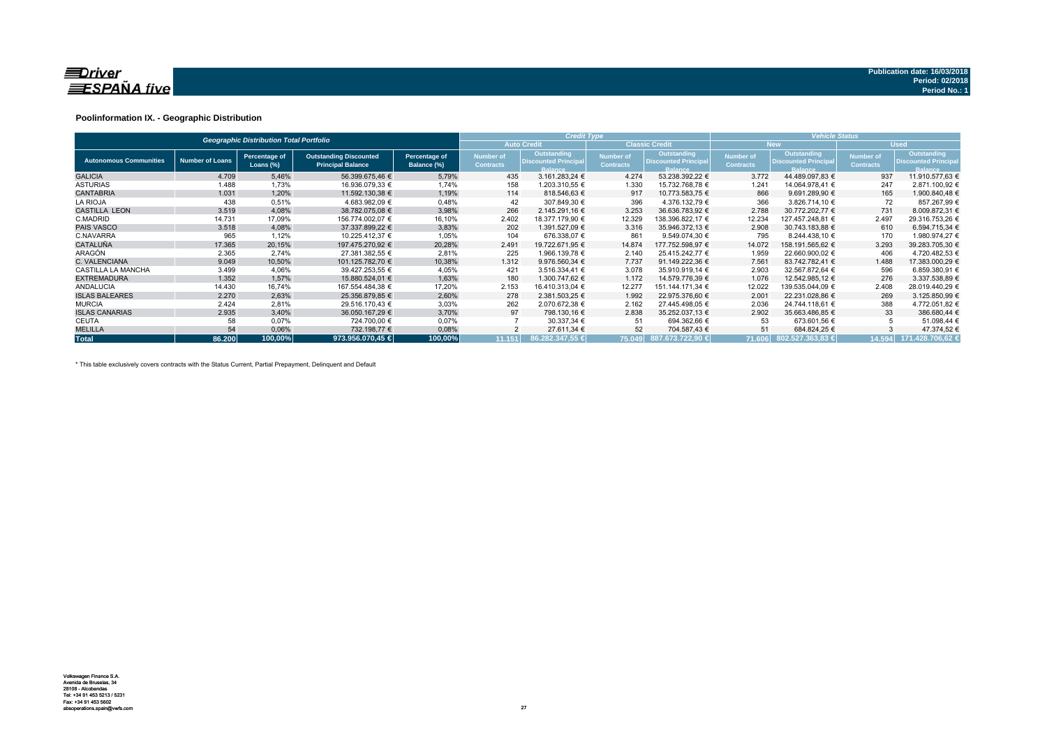

### **Poolinformation IX. - Geographic Distribution**

|                               |                        | <b>Geographic Distribution Total Portfolio</b> |                                                           |                              | <b>Credit Type</b>            |                                                              |                                      | <b>Vehicle Status</b>                                        |                                      |                                                                     |                               |                                                             |  |
|-------------------------------|------------------------|------------------------------------------------|-----------------------------------------------------------|------------------------------|-------------------------------|--------------------------------------------------------------|--------------------------------------|--------------------------------------------------------------|--------------------------------------|---------------------------------------------------------------------|-------------------------------|-------------------------------------------------------------|--|
|                               |                        |                                                |                                                           |                              |                               | <b>Auto Credit</b>                                           |                                      | <b>Classic Credit</b>                                        |                                      | <b>New</b>                                                          | <b>Used</b>                   |                                                             |  |
| <b>Autonomous Communities</b> | <b>Number of Loans</b> | Percentage of<br>Loans (%)                     | <b>Outstanding Discounted</b><br><b>Principal Balance</b> | Percentage of<br>Balance (%) | Number of<br><b>Contracts</b> | Outstanding<br><b>Discounted Principal</b><br><b>Balance</b> | <b>Number of</b><br><b>Contracts</b> | Outstanding<br><b>Discounted Principal</b><br><b>Balance</b> | <b>Number of</b><br><b>Contracts</b> | <b>Outstanding</b><br><b>Discounted Principal</b><br><b>Balance</b> | Number of<br><b>Contracts</b> | Outstanding<br><b>Discounted Principa</b><br><b>Balance</b> |  |
| <b>GALICIA</b>                | 4.709                  | 5,46%                                          | 56.399.675,46 €                                           | 5,79%                        | 435                           | 3.161.283,24 €                                               | 4.274                                | 53.238.392,22 €                                              | 3.772                                | 44.489.097,83 €                                                     | 937                           | 11.910.577,63 €                                             |  |
| <b>ASTURIAS</b>               | 1.488                  | 1,73%                                          | 16.936.079,33 €                                           | 1,74%                        | 158                           | 1.203.310,55 €                                               | 1.330                                | 15.732.768.78 €                                              | 1.241                                | 14.064.978,41 €                                                     | 247                           | 2.871.100,92 €                                              |  |
| <b>CANTABRIA</b>              | 1.031                  | 1,20%                                          | 11.592.130.38 €                                           | 1,19%                        | 114                           | 818.546.63 €                                                 | 917                                  | 10.773.583.75 €                                              | 866                                  | 9.691.289.90 €                                                      | 165                           | 1.900.840.48 €                                              |  |
| <b>LA RIOJA</b>               | 438                    | 0.51%                                          | 4.683.982.09 €                                            | 0,48%                        | 42                            | 307.849.30 €                                                 | 396                                  | 4.376.132.79 €                                               | 366                                  | 3.826.714.10 €                                                      | 72                            | 857.267.99 €                                                |  |
| <b>CASTILLA LEON</b>          | 3.519                  | 4,08%                                          | 38.782.075,08 €                                           | 3,98%                        | 266                           | 2.145.291.16 €                                               | 3.253                                | 36.636.783,92 €                                              | 2.788                                | 30.772.202,77 €                                                     | 731                           | 8.009.872,31 €                                              |  |
| C.MADRID                      | 14.731                 | 17,09%                                         | 156.774.002,07 €                                          | 16,10%                       | 2.402                         | 18.377.179,90 €                                              | 12.329                               | 138.396.822,17 €                                             | 12.234                               | 127.457.248,81 €                                                    | 2.497                         | 29.316.753,26 €                                             |  |
| <b>PAIS VASCO</b>             | 3.518                  | 4,08%                                          | 37.337.899.22 €                                           | 3,83%                        | 202                           | 1.391.527.09 €                                               | 3.316                                | 35.946.372.13 €                                              | 2.908                                | 30.743.183.88 €                                                     | 610                           | 6.594.715.34 €                                              |  |
| C.NAVARRA                     | 965                    | 1,12%                                          | 10.225.412.37 €                                           | 1,05%                        | 104                           | 676.338.07 €                                                 | 861                                  | 9.549.074.30 €                                               | 795                                  | 8.244.438,10 €                                                      | 170                           | 1.980.974,27 €                                              |  |
| <b>CATALUÑA</b>               | 17.365                 | 20,15%                                         | 197.475.270.92 €                                          | 20,28%                       | 2.491                         | 19.722.671.95 €                                              | 14.874                               | 177.752.598.97 €                                             | 14.072                               | 158.191.565.62 €                                                    | 3.293                         | 39.283.705,30 €                                             |  |
| ARAGÓN                        | 2.365                  | 2.74%                                          | 27.381.382.55 €                                           | 2,81%                        | 225                           | 1.966.139,78 €                                               | 2.140                                | 25.415.242.77 €                                              | 1.959                                | 22.660.900.02 €                                                     | 406                           | 4.720.482,53 €                                              |  |
| C. VALENCIANA                 | 9.049                  | 10,50%                                         | 101.125.782.70 €                                          | 10,38%                       | 1.312                         | 9.976.560.34 €                                               | 7.737                                | 91.149.222.36 €                                              | 7.561                                | 83.742.782.41 €                                                     | 1.488                         | 17.383.000.29 €                                             |  |
| CASTILLA LA MANCHA            | 3.499                  | 4,06%                                          | 39.427.253,55 €                                           | 4,05%                        | 421                           | 3.516.334,41 €                                               | 3.078                                | 35.910.919.14 €                                              | 2.903                                | 32.567.872,64 €                                                     | 596                           | 6.859.380,91 €                                              |  |
| <b>EXTREMADURA</b>            | 1.352                  | 1,57%                                          | 15.880.524,01 €                                           | 1,63%                        | 180                           | 1.300.747,62 €                                               | 1.172                                | 14.579.776,39 €                                              | 1.076                                | 12.542.985,12 €                                                     | 276                           | 3.337.538,89 €                                              |  |
| <b>ANDALUCIA</b>              | 14.430                 | 16,74%                                         | 167.554.484.38 €                                          | 17,20%                       | 2.153                         | 16.410.313,04 €                                              | 12.277                               | 151.144.171,34 €                                             | 12.022                               | 139.535.044.09 €                                                    | 2.408                         | 28.019.440.29 €                                             |  |
| <b>ISLAS BALEARES</b>         | 2.270                  | 2,63%                                          | 25.356.879.85 €                                           | 2,60%                        | 278                           | 2.381.503.25 €                                               | 1.992                                | 22.975.376.60 €                                              | 2.001                                | 22.231.028.86 €                                                     | 269                           | 3.125.850,99 €                                              |  |
| <b>MURCIA</b>                 | 2.424                  | 2,81%                                          | 29.516.170,43 €                                           | 3,03%                        | 262                           | 2.070.672,38 €                                               | 2.162                                | 27.445.498.05 €                                              | 2.036                                | 24.744.118.61 €                                                     | 388                           | 4.772.051,82 €                                              |  |
| <b>ISLAS CANARIAS</b>         | 2.935                  | 3,40%                                          | 36.050.167,29 €                                           | 3,70%                        | 97                            | 798.130,16 €                                                 | 2.838                                | 35.252.037,13 €                                              | 2.902                                | 35.663.486,85 €                                                     | 33                            | 386.680,44 €                                                |  |
| <b>CEUTA</b>                  | 58                     | 0,07%                                          | 724.700,00 €                                              | 0,07%                        |                               | 30.337,34 €                                                  | 51                                   | 694.362,66 €                                                 | 53                                   | 673.601,56 €                                                        |                               | 51.098,44 €                                                 |  |
| <b>MELILLA</b>                | 54                     | 0,06%                                          | 732.198,77 €                                              | 0,08%                        |                               | 27.611,34 €                                                  | 52                                   | 704.587,43 €                                                 | 51                                   | 684.824,25 €                                                        |                               | 47.374,52 €                                                 |  |
| <b>Total</b>                  | 86.200                 | 100,00%                                        | 973.956.070.45 €                                          | 100,00%                      | 11.151                        | 86.282.347.55 €                                              |                                      | 175.049 887.673.722,90 €                                     |                                      | 71.606 802.527.363,83 €                                             | 14.594                        | 171.428.706.62 €                                            |  |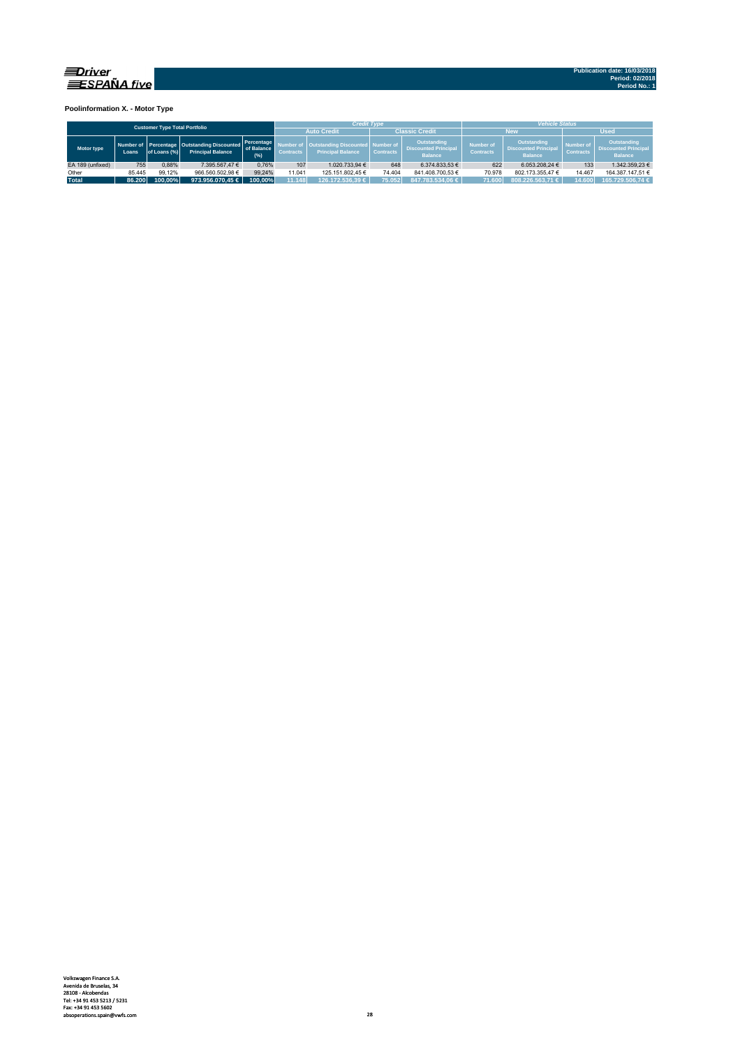

**Poolinformation X. - Motor Type**

| <b>Customer Type Total Portfolio</b> |        |              |                                                                         |                                                                                                                                                                                                                                       |        | <b>Credit Type</b>                   |                                                                     |                               | <b>Vehicle Status</b>                                        |                  |             |                  |  |  |  |
|--------------------------------------|--------|--------------|-------------------------------------------------------------------------|---------------------------------------------------------------------------------------------------------------------------------------------------------------------------------------------------------------------------------------|--------|--------------------------------------|---------------------------------------------------------------------|-------------------------------|--------------------------------------------------------------|------------------|-------------|------------------|--|--|--|
|                                      |        |              |                                                                         |                                                                                                                                                                                                                                       |        | <b>Auto Credit</b>                   |                                                                     | <b>Classic Credit</b>         |                                                              | <b>New</b>       | <b>Used</b> |                  |  |  |  |
| Motor type                           | Loans. | of Loans (%) | Number of Percentage Outstanding Discounted<br><b>Principal Balance</b> | Outstanding<br>Percentage<br><b>Outstanding Discounted   Number of</b><br><b>Number of</b><br>of Balance<br><b>Discounted Principal</b><br><b>Principal Balance</b><br><b>Contracts</b><br><b>Contracts</b><br>(% )<br><b>Balance</b> |        | <b>Number of</b><br><b>Contracts</b> | <b>Outstanding</b><br><b>Discounted Principal</b><br><b>Balance</b> | Number of<br><b>Contracts</b> | Outstanding<br><b>Discounted Principal</b><br><b>Balance</b> |                  |             |                  |  |  |  |
| EA 189 (unfixed)                     | 755    | 0.88%        | 7.395.567.47 €                                                          | 0.76%                                                                                                                                                                                                                                 | 107    | 1.020.733.94 €                       | 648                                                                 | 6.374.833.53 €                | 622                                                          | 6.053.208.24 €   | 133         | 1.342.359.23 €   |  |  |  |
| Other                                | 85.445 | 99.12%       | 966.560.502.98 €                                                        | 99.24%                                                                                                                                                                                                                                | 11.041 | 125.151.802.45 €                     | 74.404                                                              | 841.408.700.53 €              | 70.978                                                       | 802.173.355.47 € | 14.467      | 164.387.147.51 € |  |  |  |
| <b>Total</b>                         | 86.200 | 100.00%      | 973.956.070.45 $\in$                                                    | 100.00%                                                                                                                                                                                                                               | 11.148 | 126.172.536.39 €                     | 75.052                                                              | 847.783.534.06 €              | 71.600                                                       | 808.226.563.71 € | 14.600      | 165.729.506.74 € |  |  |  |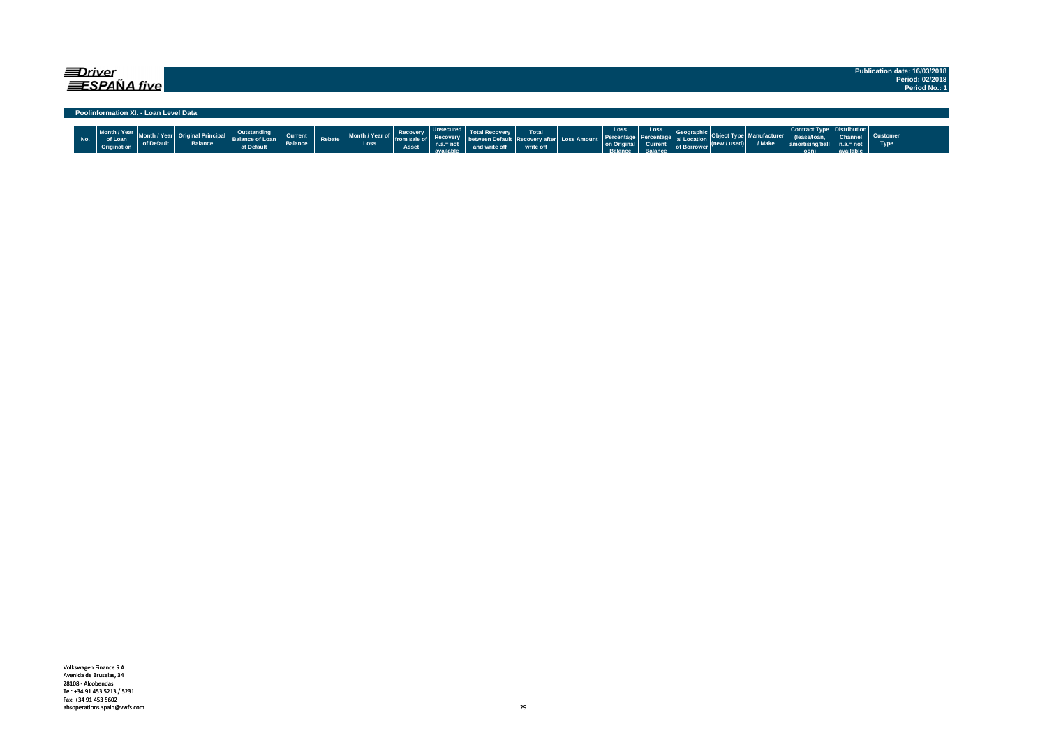| ≡Driver | <b>ESPAÑA five</b>                     |            |                |                                                     |                           |        |                         |                                     |                                                                 |                                                             |                    |                                                    |                                                        |                                                     |                                  |                        |                                                                            |                                            |                         | Publication date: 16/03/2018<br>Period: 02/2018<br>Period No.: 1 |
|---------|----------------------------------------|------------|----------------|-----------------------------------------------------|---------------------------|--------|-------------------------|-------------------------------------|-----------------------------------------------------------------|-------------------------------------------------------------|--------------------|----------------------------------------------------|--------------------------------------------------------|-----------------------------------------------------|----------------------------------|------------------------|----------------------------------------------------------------------------|--------------------------------------------|-------------------------|------------------------------------------------------------------|
|         | Poolinformation XI. - Loan Level Data  |            |                |                                                     |                           |        |                         |                                     |                                                                 |                                                             |                    |                                                    |                                                        |                                                     |                                  |                        |                                                                            |                                            |                         |                                                                  |
| No.     | Month / Year<br>of Loan<br>Origination | of Default | <b>Balance</b> | Outstanding<br><b>Balance of Loan</b><br>at Default | Current<br><b>Balance</b> | Rebate | Month / Year of<br>Loss | Recovery<br>l from sale of<br>Asset | <b>Unsecured</b><br><b>Recovery</b><br>$n.a.= not$<br>available | between Default Recovery after Loss Amount<br>and write off | Total<br>write off | Loss<br>Percentage<br>on Origina<br><b>Ralance</b> | Loss<br>Percentage<br><b>Current</b><br><b>Palance</b> | Geograph<br>al Location<br>of Borrower <sup>V</sup> | $ (\mathsf{new}/\mathsf{used}) $ | lanufacturer<br>/ Make | Contract Type   Distribution  <br>lease/loan <br>amortising/ball<br>$\sim$ | <b>Channel</b><br>$n.a = not$<br>available | <b>Customer</b><br>Type |                                                                  |